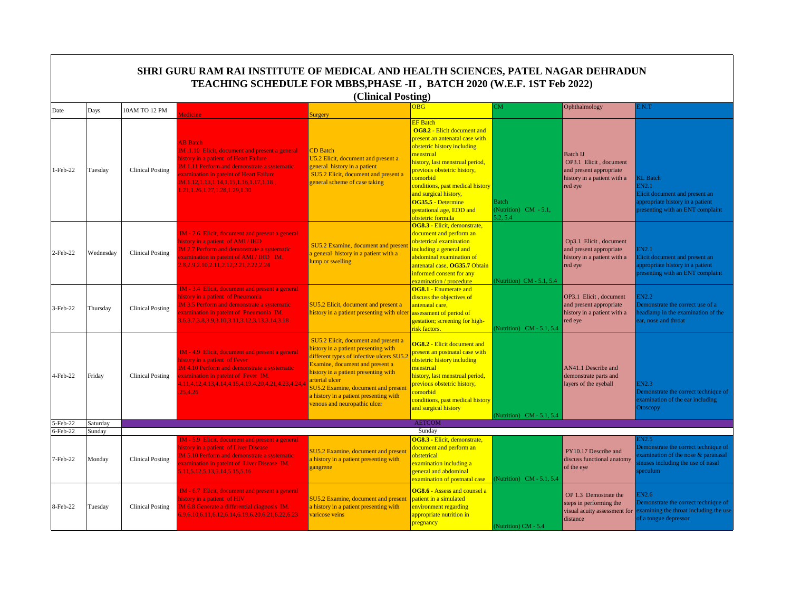|                         | SHRI GURU RAM RAI INSTITUTE OF MEDICAL AND HEALTH SCIENCES, PATEL NAGAR DEHRADUN<br>TEACHING SCHEDULE FOR MBBS, PHASE -II, BATCH 2020 (W.E.F. 1ST Feb 2022)<br>(Clinical Posting) |                         |                                                                                                                                                                                                                                                                                                             |                                                                                                                                                                                                                                                                                                                                        |                                                                                                                                                                                                                                                                                                                                                       |                                                   |                                                                                                                |                                                                                                                                      |  |  |
|-------------------------|-----------------------------------------------------------------------------------------------------------------------------------------------------------------------------------|-------------------------|-------------------------------------------------------------------------------------------------------------------------------------------------------------------------------------------------------------------------------------------------------------------------------------------------------------|----------------------------------------------------------------------------------------------------------------------------------------------------------------------------------------------------------------------------------------------------------------------------------------------------------------------------------------|-------------------------------------------------------------------------------------------------------------------------------------------------------------------------------------------------------------------------------------------------------------------------------------------------------------------------------------------------------|---------------------------------------------------|----------------------------------------------------------------------------------------------------------------|--------------------------------------------------------------------------------------------------------------------------------------|--|--|
|                         |                                                                                                                                                                                   | 10AM TO 12 PM           |                                                                                                                                                                                                                                                                                                             |                                                                                                                                                                                                                                                                                                                                        | <b>OBG</b>                                                                                                                                                                                                                                                                                                                                            | <b>CM</b>                                         | Ophthalmology                                                                                                  | E.N.T                                                                                                                                |  |  |
| Date                    | Days                                                                                                                                                                              |                         | <b>Iedicine</b>                                                                                                                                                                                                                                                                                             | Surgery                                                                                                                                                                                                                                                                                                                                |                                                                                                                                                                                                                                                                                                                                                       |                                                   |                                                                                                                |                                                                                                                                      |  |  |
| 1-Feb-22                | Tuesday                                                                                                                                                                           | <b>Clinical Posting</b> | <b>AB</b> Batch<br><b>IM.1.10 Elicit, document and present a general</b><br>history in a patient of Heart Failure<br><b>IM 1.11 Perform and demonstrate a systematic</b><br>xamination in pateint of Heart Failure<br>$IM.1.12, 1.13, 1.14, 1.15, 1.16, 1.17, 1.18$ ,<br>1.21, 1.26, 1.27, 1.28, 1.29, 1.30 | <b>CD</b> Batch<br>U5.2 Elicit, document and present a<br>general history in a patient<br>SU5.2 Elicit, document and present a<br>general scheme of case taking                                                                                                                                                                        | <b>EF</b> Batch<br><b>OG8.2 - Elicit document and</b><br>present an antenatal case with<br>obstetric history including<br>menstrual<br>history, last menstrual period,<br>previous obstetric history,<br>comorbid<br>conditions, past medical history<br>and surgical history,<br>OG35.5 - Determine<br>gestational age, EDD and<br>obstetric formula | <b>Batch</b><br>(Nutrition) CM - 5.1,<br>5.2, 5.4 | <b>Batch IJ</b><br>OP3.1 Elicit, document<br>and present appropriate<br>history in a patient with a<br>red eye | <b>KL</b> Batch<br>EN2.1<br>Elicit document and present an<br>appropriate history in a patient<br>presenting with an ENT complaint   |  |  |
| $2$ -Feb-22             | Wednesday                                                                                                                                                                         | <b>Clinical Posting</b> | IM - 2.6 Elicit, document and present a general<br>history in a patient of AMI / IHD<br>M 2.7 Perform and demonstrate a systematic<br>xamination in pateint of AMI / IHD IM.<br>2.8, 2.9, 2.10, 2.11, 2.12, 2.21, 2.22, 2.24                                                                                | SU5.2 Examine, document and presen<br>a general history in a patient with a<br>ump or swelling                                                                                                                                                                                                                                         | OG8.3 - Elicit, demonstrate,<br>document and perform an<br>obstetrical examination<br>including a general and<br>abdominal examination of<br>antenatal case, OG35.7 Obtain<br>informed consent for any<br>examination / procedure                                                                                                                     | (Nutrition) CM - 5.1, 5.4                         | Op3.1 Elicit, document<br>and present appropriate<br>history in a patient with a<br>red eye                    | EN2.1<br>Elicit document and present an<br>appropriate history in a patient<br>presenting with an ENT complaint                      |  |  |
| 3-Feb-22                | Thursday                                                                                                                                                                          | <b>Clinical Posting</b> | IM - 3.4 Elicit, document and present a general<br>history in a patient of Pneumonia<br><b>IM 3.5 Perform and demonstrate a systematic</b><br>xamination in pateint of Pneumonia IM.<br>6, 3. 7, 3. 8, 3. 9, 3. 10, 3. 11, 3. 12, 3. 13, 3. 14, 3. 18                                                       | SU5.2 Elicit, document and present a<br>history in a patient presenting with ulce                                                                                                                                                                                                                                                      | <b>OG8.1 - Enumerate and</b><br>discuss the objectives of<br>antenatal care,<br>assessment of period of<br>gestation; screening for high-<br>risk factors.                                                                                                                                                                                            | (Nutrition) CM - 5.1, 5.4                         | OP3.1 Elicit, document<br>and present appropriate<br>history in a patient with a<br>red eye                    | 3N2.2<br>Demonstrate the correct use of a<br>eadlamp in the examination of the<br>ar, nose and throat                                |  |  |
| 4-Feb-22                | Friday                                                                                                                                                                            | <b>Clinical Posting</b> | IM - 4.9 Elicit, document and present a general<br>history in a patient of Fever<br><b>IM 4.10 Perform and demonstrate a systematic</b><br>examination in pateint of Fever IM.<br>4.11,4.12,4.13,4.14,4.15,4.19,4.20,4.21,4.23,4.24,4<br>25.4.26                                                            | SU5.2 Elicit, document and present a<br>history in a patient presenting with<br>different types of infective ulcers SU5.<br>Examine, document and present a<br>history in a patient presenting with<br>arterial ulcer<br>SU5.2 Examine, document and present<br>a history in a patient presenting with<br>venous and neuropathic ulcer | <b>OG8.2 - Elicit document and</b><br>present an postnatal case with<br>obstetric history including<br>menstrual<br>history, last menstrual period,<br>previous obstetric history,<br>comorbid<br>conditions, past medical history<br>and surgical history                                                                                            | (Nutrition) CM - 5.1, 5.4                         | AN41.1 Describe and<br>demonstrate parts and<br>layers of the eyeball                                          | EN2.3<br>Demonstrate the correct technique of<br>examination of the ear including<br>Otoscopy                                        |  |  |
| 5-Feb-22<br>$6$ -Feb-22 | Saturday<br>Sunday                                                                                                                                                                |                         |                                                                                                                                                                                                                                                                                                             |                                                                                                                                                                                                                                                                                                                                        | <b>AETCOM</b><br>Sunday                                                                                                                                                                                                                                                                                                                               |                                                   |                                                                                                                |                                                                                                                                      |  |  |
| 7-Feb-22                | Monday                                                                                                                                                                            | <b>Clinical Posting</b> | <b>IM</b> - 5.9 Elicit, document and present a general<br>history in a patient of Liver Disease<br><b>IM 5.10 Perform and demonstrate a systematic</b><br>xamination in pateint of Liver Disease IM.<br>11, 5.12, 5.13, 5.14, 5.15, 5.16                                                                    | SU5.2 Examine, document and present<br>a history in a patient presenting with<br>gangrene                                                                                                                                                                                                                                              | OG8.3 - Elicit, demonstrate.<br>document and perform an<br>obstetrical<br>examination including a<br>general and abdominal<br>examination of postnatal case                                                                                                                                                                                           | (Nutrition) CM - 5.1, 5.4                         | PY10.17 Describe and<br>discuss functional anatomy<br>of the eye                                               | EN2.5<br>Demonstrate the correct technique of<br>examination of the nose & paranasal<br>inuses including the use of nasal<br>peculum |  |  |
| 8-Feb-22                | Tuesday                                                                                                                                                                           | <b>Clinical Posting</b> | IM - 6.7 Elicit, document and present a general<br>history in a patient of HIV<br>IM 6.8 Generate a differential diagnosis IM.<br>5.9, 6.10, 6.11, 6.12, 6.14, 6.19, 6.20, 6.21, 6.22, 6.23                                                                                                                 | SU5.2 Examine, document and present<br>a history in a patient presenting with<br>varicose veins                                                                                                                                                                                                                                        | OG8.6 - Assess and counsel a<br>patient in a simulated<br>environment regarding<br>appropriate nutrition in<br>pregnancy                                                                                                                                                                                                                              | (Nutrition) CM - 5.4                              | OP 1.3 Demostrate the<br>steps in performing the<br>visual acuity assessment for<br>distance                   | EN2.6<br>Demonstrate the correct technique of<br>examining the throat including the use<br>of a tongue depressor                     |  |  |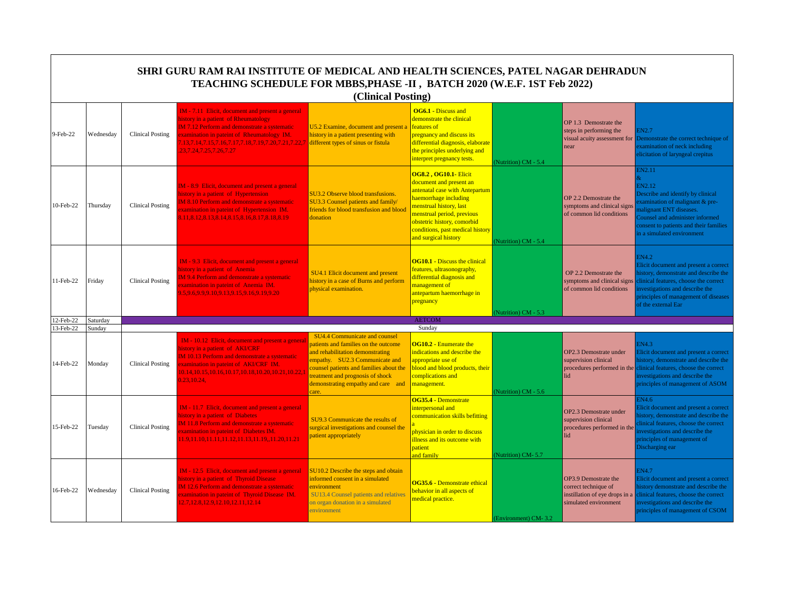|           |           |                         | SHRI GURU RAM RAI INSTITUTE OF MEDICAL AND HEALTH SCIENCES, PATEL NAGAR DEHRADUN<br>TEACHING SCHEDULE FOR MBBS, PHASE -II, BATCH 2020 (W.E.F. 1ST Feb 2022)                                                                                                                          | (Clinical Posting)                                                                                                                                                                                                                                                       |                                                                                                                                                                                                                                                                        |                      |                                                                                                         |                                                                                                                                                                                                                                      |
|-----------|-----------|-------------------------|--------------------------------------------------------------------------------------------------------------------------------------------------------------------------------------------------------------------------------------------------------------------------------------|--------------------------------------------------------------------------------------------------------------------------------------------------------------------------------------------------------------------------------------------------------------------------|------------------------------------------------------------------------------------------------------------------------------------------------------------------------------------------------------------------------------------------------------------------------|----------------------|---------------------------------------------------------------------------------------------------------|--------------------------------------------------------------------------------------------------------------------------------------------------------------------------------------------------------------------------------------|
| 9-Feb-22  | Wednesday | <b>Clinical Posting</b> | IM - 7.11 Elicit, document and present a general<br>history in a patient of Rheumatology<br><b>IM 7.12 Perform and demonstrate a systematic</b><br>xamination in pateint of Rheumatology IM.<br>.13,7.14,7.15,7.16,7.17,7.18,7.19,7.20,7.21,7.22,7<br>23, 7. 24, 7. 25, 7. 26, 7. 27 | U5.2 Examine, document and present a<br>history in a patient presenting with<br>different types of sinus or fistula                                                                                                                                                      | <b>OG6.1 - Discuss and</b><br>demonstrate the clinical<br>features of<br>pregnancy and discuss its<br>differential diagnosis, elaborate<br>the principles underlying and<br>interpret pregnancy tests.                                                                 | Nutrition) CM - 5.4  | OP 1.3 Demostrate the<br>steps in performing the<br>visual acuity assessment for<br>near                | EN2.7<br>Demonstrate the correct technique of<br>xamination of neck including<br>licitation of laryngeal crepitus                                                                                                                    |
| 10-Feb-22 | Thursday  | <b>Clinical Posting</b> | IM - 8.9 Elicit, document and present a general<br>history in a patient of Hypertension<br>IM 8.10 Perform and demonstrate a systematic<br>xamination in pateint of Hypertension IM.<br>8.11, 8.12, 8.13, 8.14, 8.15, 8.16, 8.17, 8.18, 8.19                                         | SU3.2 Observe blood transfusions.<br>SU3.3 Counsel patients and family/<br>friends for blood transfusion and blood<br>donation                                                                                                                                           | <b>OG8.2, OG10.1- Elicit</b><br>document and present an<br>antenatal case with Antepartum<br>haemorrhage including<br>menstrual history, last<br>menstrual period, previous<br>obstetric history, comorbid<br>conditions, past medical history<br>and surgical history | Nutrition) CM - 5.4  | OP 2.2 Demostrate the<br>symptoms and clinical signs<br>of common lid conditions                        | <b>EN2.11</b><br>EN2.12<br>Describe and identify by clinical<br>examination of malignant & pre-<br>nalignant ENT diseases.<br>Counsel and administer informed<br>consent to patients and their families<br>n a simulated environment |
| 11-Feb-22 | Fridav    | <b>Clinical Posting</b> | IM - 9.3 Elicit, document and present a general<br>nistory in a patient of Anemia<br>M 9.4 Perform and demonstrate a systematic<br>xamination in pateint of Anemia IM.<br>9.5.9.6.9.9.9.10.9.13.9.15.9.16.9.19.9.20                                                                  | SU4.1 Elicit document and present<br>history in a case of Burns and perform<br>physical examination.                                                                                                                                                                     | <b>OG10.1 - Discuss the clinical</b><br>features, ultrasonography,<br>differential diagnosis and<br>management of<br>antepartum haemorrhage in<br>pregnancy                                                                                                            | Nutrition) CM - 5.3  | OP 2.2 Demostrate the<br>symptoms and clinical signs<br>of common lid conditions                        | EN4.2<br>Elicit document and present a correct<br>istory, demonstrate and describe the<br>clinical features, choose the correct<br>nvestigations and describe the<br>principles of management of diseases<br>of the external Ear     |
| 12-Feb-22 | Saturday  |                         |                                                                                                                                                                                                                                                                                      |                                                                                                                                                                                                                                                                          | <b>AETCOM</b>                                                                                                                                                                                                                                                          |                      |                                                                                                         |                                                                                                                                                                                                                                      |
| 13-Feb-22 | Sunday    |                         |                                                                                                                                                                                                                                                                                      |                                                                                                                                                                                                                                                                          | Sunday                                                                                                                                                                                                                                                                 |                      |                                                                                                         |                                                                                                                                                                                                                                      |
| 14-Feb-22 | Monday    | Clinical Posting        | IM - 10.12 Elicit, document and present a general<br>history in a patient of <b>AKI/CRF</b><br><b>IM 10.13 Perform and demonstrate a systematic</b><br>xamination in pateint of AKI/CRF IM.<br>10.14, 10.15, 10.16, 10.17, 10.18, 10.20, 10.21, 10.22,<br>0.23, 10.24,               | SU4.4 Communicate and counsel<br>patients and families on the outcome<br>and rehabilitation demonstrating<br>empathy. SU2.3 Communicate and<br>counsel patients and families about the<br>reatment and prognosis of shock<br>demonstrating empathy and care and<br>care. | <b>OG10.2 - Enumerate the</b><br>indications and describe the<br>appropriate use of<br>blood and blood products, their<br>complications and<br>management.                                                                                                             | Nutrition) CM - 5.6  | OP2.3 Demostrate under<br>supervision clinical<br>procedures performed in the<br>lid                    | EN4.3<br>Elicit document and present a correct<br>nistory, demonstrate and describe the<br>clinical features, choose the correct<br>nvestigations and describe the<br>principles of management of ASOM                               |
| 15-Feb-22 | Tuesday   | <b>Clinical Posting</b> | IM - 11.7 Elicit, document and present a general<br>history in a patient of Diabetes<br><b>IM 11.8 Perform and demonstrate a systematic</b><br>xamination in pateint of Diabetes IM.<br>1.9,11.10,11.11,11.12,11.13,11.19,,11.20,11.21                                               | SU9.3 Communicate the results of<br>surgical investigations and counsel the<br>patient appropriately                                                                                                                                                                     | OG35.4 - Demonstrate<br>interpersonal and<br>communication skills befitting<br>physician in order to discuss<br>illness and its outcome with<br>patient<br>and family                                                                                                  | Nutrition) CM-5.7    | OP2.3 Demostrate under<br>supervision clinical<br>procedures performed in the<br>lid                    | EN4.6<br>Elicit document and present a correct<br>istory, demonstrate and describe the<br>linical features, choose the correct<br>nvestigations and describe the<br>principles of management of<br>Discharging ear                   |
| 16-Feb-22 | Wednesday | <b>Clinical Posting</b> | IM - 12.5 Elicit, document and present a general<br>history in a patient of Thyroid Disease<br>IM 12.6 Perform and demonstrate a systematic<br>xamination in pateint of Thyroid Disease IM.<br>12.7, 12.8, 12.9, 12.10, 12.11, 12.14                                                 | SU10.2 Describe the steps and obtain<br>informed consent in a simulated<br>environment<br><b>SU13.4 Counsel patients and relatives</b><br>on organ donation in a simulated<br>environment                                                                                | OG35.6 - Demonstrate ethical<br>behavior in all aspects of<br>medical practice.                                                                                                                                                                                        | (Environment) CM-3.2 | OP3.9 Demostrate the<br>correct technique of<br>instillation of eye drops in a<br>simulated environment | EN4.7<br>Elicit document and present a correct<br>nistory demonstrate and describe the<br>clinical features, choose the correct<br>investigations and describe the<br>principles of management of CSOM                               |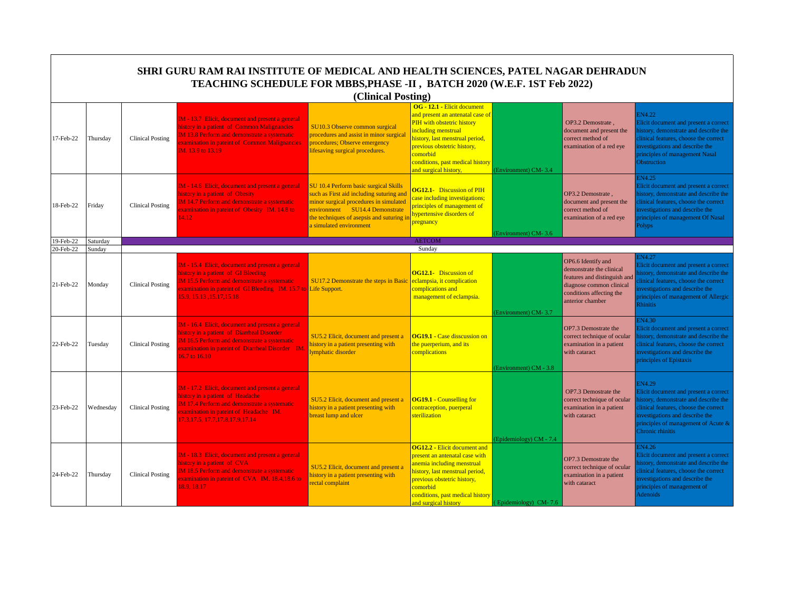|           |           |                         | SHRI GURU RAM RAI INSTITUTE OF MEDICAL AND HEALTH SCIENCES, PATEL NAGAR DEHRADUN<br>TEACHING SCHEDULE FOR MBBS, PHASE -II, BATCH 2020 (W.E.F. 1ST Feb 2022)                                                                          |                                                                                                                                                                                                                                       |                                                                                                                                                                                                                                                                 |                         |                                                                                                                                                            |                                                                                                                                                                                                                                           |
|-----------|-----------|-------------------------|--------------------------------------------------------------------------------------------------------------------------------------------------------------------------------------------------------------------------------------|---------------------------------------------------------------------------------------------------------------------------------------------------------------------------------------------------------------------------------------|-----------------------------------------------------------------------------------------------------------------------------------------------------------------------------------------------------------------------------------------------------------------|-------------------------|------------------------------------------------------------------------------------------------------------------------------------------------------------|-------------------------------------------------------------------------------------------------------------------------------------------------------------------------------------------------------------------------------------------|
|           |           |                         |                                                                                                                                                                                                                                      | (Clinical Posting)                                                                                                                                                                                                                    |                                                                                                                                                                                                                                                                 |                         |                                                                                                                                                            |                                                                                                                                                                                                                                           |
| 17-Feb-22 | Thursday  | <b>Clinical Posting</b> | IM - 13.7 Elicit, document and present a general<br>history in a patient of Common Malignancies<br>IM 13.8 Perform and demonstrate a systematic<br>xamination in pateint of Common Malignancies<br>IM. 13.9 to 13.19                 | SU10.3 Observe common surgical<br>procedures and assist in minor surgical<br>procedures; Observe emergency<br>lifesaving surgical procedures.                                                                                         | OG - 12.1 - Elicit document<br>and present an antenatal case of<br>PIH with obstetric history<br>including menstrual<br>history, last menstrual period,<br>previous obstetric history,<br>comorbid<br>conditions, past medical history<br>and surgical history, | (Environment) CM-3.4    | OP3.2 Demostrate.<br>document and present the<br>correct method of<br>examination of a red eve                                                             | EN4.22<br>Elicit document and present a correct<br>istory, demonstrate and describe the<br>linical features, choose the correct<br>nvestigations and describe the<br>principles of management Nasal<br><b>Obstruction</b>                 |
| 18-Feb-22 | Friday    | <b>Clinical Posting</b> | M - 14.6 Elicit, document and present a general<br>nistory in a patient of Obesity<br>M 14.7 Perform and demonstrate a systematic<br>xamination in pateint of Obesity IM. 14.8 to<br>4.12                                            | SU 10.4 Perform basic surgical Skills<br>such as First aid including suturing and<br>minor surgical procedures in simulated<br>environment SU14.4 Demonstrate<br>the techniques of asepsis and suturing if<br>a simulated environment | <b>OG12.1-</b> Discussion of PIH<br>case including investigations;<br>principles of management of<br>hypertensive disorders of<br>pregnancy                                                                                                                     | Environment) CM-3.6     | OP3.2 Demostrate.<br>document and present the<br>correct method of<br>examination of a red eye                                                             | IN4.25<br>Elicit document and present a correct<br>istory, demonstrate and describe the<br>linical features, choose the correct<br>nvestigations and describe the<br>principles of management Of Nasal<br><sup>2</sup> olyps              |
| 19-Feb-22 | Saturday  |                         |                                                                                                                                                                                                                                      |                                                                                                                                                                                                                                       | <b>AETCOM</b>                                                                                                                                                                                                                                                   |                         |                                                                                                                                                            |                                                                                                                                                                                                                                           |
| 20-Feb-22 | Sunday    |                         |                                                                                                                                                                                                                                      |                                                                                                                                                                                                                                       | Sunday                                                                                                                                                                                                                                                          |                         |                                                                                                                                                            |                                                                                                                                                                                                                                           |
| 21-Feb-22 | Monday    | <b>Clinical Posting</b> | IM - 15.4 Elicit, document and present a general<br>nistory in a patient of GI Bleeding<br>M 15.5 Perform and demonstrate a systematic<br>xamination in pateint of GI Bleeding IM. 15.7 to Life Support.<br>5.9, 15.13, 15.17, 15.18 | SU17.2 Demonstrate the steps in Basic                                                                                                                                                                                                 | <b>OG12.1-</b> Discussion of<br>eclampsia, it complication<br>complications and<br>management of eclampsia.                                                                                                                                                     | Environment) CM-3.7     | OP6.6 Identify and<br>demonstrate the clinical<br>features and distinguish and<br>diagnose common clinical<br>conditions affecting the<br>anterior chamber | N4.27<br>Elicit document and present a correct<br>istory, demonstrate and describe the<br>linical features, choose the correct<br>nvestigations and describe the<br>principles of management of Allergic<br><b>Rhinitis</b>               |
| 22-Feb-22 | Tuesday   | <b>Clinical Posting</b> | M - 16.4 Elicit, document and present a general<br>istory in a patient of Diarrheal Disorder<br>M 16.5 Perform and demonstrate a systematic<br>xamination in pateint of Diarrheal Disorder IM.<br>16.7 to 16.10                      | SU5.2 Elicit, document and present a<br>history in a patient presenting with<br>ymphatic disorder                                                                                                                                     | <b>OG19.1 - Case disscussion on</b><br>the puerperium, and its<br>complications                                                                                                                                                                                 | (Environment) CM - 3.8  | OP7.3 Demostrate the<br>correct technique of ocular<br>examination in a patient<br>with cataract                                                           | N <sub>4.30</sub><br>Elicit document and present a correct<br>istory, demonstrate and describe the<br>linical features, choose the correct<br>nvestigations and describe the<br>principles of Epistaxis                                   |
| 23-Feb-22 | Wednesday | <b>Clinical Posting</b> | M - 17.2 Elicit, document and present a general<br>nistory in a patient of Headache<br>M 17.4 Perform and demonstrate a systematic<br>xamination in pateint of Headache IM.<br>7.3, 17.5, 17.7, 17.8, 17.9, 17.14                    | SU5.2 Elicit, document and present a<br>history in a patient presenting with<br>breast lump and ulcer                                                                                                                                 | <b>OG19.1 - Counselling for</b><br>contraception, puerperal<br>sterilization                                                                                                                                                                                    | (Epidemiology) CM - 7.4 | OP7.3 Demostrate the<br>correct technique of ocular<br>examination in a patient<br>with cataract                                                           | <b>EN4.29</b><br>Elicit document and present a correct<br>nistory, demonstrate and describe the<br>clinical features, choose the correct<br>investigations and describe the<br>principles of management of Acute $\&$<br>Chronic rhinitis |
| 24-Feb-22 | Thursday  | <b>Clinical Posting</b> | IM - 18.3 Elicit, document and present a general<br>istory in a patient of CVA<br>IM 18.5 Perform and demonstrate a systematic<br>xamination in pateint of CVA IM. 18.4,18.6 to<br>8.9.18.17                                         | SU5.2 Elicit, document and present a<br>history in a patient presenting with<br>rectal complaint                                                                                                                                      | <b>OG12.2 - Elicit document and</b><br>present an antenatal case with<br>anemia including menstrual<br>history, last menstrual period,<br>previous obstetric history,<br>comorbid<br>conditions, past medical history<br>and surgical history                   | Epidemiology) CM-7.6    | OP7.3 Demostrate the<br>correct technique of ocular<br>examination in a patient<br>with cataract                                                           | N4.26<br>Elicit document and present a correct<br>istory, demonstrate and describe the<br>linical features, choose the correct<br>nvestigations and describe the<br>principles of management of<br><b>Adenoids</b>                        |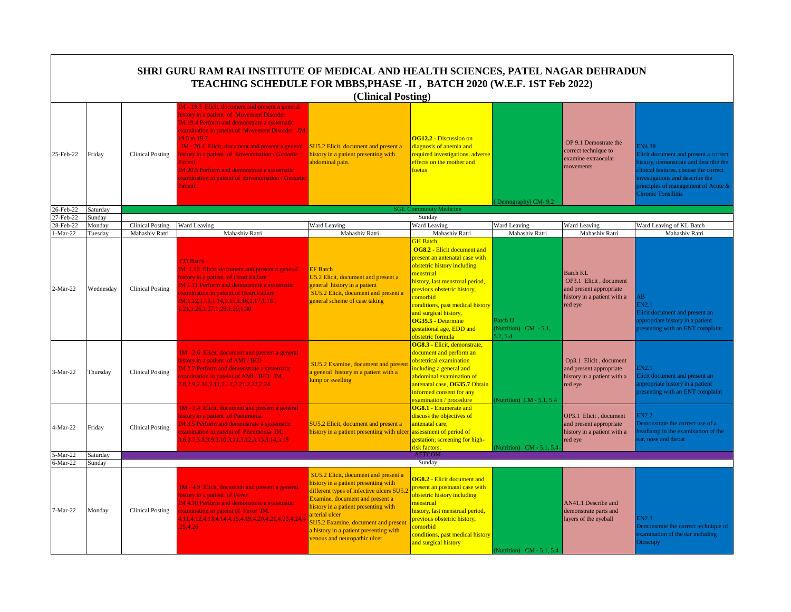|                         |                    |                                           | SHRI GURU RAM RAI INSTITUTE OF MEDICAL AND HEALTH SCIENCES, PATEL NAGAR DEHRADUN<br>TEACHING SCHEDULE FOR MBBS, PHASE -II, BATCH 2020 (W.E.F. 1ST Feb 2022)                                                                                                                                                                                                                                                                                                               |                                                                                                                                                                                                                                                                                                                                             |                                                                                                                                                                                                                                                                                                                                                                                       |                                                     |                                                                                                                |                                                                                                                                                                                                                                                 |
|-------------------------|--------------------|-------------------------------------------|---------------------------------------------------------------------------------------------------------------------------------------------------------------------------------------------------------------------------------------------------------------------------------------------------------------------------------------------------------------------------------------------------------------------------------------------------------------------------|---------------------------------------------------------------------------------------------------------------------------------------------------------------------------------------------------------------------------------------------------------------------------------------------------------------------------------------------|---------------------------------------------------------------------------------------------------------------------------------------------------------------------------------------------------------------------------------------------------------------------------------------------------------------------------------------------------------------------------------------|-----------------------------------------------------|----------------------------------------------------------------------------------------------------------------|-------------------------------------------------------------------------------------------------------------------------------------------------------------------------------------------------------------------------------------------------|
|                         |                    |                                           |                                                                                                                                                                                                                                                                                                                                                                                                                                                                           | (Clinical Posting)                                                                                                                                                                                                                                                                                                                          |                                                                                                                                                                                                                                                                                                                                                                                       |                                                     |                                                                                                                |                                                                                                                                                                                                                                                 |
| 25-Feb-22               | Friday             | <b>Clinical Posting</b>                   | IM - 19.3 Elicit, document and present a general<br>history in a patient of Movement Disorder<br><b>IM 19.4 Perform and demonstrate a systematic</b><br>examination in pateint of Movement Disorder IM.<br>19.5 to 19.7<br>IM - 20.4 Elicit, document and present a general<br>history in a patient of Envenomation / Geriartic<br>Patient<br><b>IM 20.5 Perform and demonstrate a systematic</b><br>examination in pateint of Envenomation / Geriartic<br><b>Patient</b> | SU5.2 Elicit, document and present a<br>history in a patient presenting with<br>abdominal pain.                                                                                                                                                                                                                                             | <b>OG12.2 - Discussion on</b><br>diagnosis of anemia and<br>required investigations, adverse<br>effects on the mother and<br>foetus                                                                                                                                                                                                                                                   | Demography) CM-9.2                                  | OP 9.1 Demostrate the<br>correct technique to<br>examine extraocular<br>movements                              | <b>EN4.39</b><br>Elicit document and present a correct<br>nistory, demonstrate and describe the<br>clinical features, choose the correct<br>nvestigations and describe the<br>principles of management of Acute &<br><b>Chronic Tonsillitis</b> |
| 26-Feb-22               | Saturday           |                                           |                                                                                                                                                                                                                                                                                                                                                                                                                                                                           |                                                                                                                                                                                                                                                                                                                                             | <b>SGL Community Medicine</b>                                                                                                                                                                                                                                                                                                                                                         |                                                     |                                                                                                                |                                                                                                                                                                                                                                                 |
| 27-Feb-22               | Sunday             |                                           |                                                                                                                                                                                                                                                                                                                                                                                                                                                                           |                                                                                                                                                                                                                                                                                                                                             | Sunday                                                                                                                                                                                                                                                                                                                                                                                |                                                     |                                                                                                                |                                                                                                                                                                                                                                                 |
| 28-Feb-22<br>$1-Mar-22$ | Monday<br>Tuesdav  | <b>Clinical Posting</b><br>Mahashiv Ratri | Ward Leaving<br>Mahashiv Ratri                                                                                                                                                                                                                                                                                                                                                                                                                                            | Ward Leaving<br>Mahashiv Ratri                                                                                                                                                                                                                                                                                                              | Ward Leaving<br>Mahashiv Ratri                                                                                                                                                                                                                                                                                                                                                        | Ward Leaving<br>Mahashiv Ratri                      | Ward Leaving<br>Mahashiv Ratri                                                                                 | Ward Leaving of KL Batch<br>Mahashiv Ratri                                                                                                                                                                                                      |
| 2-Mar-22                | Wednesday          | <b>Clinical Posting</b>                   | <b>CD</b> Batch<br>IM .1.10 Elicit, document and present a general<br>history in a patient of Heart Failure<br><b>IM 1.11 Perform and demonstrate a systematic</b><br>xamination in pateint of Heart Failure<br>$IM.1.12, 1.13, 1.14, 1.15, 1.16, 1.17, 1.18,$<br>1.21, 1.26, 1.27, 1.28, 1.29, 1.30                                                                                                                                                                      | <b>EF</b> Batch<br>U5.2 Elicit, document and present a<br>general history in a patient<br>SU5.2 Elicit, document and present a<br>general scheme of case taking                                                                                                                                                                             | <b>GH</b> Batch<br><b>OG8.2 - Elicit document and</b><br>present an antenatal case with<br>obstetric history including<br>menstrual<br>history, last menstrual period,<br>previous obstetric history,<br>comorbid<br>conditions, past medical history<br>and surgical history,<br>OG35.5 - Determine<br>gestational age, EDD and<br>obstetric formula<br>OG8.3 - Elicit, demonstrate, | <b>Batch IJ</b><br>(Nutrition) CM - 5.1,<br>5.2.5.4 | <b>Batch KL</b><br>OP3.1 Elicit, document<br>and present appropriate<br>history in a patient with a<br>red eye | ١B<br>EN2.1<br>Elicit document and present an<br>oppropriate history in a patient<br>resenting with an ENT complaint                                                                                                                            |
| 3-Mar-22                | Thursday           | <b>Clinical Posting</b>                   | IM - 2.6 Elicit, document and present a general<br>history in a patient of AMI / IHD<br><b>IM 2.7 Perform and demonstrate a systematic</b><br>xamination in pateint of AMI / IHD IM.<br>1.8, 2.9, 2.10, 2.11, 2.12, 2.21, 2.22, 2.24                                                                                                                                                                                                                                      | SU5.2 Examine, document and presen<br>a general history in a patient with a<br>ump or swelling                                                                                                                                                                                                                                              | document and perform an<br>obstetrical examination<br>including a general and<br>abdominal examination of<br>antenatal case, OG35.7 Obtain<br>informed consent for any<br>examination / procedure                                                                                                                                                                                     | Nutrition) CM - 5.1, 5.4                            | Op3.1 Elicit, document<br>and present appropriate<br>history in a patient with a<br>red eye                    | IN2.1<br>Elicit document and present an<br>appropriate history in a patient<br>presenting with an ENT complaint                                                                                                                                 |
| 4-Mar-22                | Friday             | <b>Clinical Posting</b>                   | IM - 3.4 Elicit, document and present a general<br>history in a patient of Pneumonia<br><b>IM 3.5 Perform and demonstrate a systematic</b><br>xamination in pateint of Pneumonia IM.<br>3.6, 3.7, 3.8, 3.9, 3.10, 3.11, 3.12, 3.13, 3.14, 3.18                                                                                                                                                                                                                            | SU5.2 Elicit, document and present a<br>history in a patient presenting with ulcer                                                                                                                                                                                                                                                          | OG8.1 - Enumerate and<br>discuss the objectives of<br>antenatal care,<br>assessment of period of<br>gestation; screening for high-<br>risk factors.                                                                                                                                                                                                                                   | Nutrition) CM - 5.1, 5.4                            | OP3.1 Elicit, document<br>and present appropriate<br>history in a patient with a<br>red eye                    | IN2.2<br>Demonstrate the correct use of a<br>eadlamp in the examination of the<br>ar, nose and throat                                                                                                                                           |
| 5-Mar-22<br>6-Mar-22    | Saturday<br>Sundav |                                           |                                                                                                                                                                                                                                                                                                                                                                                                                                                                           |                                                                                                                                                                                                                                                                                                                                             | <b>AETCOM</b><br>Sunday                                                                                                                                                                                                                                                                                                                                                               |                                                     |                                                                                                                |                                                                                                                                                                                                                                                 |
| 7-Mar-22                | Monday             | <b>Clinical Posting</b>                   | IM - 4.9 Elicit, document and present a general<br>history in a patient of Fever<br><b>IM 4.10 Perform and demonstrate a systematic</b><br>xamination in pateint of Fever IM.<br>1.11,4.12,4.13,4.14,4.15,4.19,4.20,4.21,4.23,4.24,4<br>25,4.26                                                                                                                                                                                                                           | SU5.2 Elicit, document and present a<br>history in a patient presenting with<br>different types of infective ulcers SU5.<br>Examine, document and present a<br>history in a patient presenting with<br>arterial ulcer<br><b>SU5.2 Examine, document and present</b><br>history in a patient presenting with<br>venous and neuropathic ulcer | <b>OG8.2 - Elicit document and</b><br>present an postnatal case with<br>obstetric history including<br>menstrual<br>history, last menstrual period,<br>previous obstetric history,<br>comorbid<br>conditions, past medical history<br>and surgical history                                                                                                                            | (Nutrition) CM - 5.1, 5.4                           | AN41.1 Describe and<br>demonstrate parts and<br>layers of the eyeball                                          | EN2.3<br>Demonstrate the correct technique of<br>examination of the ear including<br><b>Otoscopy</b>                                                                                                                                            |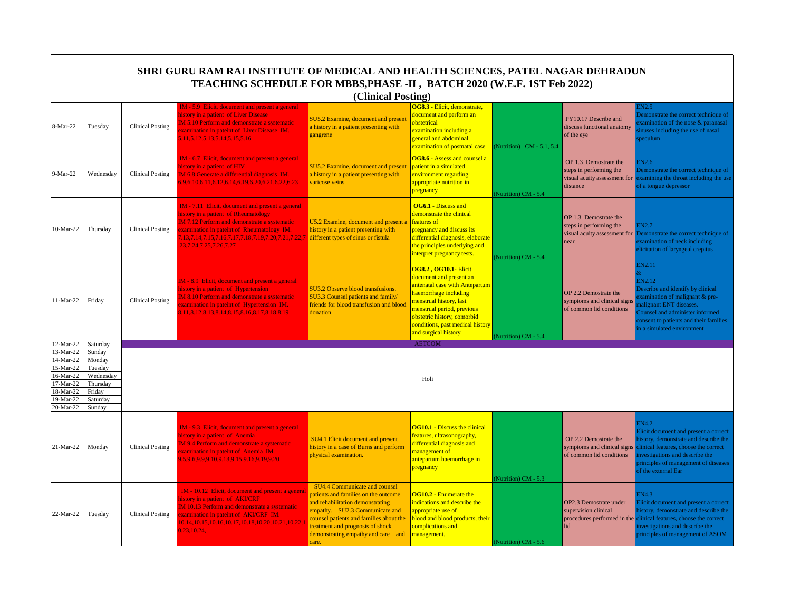|                          | SHRI GURU RAM RAI INSTITUTE OF MEDICAL AND HEALTH SCIENCES, PATEL NAGAR DEHRADUN<br>TEACHING SCHEDULE FOR MBBS, PHASE -II, BATCH 2020 (W.E.F. 1ST Feb 2022)<br>(Clinical Posting) |                         |                                                                                                                                                                                                                                                                                    |                                                                                                                                                                                                                                                                                 |                                                                                                                                                                                                                                                                        |                           |                                                                                              |                                                                                                                                                                                                                                     |  |  |
|--------------------------|-----------------------------------------------------------------------------------------------------------------------------------------------------------------------------------|-------------------------|------------------------------------------------------------------------------------------------------------------------------------------------------------------------------------------------------------------------------------------------------------------------------------|---------------------------------------------------------------------------------------------------------------------------------------------------------------------------------------------------------------------------------------------------------------------------------|------------------------------------------------------------------------------------------------------------------------------------------------------------------------------------------------------------------------------------------------------------------------|---------------------------|----------------------------------------------------------------------------------------------|-------------------------------------------------------------------------------------------------------------------------------------------------------------------------------------------------------------------------------------|--|--|
| 8-Mar-22                 | Tuesday                                                                                                                                                                           | <b>Clinical Posting</b> | <b>IM</b> - 5.9 Elicit, document and present a general<br>nistory in a patient of Liver Disease<br>M 5.10 Perform and demonstrate a systematic<br>xamination in pateint of Liver Disease IM.<br>11, 5.12, 5.13, 5.14, 5.15, 5.16                                                   | <b>SU5.2 Examine, document and present</b><br>a history in a patient presenting with<br>zangrene                                                                                                                                                                                | OG8.3 - Elicit, demonstrate,<br>document and perform an<br>obstetrical<br>examination including a<br>general and abdominal<br>examination of postnatal case                                                                                                            | (Nutrition) CM - 5.1, 5.4 | PY10.17 Describe and<br>discuss functional anatomy<br>of the eye                             | EN2.5<br>Demonstrate the correct technique of<br>xamination of the nose & paranasal<br>inuses including the use of nasal<br>peculum                                                                                                 |  |  |
| 9-Mar-22                 | Wednesday                                                                                                                                                                         | <b>Clinical Posting</b> | IM - 6.7 Elicit, document and present a general<br>nistory in a patient of HIV<br>M 6.8 Generate a differential diagnosis IM.<br>6.9.6.10.6.11.6.12.6.14.6.19.6.20.6.21.6.22.6.23                                                                                                  | <b>SU5.2 Examine, document and present</b><br>a history in a patient presenting with<br>varicose veins                                                                                                                                                                          | OG8.6 - Assess and counsel a<br>patient in a simulated<br>environment regarding<br>appropriate nutrition in<br>pregnancy                                                                                                                                               | Nutrition) CM - 5.4       | OP 1.3 Demostrate the<br>steps in performing the<br>visual acuity assessment for<br>distance | EN2.6<br>Demonstrate the correct technique of<br>examining the throat including the use<br>of a tongue depressor                                                                                                                    |  |  |
| 10-Mar-22                | Thursday                                                                                                                                                                          | <b>Clinical Posting</b> | <b>IM</b> - 7.11 Elicit, document and present a general<br>istory in a patient of Rheumatology<br>M 7.12 Perform and demonstrate a systematic<br>xamination in pateint of Rheumatology IM.<br>.13,7.14,7.15,7.16,7.17,7.18,7.19,7.20,7.21,7.22,7<br>23, 7. 24, 7. 25, 7. 26, 7. 27 | <b>J5.2 Examine, document and present a</b><br>nistory in a patient presenting with<br>different types of sinus or fistula                                                                                                                                                      | <b>OG6.1 - Discuss and</b><br>demonstrate the clinical<br>features of<br>pregnancy and discuss its<br>differential diagnosis, elaborate<br>the principles underlying and<br>interpret pregnancy tests.                                                                 | Nutrition) CM - 5.4       | OP 1.3 Demostrate the<br>steps in performing the<br>visual acuity assessment for<br>near     | <b>EN2.7</b><br>Demonstrate the correct technique of<br>examination of neck including<br>elicitation of laryngeal crepitus                                                                                                          |  |  |
| 11-Mar-22                | Friday                                                                                                                                                                            | <b>Clinical Posting</b> | IM - 8.9 Elicit, document and present a general<br>nistory in a patient of Hypertension<br>M 8.10 Perform and demonstrate a systematic<br>xamination in pateint of Hypertension IM.<br>8.11, 8.12, 8.13, 8.14, 8.15, 8.16, 8.17, 8.18, 8.19                                        | SU3.2 Observe blood transfusions.<br><b>SU3.3 Counsel patients and family/</b><br>friends for blood transfusion and blood<br>donation                                                                                                                                           | <b>OG8.2, OG10.1- Elicit</b><br>document and present an<br>antenatal case with Antepartum<br>haemorrhage including<br>menstrual history, last<br>menstrual period, previous<br>obstetric history, comorbid<br>conditions, past medical history<br>and surgical history | Nutrition) CM - 5.4       | OP 2.2 Demostrate the<br>symptoms and clinical signs<br>of common lid conditions             | <b>EN2.11</b><br>EN2.12<br>Describe and identify by clinical<br>xamination of malignant & pre-<br>nalignant ENT diseases.<br>Counsel and administer informed<br>consent to patients and their families<br>n a simulated environment |  |  |
| 12-Mar-22                | Saturday                                                                                                                                                                          |                         |                                                                                                                                                                                                                                                                                    |                                                                                                                                                                                                                                                                                 | <b>AETCOM</b>                                                                                                                                                                                                                                                          |                           |                                                                                              |                                                                                                                                                                                                                                     |  |  |
| 13-Mar-22<br>14-Mar-22   | Sunday<br>Monday                                                                                                                                                                  |                         |                                                                                                                                                                                                                                                                                    |                                                                                                                                                                                                                                                                                 |                                                                                                                                                                                                                                                                        |                           |                                                                                              |                                                                                                                                                                                                                                     |  |  |
| 15-Mar-22                | Tuesday                                                                                                                                                                           |                         |                                                                                                                                                                                                                                                                                    |                                                                                                                                                                                                                                                                                 |                                                                                                                                                                                                                                                                        |                           |                                                                                              |                                                                                                                                                                                                                                     |  |  |
| $16-Mar-22$<br>17-Mar-22 | Wednesday<br>Thursday                                                                                                                                                             |                         |                                                                                                                                                                                                                                                                                    |                                                                                                                                                                                                                                                                                 | Holi                                                                                                                                                                                                                                                                   |                           |                                                                                              |                                                                                                                                                                                                                                     |  |  |
| 18-Mar-22                | Friday                                                                                                                                                                            |                         |                                                                                                                                                                                                                                                                                    |                                                                                                                                                                                                                                                                                 |                                                                                                                                                                                                                                                                        |                           |                                                                                              |                                                                                                                                                                                                                                     |  |  |
| 19-Mar-22                | Saturday                                                                                                                                                                          |                         |                                                                                                                                                                                                                                                                                    |                                                                                                                                                                                                                                                                                 |                                                                                                                                                                                                                                                                        |                           |                                                                                              |                                                                                                                                                                                                                                     |  |  |
| 20-Mar-22                | Sunday                                                                                                                                                                            |                         |                                                                                                                                                                                                                                                                                    |                                                                                                                                                                                                                                                                                 |                                                                                                                                                                                                                                                                        |                           |                                                                                              |                                                                                                                                                                                                                                     |  |  |
| 21-Mar-22                | Monday                                                                                                                                                                            | <b>Clinical Posting</b> | IM - 9.3 Elicit, document and present a general<br>nistory in a patient of Anemia<br>M 9.4 Perform and demonstrate a systematic<br>xamination in pateint of Anemia IM.<br>0.5,9.6,9.9,9.10,9.13,9.15,9.16,9.19,9.20                                                                | SU4.1 Elicit document and present<br>nistory in a case of Burns and perform<br>ohysical examination.                                                                                                                                                                            | <b>OG10.1 - Discuss the clinical</b><br>features, ultrasonography,<br>differential diagnosis and<br>management of<br>antepartum haemorrhage in<br>pregnancy                                                                                                            | Nutrition) CM - 5.3       | OP 2.2 Demostrate the<br>symptoms and clinical signs<br>of common lid conditions             | EN4.2<br>Elicit document and present a correct<br>istory, demonstrate and describe the<br>clinical features, choose the correct<br>nvestigations and describe the<br>principles of management of diseases<br>of the external Ear    |  |  |
| 22-Mar-22                | Tuesday                                                                                                                                                                           | <b>Clinical Posting</b> | IM - 10.12 Elicit, document and present a general<br>istory in a patient of AKI/CRF<br>IM 10.13 Perform and demonstrate a systematic<br>xamination in pateint of AKI/CRF IM.<br>0.14, 10.15, 10.16, 10.17, 10.18, 10.20, 10.21, 10.22,<br>.23,10.24.                               | <b>SU4.4 Communicate and counsel</b><br>patients and families on the outcome<br>and rehabilitation demonstrating<br>empathy. SU2.3 Communicate and<br>counsel patients and families about the<br>reatment and prognosis of shock<br>demonstrating empathy and care and<br>care. | <b>OG10.2 - Enumerate the</b><br>indications and describe the<br>appropriate use of<br>blood and blood products, their<br>complications and<br>management.                                                                                                             | (Nutrition) CM - 5.6      | OP2.3 Demostrate under<br>supervision clinical<br>procedures performed in the<br>lid         | EN4.3<br>Elicit document and present a correct<br>nistory, demonstrate and describe the<br>clinical features, choose the correct<br>nvestigations and describe the<br>principles of management of ASOM                              |  |  |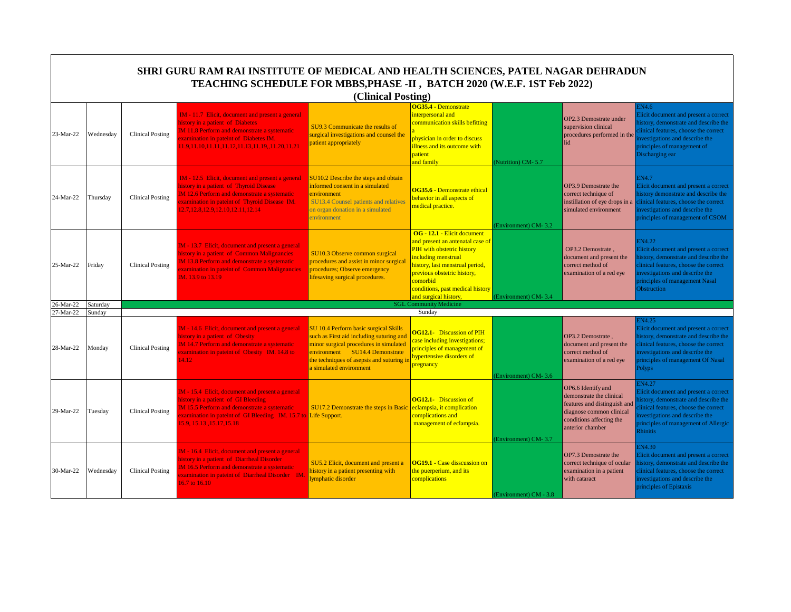|           |           |                         | TEACHING SCHEDULE FOR MBBS, PHASE -II, BATCH 2020 (W.E.F. 1ST Feb 2022)                                                                                                                                                                     | (Clinical Posting)                                                                                                                                                                                                                 |                                                                                                                                                                                                                                                                 |                        |                                                                                                                                                            |                                                                                                                                                                                                                                  |
|-----------|-----------|-------------------------|---------------------------------------------------------------------------------------------------------------------------------------------------------------------------------------------------------------------------------------------|------------------------------------------------------------------------------------------------------------------------------------------------------------------------------------------------------------------------------------|-----------------------------------------------------------------------------------------------------------------------------------------------------------------------------------------------------------------------------------------------------------------|------------------------|------------------------------------------------------------------------------------------------------------------------------------------------------------|----------------------------------------------------------------------------------------------------------------------------------------------------------------------------------------------------------------------------------|
| 23-Mar-22 | Wednesday | <b>Clinical Posting</b> | IM - 11.7 Elicit, document and present a general<br>history in a patient of Diabetes<br><b>IM 11.8 Perform and demonstrate a systematic</b><br>examination in pateint of Diabetes IM.<br>11.9,11.10,11.11,11.12,11.13,11.19,,11.20,11.21    | SU9.3 Communicate the results of<br>surgical investigations and counsel the<br>patient appropriately                                                                                                                               | OG35.4 - Demonstrate<br>interpersonal and<br>communication skills befitting<br>physician in order to discuss<br>illness and its outcome with<br>patient<br>and family                                                                                           | (Nutrition) CM-5.7     | OP2.3 Demostrate under<br>supervision clinical<br>procedures performed in the<br>lid                                                                       | N4.6<br>Elicit document and present a correct<br>istory, demonstrate and describe the<br>linical features, choose the correct<br>nvestigations and describe the<br>principles of management of<br>Discharging ear                |
| 24-Mar-22 | Thursday  | <b>Clinical Posting</b> | IM - 12.5 Elicit, document and present a general<br>history in a patient of Thyroid Disease<br><b>IM 12.6 Perform and demonstrate a systematic</b><br>xamination in pateint of Thyroid Disease IM.<br>12.7, 12.8, 12.9, 12.10, 12.11, 12.14 | SU10.2 Describe the steps and obtain<br>informed consent in a simulated<br>environment<br><b>SU13.4 Counsel patients and relatives</b><br>on organ donation in a simulated<br>environment                                          | OG35.6 - Demonstrate ethical<br>behavior in all aspects of<br>medical practice.                                                                                                                                                                                 | Environment) CM-3.2    | OP3.9 Demostrate the<br>correct technique of<br>instillation of eye drops in a<br>simulated environment                                                    | EN4.7<br>Elicit document and present a correct<br>nistory demonstrate and describe the<br>clinical features, choose the correct<br>investigations and describe the<br>principles of management of CSOM                           |
| 25-Mar-22 | Friday    | <b>Clinical Posting</b> | IM - 13.7 Elicit, document and present a general<br>history in a patient of Common Malignancies<br>M 13.8 Perform and demonstrate a systematic<br>xamination in pateint of Common Malignancies<br>IM. 13.9 to 13.19                         | <b>SU10.3 Observe common surgical</b><br>procedures and assist in minor surgical<br>procedures; Observe emergency<br>ifesaving surgical procedures.                                                                                | OG - 12.1 - Elicit document<br>and present an antenatal case of<br>PIH with obstetric history<br>including menstrual<br>history, last menstrual period,<br>previous obstetric history,<br>comorbid<br>conditions, past medical history<br>and surgical history, | (Environment) CM-3.4   | OP3.2 Demostrate.<br>document and present the<br>correct method of<br>examination of a red eye                                                             | <b>EN4.22</b><br>Elicit document and present a correct<br>istory, demonstrate and describe the<br>linical features, choose the correct<br>nvestigations and describe the<br>principles of management Nasal<br><b>Obstruction</b> |
| 26-Mar-22 | Saturday  |                         |                                                                                                                                                                                                                                             |                                                                                                                                                                                                                                    | <b>SGL Community Medicine</b>                                                                                                                                                                                                                                   |                        |                                                                                                                                                            |                                                                                                                                                                                                                                  |
| 27-Mar-22 | Sundav    |                         |                                                                                                                                                                                                                                             |                                                                                                                                                                                                                                    | Sunday                                                                                                                                                                                                                                                          |                        |                                                                                                                                                            |                                                                                                                                                                                                                                  |
| 28-Mar-22 | Monday    | <b>Clinical Posting</b> | IM - 14.6 Elicit, document and present a general<br>history in a patient of Obesity<br><b>IM 14.7 Perform and demonstrate a systematic</b><br>xamination in pateint of Obesity IM. 14.8 to<br>14.12                                         | SU 10.4 Perform basic surgical Skills<br>such as First aid including suturing and<br>minor surgical procedures in simulated<br>environment SU14.4 Demonstrate<br>he techniques of asepsis and suturing in<br>simulated environment | <b>OG12.1-</b> Discussion of PIH<br>case including investigations;<br>principles of management of<br>hypertensive disorders of<br>pregnancy                                                                                                                     | Environment) CM-3.6    | OP3.2 Demostrate.<br>document and present the<br>correct method of<br>examination of a red eye                                                             | <b>EN4.25</b><br>Elicit document and present a correct<br>nistory, demonstrate and describe the<br>linical features, choose the correct<br>nvestigations and describe the<br>principles of management Of Nasal<br>Polyps         |
| 29-Mar-22 | Tuesday   | <b>Clinical Posting</b> | IM - 15.4 Elicit, document and present a general<br>history in a patient of GI Bleeding<br>IM 15.5 Perform and demonstrate a systematic<br>examination in pateint of GI Bleeding IM, 15.7 to Life Support.<br>15.9, 15.13, 15.17, 15.18     | <b>SU17.2 Demonstrate the steps in Basic</b>                                                                                                                                                                                       | <b>OG12.1-</b> Discussion of<br>eclampsia, it complication<br>complications and<br>management of eclampsia.                                                                                                                                                     | (Environment) CM-3.7   | OP6.6 Identify and<br>demonstrate the clinical<br>features and distinguish and<br>diagnose common clinical<br>conditions affecting the<br>anterior chamber | EN4.27<br>Elicit document and present a correct<br>istory, demonstrate and describe the<br>linical features, choose the correct<br>nvestigations and describe the<br>principles of management of Allergic<br>Rhinitis            |
| 30-Mar-22 | Wednesday | Clinical Posting        | IM - 16.4 Elicit, document and present a general<br>history in a patient of Diarrheal Disorder<br><b>IM 16.5 Perform and demonstrate a systematic</b><br>examination in pateint of Diarrheal Disorder IM.<br>16.7 to 16.10                  | SU5.2 Elicit, document and present a<br>history in a patient presenting with<br>ymphatic disorder                                                                                                                                  | <b>OG19.1 - Case disscussion on</b><br>the puerperium, and its<br>complications                                                                                                                                                                                 | (Environment) CM - 3.8 | OP7.3 Demostrate the<br>correct technique of ocular<br>examination in a patient<br>with cataract                                                           | <b>N4.30</b><br>Elicit document and present a correct<br>istory, demonstrate and describe the<br>clinical features, choose the correct<br>nvestigations and describe the<br>principles of Epistaxis                              |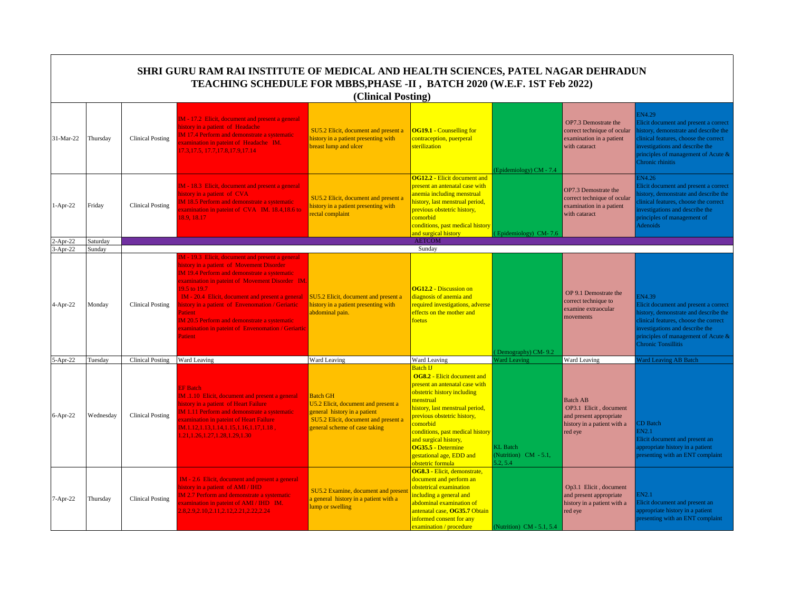|                          |                    |                         | SHRI GURU RAM RAI INSTITUTE OF MEDICAL AND HEALTH SCIENCES, PATEL NAGAR DEHRADUN<br>TEACHING SCHEDULE FOR MBBS, PHASE -II, BATCH 2020 (W.E.F. 1ST Feb 2022)                                                                                                                                                                                                                                                                                    | (Clinical Posting)                                                                                                                                              |                                                                                                                                                                                                                                                                                                                                                       |                                                     |                                                                                                                |                                                                                                                                                                                                                                           |
|--------------------------|--------------------|-------------------------|------------------------------------------------------------------------------------------------------------------------------------------------------------------------------------------------------------------------------------------------------------------------------------------------------------------------------------------------------------------------------------------------------------------------------------------------|-----------------------------------------------------------------------------------------------------------------------------------------------------------------|-------------------------------------------------------------------------------------------------------------------------------------------------------------------------------------------------------------------------------------------------------------------------------------------------------------------------------------------------------|-----------------------------------------------------|----------------------------------------------------------------------------------------------------------------|-------------------------------------------------------------------------------------------------------------------------------------------------------------------------------------------------------------------------------------------|
| 31-Mar-22                | Thursdav           | <b>Clinical Posting</b> | IM - 17.2 Elicit, document and present a general<br>nistory in a patient of Headache<br>M 17.4 Perform and demonstrate a systematic<br>xamination in pateint of Headache IM.<br>7.3, 17.5, 17.7, 17.8, 17.9, 17.14                                                                                                                                                                                                                             | SU5.2 Elicit, document and present a<br>history in a patient presenting with<br>breast lump and ulcer                                                           | <b>OG19.1 - Counselling for</b><br>contraception, puerperal<br>sterilization                                                                                                                                                                                                                                                                          | Epidemiology) CM - 7.4                              | OP7.3 Demostrate the<br>correct technique of ocular<br>examination in a patient<br>with cataract               | <b>EN4.29</b><br>Elicit document and present a correct<br>nistory, demonstrate and describe the<br>clinical features, choose the correct<br>nvestigations and describe the<br>principles of management of Acute &<br>Chronic rhinitis     |
| $1-Apr-22$               | Fridav             | <b>Clinical Posting</b> | IM - 18.3 Elicit, document and present a general<br>istory in a patient of CVA<br>IM 18.5 Perform and demonstrate a systematic<br>xamination in pateint of CVA IM. 18.4,18.6 to<br>8.9.18.17                                                                                                                                                                                                                                                   | SU5.2 Elicit, document and present a<br>history in a patient presenting with<br>rectal complaint                                                                | <b>OG12.2 - Elicit document and</b><br>present an antenatal case with<br>anemia including menstrual<br>history, last menstrual period,<br>previous obstetric history,<br>comorbid<br>conditions, past medical history<br>and surgical history                                                                                                         | Epidemiology) CM-7.6                                | OP7.3 Demostrate the<br>correct technique of ocular<br>examination in a patient<br>with cataract               | IN4.26<br>Elicit document and present a correct<br>istory, demonstrate and describe the<br>linical features, choose the correct<br>nvestigations and describe the<br>principles of management of<br>Adenoids                              |
| $2-Apr-22$<br>$3-Apr-22$ | Saturday<br>Sunday |                         |                                                                                                                                                                                                                                                                                                                                                                                                                                                |                                                                                                                                                                 | AETCOM<br>Sunday                                                                                                                                                                                                                                                                                                                                      |                                                     |                                                                                                                |                                                                                                                                                                                                                                           |
| 4-Apr-22                 | Mondav             | <b>Clinical Posting</b> | M - 19.3 Elicit, document and present a general<br>nistory in a patient of Movement Disorder<br>IM 19.4 Perform and demonstrate a systematic<br>examination in pateint of Movement Disorder IM.<br>9.5 to 19.7<br>IM - 20.4 Elicit, document and present a general<br>istory in a patient of Envenomation / Geriartic<br>atient<br>M 20.5 Perform and demonstrate a systematic<br>examination in pateint of Envenomation / Geriartic<br>atient | SU5.2 Elicit, document and present a<br>history in a patient presenting with<br>abdominal pain.                                                                 | <b>OG12.2 - Discussion on</b><br>diagnosis of anemia and<br>required investigations, adverse<br>effects on the mother and<br>foetus                                                                                                                                                                                                                   | Demography) CM-9.2                                  | OP 9.1 Demostrate the<br>correct technique to<br>examine extraocular<br>movements                              | IN4.39<br>Elicit document and present a correct<br>nistory, demonstrate and describe the<br>clinical features, choose the correct<br>investigations and describe the<br>principles of management of Acute &<br><b>Chronic Tonsillitis</b> |
| 5-Apr-22                 | Tuesday            | <b>Clinical Posting</b> | Ward Leaving                                                                                                                                                                                                                                                                                                                                                                                                                                   | Ward Leaving                                                                                                                                                    | Ward Leaving                                                                                                                                                                                                                                                                                                                                          | <b>Ward Leaving</b>                                 | Ward Leaving                                                                                                   | <b>Ward Leaving AB Batch</b>                                                                                                                                                                                                              |
| $6-Apr-22$               | Wednesday          | <b>Clinical Posting</b> | <b>EF</b> Batch<br>IM .1.10 Elicit, document and present a general<br>nistory in a patient of Heart Failure<br><b>IM 1.11 Perform and demonstrate a systematic</b><br>xamination in pateint of Heart Failure<br>M.1.12,1.13,1.14,1.15,1.16,1.17,1.18,<br>.21, 1.26, 1.27, 1.28, 1.29, 1.30                                                                                                                                                     | <b>Batch GH</b><br>U5.2 Elicit, document and present a<br>general history in a patient<br>SU5.2 Elicit, document and present a<br>general scheme of case taking | <b>Batch IJ</b><br><b>OG8.2 - Elicit document and</b><br>present an antenatal case with<br>obstetric history including<br>menstrual<br>history, last menstrual period,<br>previous obstetric history,<br>comorbid<br>conditions, past medical history<br>and surgical history,<br>OG35.5 - Determine<br>gestational age, EDD and<br>obstetric formula | <b>KL</b> Batch<br>(Nutrition) CM - 5.1,<br>5.2.5.4 | <b>Batch AB</b><br>OP3.1 Elicit, document<br>and present appropriate<br>history in a patient with a<br>red eye | <b>D</b> Batch<br>3N2.1<br>Elicit document and present an<br>appropriate history in a patient<br>presenting with an ENT complaint                                                                                                         |
| 7-Apr-22                 | Thursday           | <b>Clinical Posting</b> | IM - 2.6 Elicit, document and present a general<br>istory in a patient of AMI / IHD<br>M 2.7 Perform and demonstrate a systematic<br>xamination in pateint of AMI / IHD IM.<br>1.8, 2.9, 2.10, 2.11, 2.12, 2.21, 2.22, 2.24                                                                                                                                                                                                                    | SU5.2 Examine, document and presen<br>general history in a patient with a<br>ump or swelling                                                                    | OG8.3 - Elicit, demonstrate,<br>document and perform an<br>obstetrical examination<br>including a general and<br>abdominal examination of<br>antenatal case, OG35.7 Obtain<br>informed consent for any<br>examination / procedure                                                                                                                     | (Nutrition) CM - 5.1, 5.4                           | Op3.1 Elicit, document<br>and present appropriate<br>history in a patient with a<br>red eye                    | IN2.1<br>licit document and present an<br>ppropriate history in a patient<br>presenting with an ENT complaint                                                                                                                             |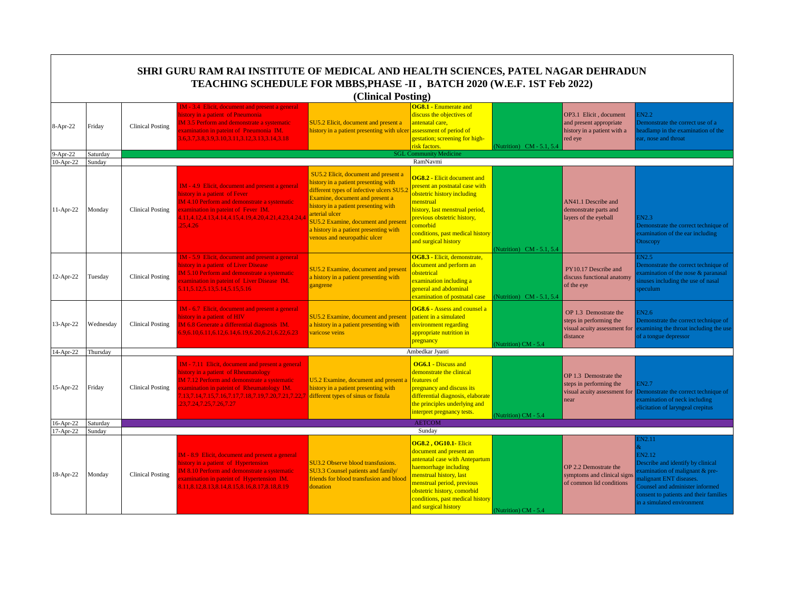|            |           |                         | SHRI GURU RAM RAI INSTITUTE OF MEDICAL AND HEALTH SCIENCES, PATEL NAGAR DEHRADUN<br>TEACHING SCHEDULE FOR MBBS, PHASE -II, BATCH 2020 (W.E.F. 1ST Feb 2022)                                                                                                                   | (Clinical Posting)                                                                                                                                                                                                                                                                                                                            |                                                                                                                                                                                                                                                                        |                           |                                                                                              |                                                                                                                                                                                                                     |
|------------|-----------|-------------------------|-------------------------------------------------------------------------------------------------------------------------------------------------------------------------------------------------------------------------------------------------------------------------------|-----------------------------------------------------------------------------------------------------------------------------------------------------------------------------------------------------------------------------------------------------------------------------------------------------------------------------------------------|------------------------------------------------------------------------------------------------------------------------------------------------------------------------------------------------------------------------------------------------------------------------|---------------------------|----------------------------------------------------------------------------------------------|---------------------------------------------------------------------------------------------------------------------------------------------------------------------------------------------------------------------|
| 8-Apr-22   | Friday    | <b>Clinical Posting</b> | IM - 3.4 Elicit, document and present a general<br>history in a patient of Pneumonia<br>M 3.5 Perform and demonstrate a systematic<br>xamination in pateint of Pneumonia IM.<br>6, 3. 7, 3. 8, 3. 9, 3. 10, 3. 11, 3. 12, 3. 13, 3. 14, 3. 18                                 | SU5.2 Elicit, document and present a<br>history in a patient presenting with ulcer                                                                                                                                                                                                                                                            | <b>OG8.1 - Enumerate and</b><br>discuss the objectives of<br>antenatal care,<br>assessment of period of<br>gestation; screening for high-<br>risk factors.                                                                                                             | (Nutrition) CM - 5.1, 5.4 | OP3.1 Elicit, document<br>and present appropriate<br>history in a patient with a<br>red eye  | EN2.2<br>Demonstrate the correct use of a<br>eadlamp in the examination of the<br>ar, nose and throat                                                                                                               |
| $9-Apr-22$ | Saturday  |                         |                                                                                                                                                                                                                                                                               |                                                                                                                                                                                                                                                                                                                                               | <b>SGL Community Medicine</b>                                                                                                                                                                                                                                          |                           |                                                                                              |                                                                                                                                                                                                                     |
| 10-Apr-22  | Sunday    |                         |                                                                                                                                                                                                                                                                               |                                                                                                                                                                                                                                                                                                                                               | RamNavmi                                                                                                                                                                                                                                                               |                           |                                                                                              |                                                                                                                                                                                                                     |
| 11-Apr-22  | Monday    | Clinical Posting        | IM - 4.9 Elicit, document and present a general<br>history in a patient of Fever<br><b>IM 4.10 Perform and demonstrate a systematic</b><br>xamination in pateint of Fever IM.<br>1.11,4.12,4.13,4.14,4.15,4.19,4.20,4.21,4.23,4.24,4<br>25.4.26                               | SU5.2 Elicit, document and present a<br>history in a patient presenting with<br>different types of infective ulcers SU5.<br>Examine, document and present a<br>history in a patient presenting with<br>arterial ulcer<br><b>SU5.2 Examine, document and present</b><br>a history in a patient presenting with<br>venous and neuropathic ulcer | <b>OG8.2 - Elicit document and</b><br>present an postnatal case with<br>obstetric history including<br>menstrual<br>history, last menstrual period,<br>previous obstetric history,<br>comorbid<br>conditions, past medical history<br>and surgical history             | Nutrition) CM - 5.1, 5.4  | AN41.1 Describe and<br>demonstrate parts and<br>layers of the eyeball                        | EN2.3<br>Demonstrate the correct technique of<br>examination of the ear including<br>Otoscopy                                                                                                                       |
| 12-Apr-22  | Tuesday   | Clinical Posting        | IM - 5.9 Elicit, document and present a general<br>history in a patient of Liver Disease<br>M 5.10 Perform and demonstrate a systematic<br>xamination in pateint of Liver Disease IM.<br>5.11, 5.12, 5.13, 5.14, 5.15, 5.16                                                   | SU5.2 Examine, document and present<br>a history in a patient presenting with<br>gangrene                                                                                                                                                                                                                                                     | OG8.3 - Elicit, demonstrate,<br>document and perform an<br>obstetrical<br>examination including a<br>general and abdominal<br>examination of postnatal case                                                                                                            | (Nutrition) CM - 5.1, 5.4 | PY10.17 Describe and<br>discuss functional anatomy<br>of the eye                             | EN2.5<br>Demonstrate the correct technique of<br>xamination of the nose & paranasal<br>inuses including the use of nasal<br>peculum                                                                                 |
| 13-Apr-22  | Wednesday | <b>Clinical Posting</b> | IM - 6.7 Elicit, document and present a general<br>history in a patient of HIV<br>IM 6.8 Generate a differential diagnosis IM.<br>5.9, 6.10, 6.11, 6.12, 6.14, 6.19, 6.20, 6.21, 6.22, 6.23                                                                                   | SU5.2 Examine, document and present<br>a history in a patient presenting with<br>varicose veins                                                                                                                                                                                                                                               | <b>OG8.6 - Assess and counsel a</b><br>patient in a simulated<br>environment regarding<br>appropriate nutrition in<br>pregnancy                                                                                                                                        | (Nutrition) CM - 5.4      | OP 1.3 Demostrate the<br>steps in performing the<br>visual acuity assessment for<br>distance | EN2.6<br>Demonstrate the correct technique of<br>examining the throat including the use<br>of a tongue depressor                                                                                                    |
| 14-Apr-22  | Thursday  |                         |                                                                                                                                                                                                                                                                               |                                                                                                                                                                                                                                                                                                                                               | Ambedkar Jyanti                                                                                                                                                                                                                                                        |                           |                                                                                              |                                                                                                                                                                                                                     |
| 15-Apr-22  | Friday    | Clinical Posting        | IM - 7.11 Elicit, document and present a general<br>history in a patient of Rheumatology<br>IM 7.12 Perform and demonstrate a systematic<br>xamination in pateint of Rheumatology IM.<br>.13,7.14,7.15,7.16,7.17,7.18,7.19,7.20,7.21,7.22,7<br>23, 7. 24, 7. 25, 7. 26, 7. 27 | U5.2 Examine, document and present a<br>history in a patient presenting with<br>different types of sinus or fistula                                                                                                                                                                                                                           | <b>OG6.1 - Discuss and</b><br>demonstrate the clinical<br>features of<br>pregnancy and discuss its<br>differential diagnosis, elaborate<br>the principles underlying and<br>interpret pregnancy tests.                                                                 | (Nutrition) CM - 5.4      | OP 1.3 Demostrate the<br>steps in performing the<br>visual acuity assessment for<br>near     | EN2.7<br>Demonstrate the correct technique of<br>examination of neck including<br>elicitation of laryngeal crepitus                                                                                                 |
| 16-Apr-22  | Saturday  |                         |                                                                                                                                                                                                                                                                               |                                                                                                                                                                                                                                                                                                                                               | <b>AETCOM</b>                                                                                                                                                                                                                                                          |                           |                                                                                              |                                                                                                                                                                                                                     |
| 17-Apr-22  | Sunday    |                         |                                                                                                                                                                                                                                                                               |                                                                                                                                                                                                                                                                                                                                               | Sunday                                                                                                                                                                                                                                                                 |                           |                                                                                              | EN2.11                                                                                                                                                                                                              |
| 18-Apr-22  | Monday    | <b>Clinical Posting</b> | IM - 8.9 Elicit, document and present a general<br>history in a patient of Hypertension<br><b>IM 8.10 Perform and demonstrate a systematic</b><br>xamination in pateint of Hypertension IM.<br>8.11, 8.12, 8.13, 8.14, 8.15, 8.16, 8.17, 8.18, 8.19                           | SU3.2 Observe blood transfusions.<br>SU3.3 Counsel patients and family/<br>friends for blood transfusion and blood<br>donation                                                                                                                                                                                                                | <b>OG8.2, OG10.1- Elicit</b><br>document and present an<br>antenatal case with Antepartum<br>haemorrhage including<br>menstrual history, last<br>menstrual period, previous<br>obstetric history, comorbid<br>conditions, past medical history<br>and surgical history | (Nutrition) CM - 5.4      | OP 2.2 Demostrate the<br>symptoms and clinical signs<br>of common lid conditions             | EN2.12<br>Describe and identify by clinical<br>xamination of malignant & pre-<br>nalignant ENT diseases.<br>Counsel and administer informed<br>consent to patients and their families<br>in a simulated environment |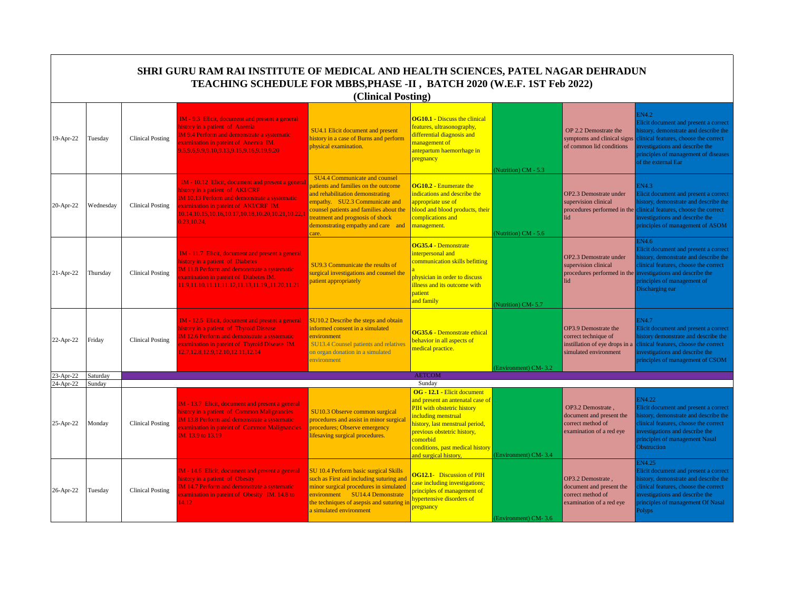|                        |                    |                         | SHRI GURU RAM RAI INSTITUTE OF MEDICAL AND HEALTH SCIENCES, PATEL NAGAR DEHRADUN<br>TEACHING SCHEDULE FOR MBBS, PHASE -II, BATCH 2020 (W.E.F. 1ST Feb 2022)                                                                                             | (Clinical Posting)                                                                                                                                                                                                                                                              |                                                                                                                                                                                                                                                                 |                      |                                                                                                         |                                                                                                                                                                                                                                                  |
|------------------------|--------------------|-------------------------|---------------------------------------------------------------------------------------------------------------------------------------------------------------------------------------------------------------------------------------------------------|---------------------------------------------------------------------------------------------------------------------------------------------------------------------------------------------------------------------------------------------------------------------------------|-----------------------------------------------------------------------------------------------------------------------------------------------------------------------------------------------------------------------------------------------------------------|----------------------|---------------------------------------------------------------------------------------------------------|--------------------------------------------------------------------------------------------------------------------------------------------------------------------------------------------------------------------------------------------------|
| 19-Apr-22              | Tuesday            | <b>Clinical Posting</b> | IM - 9.3 Elicit, document and present a general<br>nistory in a patient of Anemia<br>M 9.4 Perform and demonstrate a systematic<br>xamination in pateint of Anemia IM.<br>0.5,9.6,9.9,9.10,9.13,9.15,9.16,9.19,9.20                                     | SU4.1 Elicit document and present<br>history in a case of Burns and perform<br>ohysical examination.                                                                                                                                                                            | <b>OG10.1 - Discuss the clinical</b><br>features, ultrasonography,<br>differential diagnosis and<br>management of<br>antepartum haemorrhage in<br>pregnancy                                                                                                     | (Nutrition) CM - 5.3 | OP 2.2 Demostrate the<br>symptoms and clinical signs<br>of common lid conditions                        | EN4.2<br>Elicit document and present a correct<br>history, demonstrate and describe the<br>linical features, choose the correct<br>nvestigations and describe the<br>principles of management of diseases<br>of the external Ear                 |
| 20-Apr-22              | Wednesday          | <b>Clinical Posting</b> | IM - 10.12 Elicit, document and present a general<br>nistory in a patient of AKI/CRF<br>IM 10.13 Perform and demonstrate a systematic<br>xamination in pateint of AKI/CRF IM.<br>0.14, 10.15, 10.16, 10.17, 10.18, 10.20, 10.21, 10.22, 1<br>.23,10.24. | <b>SU4.4 Communicate and counsel</b><br>patients and families on the outcome<br>and rehabilitation demonstrating<br>empathy. SU2.3 Communicate and<br>counsel patients and families about the<br>reatment and prognosis of shock<br>demonstrating empathy and care and<br>care. | <b>OG10.2 - Enumerate the</b><br>indications and describe the<br>appropriate use of<br>blood and blood products, their<br>complications and<br>management.                                                                                                      | (Nutrition) CM - 5.6 | OP2.3 Demostrate under<br>supervision clinical<br>procedures performed in the<br>lid                    | <b>EN4.3</b><br>Elicit document and present a correct<br>history, demonstrate and describe the<br>clinical features, choose the correct<br>nvestigations and describe the<br>principles of management of ASOM                                    |
| 21-Apr-22              | Thursday           | <b>Clinical Posting</b> | IM - 11.7 Elicit, document and present a general<br>nistory in a patient of Diabetes<br>M 11.8 Perform and demonstrate a systematic<br>xamination in pateint of Diabetes IM.<br>1.9,11.10,11.11,11.12,11.13,11.19,,11.20,11.21                          | SU9.3 Communicate the results of<br>surgical investigations and counsel the<br>patient appropriately                                                                                                                                                                            | OG35.4 - Demonstrate<br>interpersonal and<br>communication skills befitting<br>physician in order to discuss<br>illness and its outcome with<br>patient<br>and family                                                                                           | (Nutrition) CM-5.7   | OP2.3 Demostrate under<br>supervision clinical<br>lid                                                   | EN4.6<br>Elicit document and present a correct<br>istory, demonstrate and describe the<br>clinical features, choose the correct<br>procedures performed in the investigations and describe the<br>principles of management of<br>Discharging ear |
| 22-Apr-22              | Friday             | <b>Clinical Posting</b> | IM - 12.5 Elicit, document and present a general<br>nistory in a patient of Thyroid Disease<br>M 12.6 Perform and demonstrate a systematic<br>xamination in pateint of Thyroid Disease IM.<br>2.7, 12.8, 12.9, 12.10, 12.11, 12.14                      | SU10.2 Describe the steps and obtain<br>informed consent in a simulated<br>environment<br><b>SU13.4 Counsel patients and relatives</b><br>on organ donation in a simulated<br>environment                                                                                       | OG35.6 - Demonstrate ethical<br>behavior in all aspects of<br>medical practice.                                                                                                                                                                                 | (Environment) CM-3.2 | OP3.9 Demostrate the<br>correct technique of<br>instillation of eye drops in a<br>simulated environment | EN4.7<br>Elicit document and present a correct<br>history demonstrate and describe the<br>linical features, choose the correct<br>nvestigations and describe the<br>principles of management of CSOM                                             |
| 23-Apr-22<br>24-Apr-22 | Saturday<br>Sunday |                         |                                                                                                                                                                                                                                                         |                                                                                                                                                                                                                                                                                 | <b>AETCOM</b><br>Sunday                                                                                                                                                                                                                                         |                      |                                                                                                         |                                                                                                                                                                                                                                                  |
| 25-Apr-22              | Monday             | <b>Clinical Posting</b> | IM - 13.7 Elicit, document and present a general<br>history in a patient of Common Malignancies<br>M 13.8 Perform and demonstrate a systematic<br>xamination in pateint of Common Malignancies<br>M. 13.9 to 13.19                                      | SU10.3 Observe common surgical<br>procedures and assist in minor surgical<br>procedures; Observe emergency<br>lifesaving surgical procedures.                                                                                                                                   | OG - 12.1 - Elicit document<br>and present an antenatal case of<br>PIH with obstetric history<br>including menstrual<br>history, last menstrual period,<br>previous obstetric history,<br>comorbid<br>conditions, past medical history<br>and surgical history, | (Environment) CM-3.4 | OP3.2 Demostrate.<br>document and present the<br>correct method of<br>examination of a red eye          | EN4.22<br>Elicit document and present a correct<br>istory, demonstrate and describe the<br>linical features, choose the correct<br>nvestigations and describe the<br>principles of management Nasal<br>Obstruction                               |
| 26-Apr-22              | Tuesday            | <b>Clinical Posting</b> | M - 14.6 Elicit, document and present a general<br>nistory in a patient of Obesity<br>M 14.7 Perform and demonstrate a systematic<br>xamination in pateint of Obesity IM. 14.8 to<br>4.12                                                               | SU 10.4 Perform basic surgical Skills<br>such as First aid including suturing and<br>minor surgical procedures in simulated<br>environment SU14.4 Demonstrate<br>the techniques of asepsis and suturing i<br>a simulated environment                                            | <b>OG12.1-</b> Discussion of PIH<br>case including investigations;<br>principles of management of<br>hypertensive disorders of<br>pregnancy                                                                                                                     | (Environment) CM-3.6 | OP3.2 Demostrate,<br>document and present the<br>correct method of<br>examination of a red eye          | <b>IN4.25</b><br>Elicit document and present a correct<br>history, demonstrate and describe the<br>linical features, choose the correct<br>nvestigations and describe the<br>principles of management Of Nasal<br><b>Polyps</b>                  |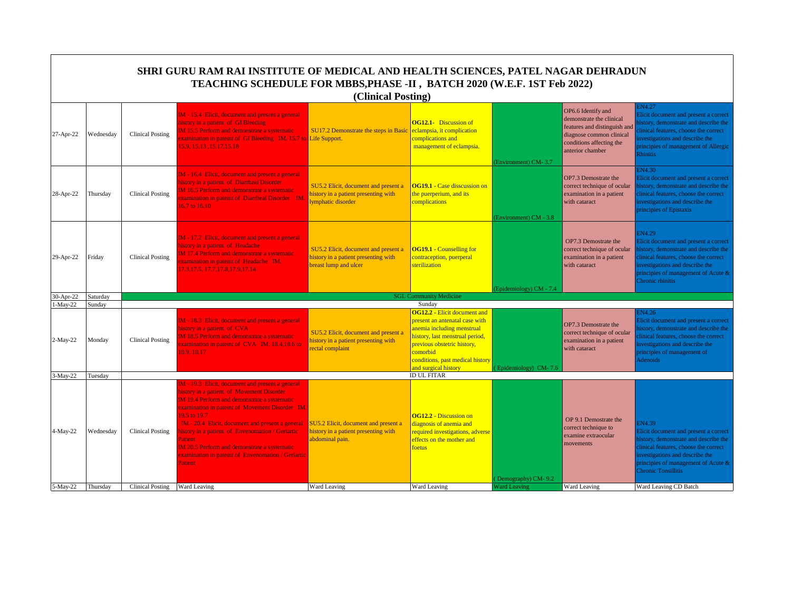|            |           |                               | SHRI GURU RAM RAI INSTITUTE OF MEDICAL AND HEALTH SCIENCES, PATEL NAGAR DEHRADUN<br>TEACHING SCHEDULE FOR MBBS, PHASE -II, BATCH 2020 (W.E.F. 1ST Feb 2022)                                                                                                                                                                                                                                                                                                               | (Clinical Posting)                                                                                    |                                                                                                                                                                                                                                               |                        |                                                                                                                                                            |                                                                                                                                                                                                                                          |
|------------|-----------|-------------------------------|---------------------------------------------------------------------------------------------------------------------------------------------------------------------------------------------------------------------------------------------------------------------------------------------------------------------------------------------------------------------------------------------------------------------------------------------------------------------------|-------------------------------------------------------------------------------------------------------|-----------------------------------------------------------------------------------------------------------------------------------------------------------------------------------------------------------------------------------------------|------------------------|------------------------------------------------------------------------------------------------------------------------------------------------------------|------------------------------------------------------------------------------------------------------------------------------------------------------------------------------------------------------------------------------------------|
| 27-Apr-22  | Wednesday | <b>Clinical Posting</b>       | IM - 15.4 Elicit, document and present a general<br>history in a patient of GI Bleeding<br><b>IM 15.5 Perform and demonstrate a systematic</b><br>xamination in pateint of GI Bleeding IM. 15.7 to Life Support.<br>15.9, 15.13, 15.17, 15.18                                                                                                                                                                                                                             | SU17.2 Demonstrate the steps in Basic                                                                 | <b>OG12.1-</b> Discussion of<br>eclampsia, it complication<br>complications and<br>management of eclampsia.                                                                                                                                   | Environment) CM-3.7    | OP6.6 Identify and<br>demonstrate the clinical<br>features and distinguish and<br>diagnose common clinical<br>conditions affecting the<br>anterior chamber | IN4.27<br>Elicit document and present a correct<br>istory, demonstrate and describe the<br>linical features, choose the correct<br>nvestigations and describe the<br>principles of management of Allergic<br><b>Rhinitis</b>             |
| 28-Apr-22  | Thursday  | <b>Clinical Posting</b>       | IM - 16.4 Elicit, document and present a general<br>history in a patient of Diarrheal Disorder<br>IM 16.5 Perform and demonstrate a systematic<br>xamination in pateint of Diarrheal Disorder IM.<br>16.7 to 16.10                                                                                                                                                                                                                                                        | SU5.2 Elicit, document and present a<br>history in a patient presenting with<br>ymphatic disorder     | <b>OG19.1 - Case disscussion on</b><br>the puerperium, and its<br>complications                                                                                                                                                               | (Environment) CM - 3.8 | OP7.3 Demostrate the<br>correct technique of ocular<br>examination in a patient<br>with cataract                                                           | IN4.30<br>Elicit document and present a correct<br>istory, demonstrate and describe the<br>linical features, choose the correct<br>nvestigations and describe the<br>principles of Epistaxis                                             |
| 29-Apr-22  | Friday    | <b>Clinical Posting</b>       | IM - 17.2 Elicit, document and present a general<br>history in a patient of Headache<br><b>IM 17.4 Perform and demonstrate a systematic</b><br>xamination in pateint of Headache IM.<br>17.3, 17.5, 17.7, 17.8, 17.9, 17.14                                                                                                                                                                                                                                               | SU5.2 Elicit, document and present a<br>history in a patient presenting with<br>breast lump and ulcer | <b>OG19.1 - Counselling for</b><br>contraception, puerperal<br>sterilization                                                                                                                                                                  | Epidemiology) CM - 7.4 | OP7.3 Demostrate the<br>correct technique of ocular<br>examination in a patient<br>with cataract                                                           | EN4.29<br>Elicit document and present a correct<br>nistory, demonstrate and describe the<br>clinical features, choose the correct<br>nvestigations and describe the<br>principles of management of Acute &<br>Chronic rhinitis           |
| 30-Apr-22  | Saturday  |                               |                                                                                                                                                                                                                                                                                                                                                                                                                                                                           |                                                                                                       | <b>SGL Community Medicine</b>                                                                                                                                                                                                                 |                        |                                                                                                                                                            |                                                                                                                                                                                                                                          |
| $1-May-22$ | Sunday    |                               |                                                                                                                                                                                                                                                                                                                                                                                                                                                                           |                                                                                                       | Sunday                                                                                                                                                                                                                                        |                        |                                                                                                                                                            |                                                                                                                                                                                                                                          |
| 2-May-22   | Monday    | <b>Clinical Posting</b>       | IM - 18.3 Elicit, document and present a general<br>history in a patient of CVA<br><b>IM 18.5 Perform and demonstrate a systematic</b><br>examination in pateint of CVA IM. 18.4,18.6 to<br>18.9.18.17                                                                                                                                                                                                                                                                    | SU5.2 Elicit, document and present a<br>history in a patient presenting with<br>ectal complaint       | <b>OG12.2 - Elicit document and</b><br>present an antenatal case with<br>anemia including menstrual<br>history, last menstrual period,<br>previous obstetric history,<br>comorbid<br>conditions, past medical history<br>and surgical history | Epidemiology) CM-7.6   | OP7.3 Demostrate the<br>correct technique of ocular<br>examination in a patient<br>with cataract                                                           | EN4.26<br>Elicit document and present a correct<br>istory, demonstrate and describe the<br>linical features, choose the correct<br>nvestigations and describe the<br>principles of management of<br>Adenoids                             |
| 3-May-22   | Tuesday   |                               |                                                                                                                                                                                                                                                                                                                                                                                                                                                                           |                                                                                                       | <b>ID UL FITAR</b>                                                                                                                                                                                                                            |                        |                                                                                                                                                            |                                                                                                                                                                                                                                          |
| 4-May-22   | Wednesday | <b>Clinical Posting</b>       | IM - 19.3 Elicit, document and present a general<br>history in a patient of Movement Disorder<br><b>IM 19.4 Perform and demonstrate a systematic</b><br>examination in pateint of Movement Disorder IM.<br>19.5 to 19.7<br>IM - 20.4 Elicit, document and present a general<br>nistory in a patient of Envenomation / Geriartic<br>Patient<br><b>IM 20.5 Perform and demonstrate a systematic</b><br>examination in pateint of Envenomation / Geriartic<br><b>Patient</b> | SU5.2 Elicit, document and present a<br>history in a patient presenting with<br>abdominal pain.       | <b>OG12.2 - Discussion on</b><br>diagnosis of anemia and<br>required investigations, adverse<br>effects on the mother and<br>foetus                                                                                                           | Demography) CM-9.2     | OP 9.1 Demostrate the<br>correct technique to<br>examine extraocular<br>movements                                                                          | N4.39<br>Elicit document and present a correct<br>history, demonstrate and describe the<br>clinical features, choose the correct<br>investigations and describe the<br>principles of management of Acute &<br><b>Chronic Tonsillitis</b> |
| 5-May-22   | Thursday  | Clinical Posting Ward Leaving |                                                                                                                                                                                                                                                                                                                                                                                                                                                                           | Ward Leaving                                                                                          | Ward Leaving                                                                                                                                                                                                                                  | <b>Ward Leaving</b>    | Ward Leaving                                                                                                                                               | Ward Leaving CD Batch                                                                                                                                                                                                                    |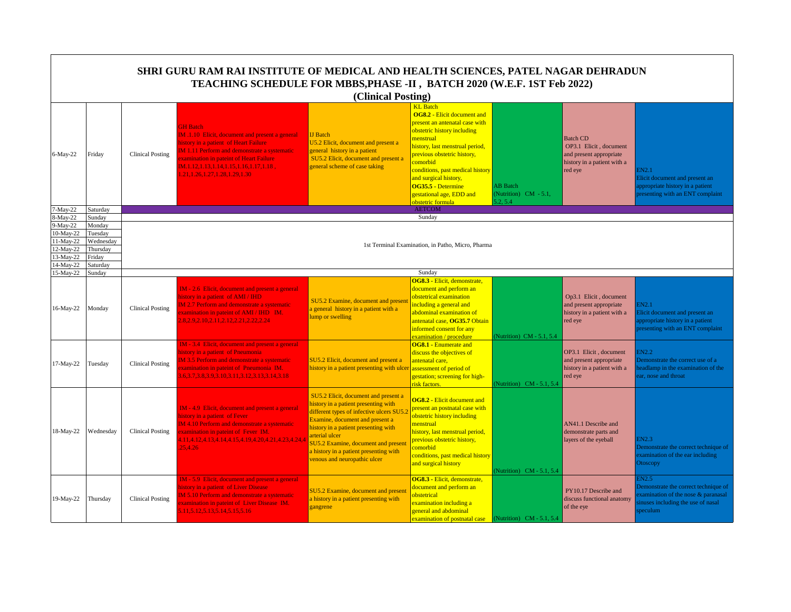|                                                                                       |                                                                            |                         | SHRI GURU RAM RAI INSTITUTE OF MEDICAL AND HEALTH SCIENCES, PATEL NAGAR DEHRADUN<br>TEACHING SCHEDULE FOR MBBS, PHASE -II, BATCH 2020 (W.E.F. 1ST Feb 2022)                                                                                                                                          |                                                                                                                                                                                                                                                                                                                                               |                                                                                                                                                                                                                                                                                                                                                       |                                                      |                                                                                                                |                                                                                                                                    |
|---------------------------------------------------------------------------------------|----------------------------------------------------------------------------|-------------------------|------------------------------------------------------------------------------------------------------------------------------------------------------------------------------------------------------------------------------------------------------------------------------------------------------|-----------------------------------------------------------------------------------------------------------------------------------------------------------------------------------------------------------------------------------------------------------------------------------------------------------------------------------------------|-------------------------------------------------------------------------------------------------------------------------------------------------------------------------------------------------------------------------------------------------------------------------------------------------------------------------------------------------------|------------------------------------------------------|----------------------------------------------------------------------------------------------------------------|------------------------------------------------------------------------------------------------------------------------------------|
|                                                                                       |                                                                            |                         |                                                                                                                                                                                                                                                                                                      | (Clinical Posting)                                                                                                                                                                                                                                                                                                                            |                                                                                                                                                                                                                                                                                                                                                       |                                                      |                                                                                                                |                                                                                                                                    |
| 6-May-22                                                                              | Friday                                                                     | <b>Clinical Posting</b> | <b>GH</b> Batch<br><b>IM .1.10 Elicit, document and present a general</b><br>history in a patient of Heart Failure<br>M 1.11 Perform and demonstrate a systematic<br>examination in pateint of Heart Failure<br>$IM.1.12, 1.13, 1.14, 1.15, 1.16, 1.17, 1.18$ ,<br>.21, 1.26, 1.27, 1.28, 1.29, 1.30 | <b>IJ</b> Batch<br>U5.2 Elicit, document and present a<br>general history in a patient<br>SU5.2 Elicit, document and present a<br>general scheme of case taking                                                                                                                                                                               | <b>KL</b> Batch<br><b>OG8.2 - Elicit document and</b><br>present an antenatal case with<br>obstetric history including<br>menstrual<br>history, last menstrual period,<br>previous obstetric history,<br>comorbid<br>conditions, past medical history<br>and surgical history,<br>OG35.5 - Determine<br>gestational age, EDD and<br>obstetric formula | <b>AB</b> Batch<br>(Nutrition) CM - 5.1,<br>5.2, 5.4 | <b>Batch CD</b><br>OP3.1 Elicit, document<br>and present appropriate<br>history in a patient with a<br>red eye | EN2.1<br>Elicit document and present an<br>appropriate history in a patient<br>resenting with an ENT complaint                     |
| 7-May-22                                                                              | Saturday                                                                   |                         |                                                                                                                                                                                                                                                                                                      |                                                                                                                                                                                                                                                                                                                                               | <b>AETCOM</b>                                                                                                                                                                                                                                                                                                                                         |                                                      |                                                                                                                |                                                                                                                                    |
| 8-May-22<br>9-May-22<br>10-May-22<br>11-May-22<br>12-May-22<br>13-May-22<br>14-May-22 | Sunday<br>Monday<br>Tuesdav<br>Wednesday<br>Thursday<br>Friday<br>Saturday |                         |                                                                                                                                                                                                                                                                                                      |                                                                                                                                                                                                                                                                                                                                               | Sunday<br>1st Terminal Examination, in Patho, Micro, Pharma                                                                                                                                                                                                                                                                                           |                                                      |                                                                                                                |                                                                                                                                    |
| 15-May-22                                                                             | Sunday                                                                     |                         |                                                                                                                                                                                                                                                                                                      |                                                                                                                                                                                                                                                                                                                                               | Sunday                                                                                                                                                                                                                                                                                                                                                |                                                      |                                                                                                                |                                                                                                                                    |
| 16-May-22                                                                             | Monday                                                                     | <b>Clinical Posting</b> | IM - 2.6 Elicit, document and present a general<br>history in a patient of AMI / IHD<br><b>IM 2.7 Perform and demonstrate a systematic</b><br>xamination in pateint of AMI / IHD IM.<br>1.8, 2.9, 2.10, 2.11, 2.12, 2.21, 2.22, 2.24                                                                 | SU5.2 Examine, document and presen<br>a general history in a patient with a<br>ump or swelling                                                                                                                                                                                                                                                | OG8.3 - Elicit, demonstrate,<br>document and perform an<br>obstetrical examination<br>including a general and<br>abdominal examination of<br>antenatal case, OG35.7 Obtain<br>informed consent for any<br>examination / procedure                                                                                                                     | Nutrition) CM - 5.1, 5.4                             | Op3.1 Elicit, document<br>and present appropriate<br>history in a patient with a<br>red eye                    | EN2.1<br>licit document and present an<br>ppropriate history in a patient<br>presenting with an ENT complaint                      |
| 17-May-22                                                                             | Tuesday                                                                    | <b>Clinical Posting</b> | IM - 3.4 Elicit, document and present a general<br>history in a patient of Pneumonia<br><b>IM 3.5 Perform and demonstrate a systematic</b><br>xamination in pateint of Pneumonia IM.<br>1.6, 3.7, 3.8, 3.9, 3.10, 3.11, 3.12, 3.13, 3.14, 3.18                                                       | SU5.2 Elicit, document and present a<br>history in a patient presenting with ulcer                                                                                                                                                                                                                                                            | <b>OG8.1 - Enumerate and</b><br>discuss the objectives of<br>antenatal care,<br>assessment of period of<br>gestation; screening for high-<br>risk factors.                                                                                                                                                                                            | (Nutrition) $CM - 5.1, 5.4$                          | OP3.1 Elicit, document<br>and present appropriate<br>history in a patient with a<br>red eye                    | EN2.2<br>Demonstrate the correct use of a<br>eadlamp in the examination of the<br>ar, nose and throat                              |
| 18-May-22                                                                             | Wednesday                                                                  | <b>Clinical Posting</b> | IM - 4.9 Elicit, document and present a general<br>history in a patient of Fever<br>IM 4.10 Perform and demonstrate a systematic<br>xamination in pateint of Fever IM.<br>1.11,4.12,4.13,4.14,4.15,4.19,4.20,4.21,4.23,4.24,4<br>25,4.26                                                             | SU5.2 Elicit, document and present a<br>history in a patient presenting with<br>different types of infective ulcers SU5.<br>Examine, document and present a<br>nistory in a patient presenting with<br>arterial ulcer<br><b>SU5.2 Examine, document and present</b><br>I history in a patient presenting with<br>venous and neuropathic ulcer | <b>OG8.2 - Elicit document and</b><br>present an postnatal case with<br>obstetric history including<br>menstrual<br>history, last menstrual period,<br>previous obstetric history,<br>comorbid<br>conditions, past medical history<br>and surgical history                                                                                            | Nutrition) CM - 5.1, 5.4                             | AN41.1 Describe and<br>demonstrate parts and<br>layers of the eyeball                                          | EN2.3<br>Demonstrate the correct technique of<br>examination of the ear including<br><b>Otoscopy</b>                               |
| 19-May-22                                                                             | Thursday                                                                   | <b>Clinical Posting</b> | IM - 5.9 Elicit, document and present a general<br>history in a patient of Liver Disease<br><b>IM 5.10 Perform and demonstrate a systematic</b><br>xamination in pateint of Liver Disease IM.<br>5.11, 5.12, 5.13, 5.14, 5.15, 5.16                                                                  | <b>SU5.2 Examine, document and present</b><br>a history in a patient presenting with<br>gangrene                                                                                                                                                                                                                                              | OG8.3 - Elicit, demonstrate,<br>document and perform an<br>obstetrical<br>examination including a<br>general and abdominal<br>examination of postnatal case                                                                                                                                                                                           | (Nutrition) CM - 5.1, 5.4                            | PY10.17 Describe and<br>discuss functional anatomy<br>of the eye                                               | IN2.5<br>Demonstrate the correct technique of<br>xamination of the nose & paranasal<br>nuses including the use of nasal<br>peculum |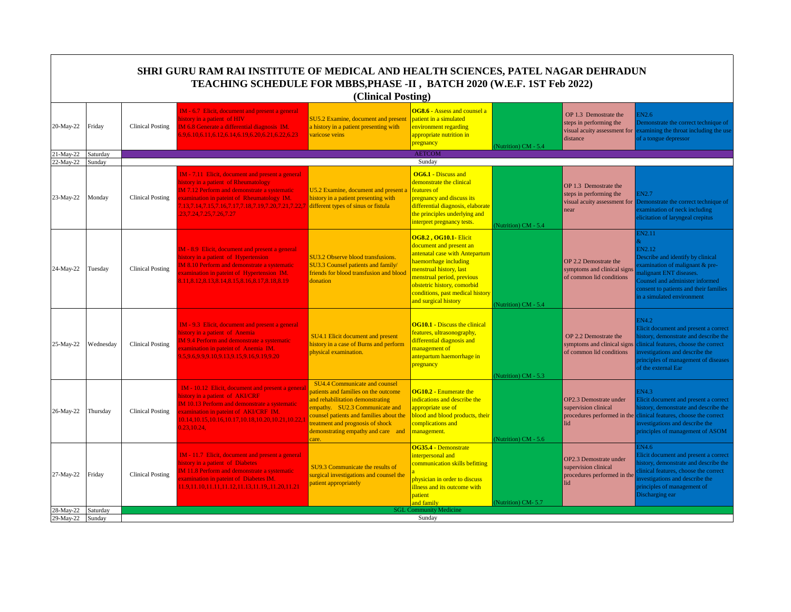|                        | SHRI GURU RAM RAI INSTITUTE OF MEDICAL AND HEALTH SCIENCES, PATEL NAGAR DEHRADUN<br>TEACHING SCHEDULE FOR MBBS, PHASE -II, BATCH 2020 (W.E.F. 1ST Feb 2022)<br>(Clinical Posting) |                         |                                                                                                                                                                                                                                                                              |                                                                                                                                                                                                                                                                          |                                                                                                                                                                                                                                                                        |                      |                                                                                              |                                                                                                                                                                                                                                          |  |  |
|------------------------|-----------------------------------------------------------------------------------------------------------------------------------------------------------------------------------|-------------------------|------------------------------------------------------------------------------------------------------------------------------------------------------------------------------------------------------------------------------------------------------------------------------|--------------------------------------------------------------------------------------------------------------------------------------------------------------------------------------------------------------------------------------------------------------------------|------------------------------------------------------------------------------------------------------------------------------------------------------------------------------------------------------------------------------------------------------------------------|----------------------|----------------------------------------------------------------------------------------------|------------------------------------------------------------------------------------------------------------------------------------------------------------------------------------------------------------------------------------------|--|--|
| 20-May-22              | Friday                                                                                                                                                                            | <b>Clinical Posting</b> | IM - 6.7 Elicit, document and present a general<br>istory in a patient of HIV<br>M 6.8 Generate a differential diagnosis IM.<br>5.9.6.10.6.11.6.12.6.14.6.19.6.20.6.21.6.22.6.23                                                                                             | <b>SU5.2 Examine, document and present</b><br>a history in a patient presenting with<br>varicose veins                                                                                                                                                                   | <b>OG8.6 - Assess and counsel a</b><br>patient in a simulated<br>environment regarding<br>appropriate nutrition in<br>pregnancy                                                                                                                                        | (Nutrition) CM - 5.4 | OP 1.3 Demostrate the<br>steps in performing the<br>visual acuity assessment for<br>distance | EN2.6<br>Demonstrate the correct technique of<br>examining the throat including the use<br>of a tongue depressor                                                                                                                         |  |  |
| 21-May-22<br>22-May-22 | Saturday<br>Sunday                                                                                                                                                                |                         |                                                                                                                                                                                                                                                                              |                                                                                                                                                                                                                                                                          | <b>AETCOM</b><br>Sunday                                                                                                                                                                                                                                                |                      |                                                                                              |                                                                                                                                                                                                                                          |  |  |
| 23-May-22              | Monday                                                                                                                                                                            | <b>Clinical Posting</b> | IM - 7.11 Elicit, document and present a general<br>nistory in a patient of Rheumatology<br>M 7.12 Perform and demonstrate a systematic<br>xamination in pateint of Rheumatology IM.<br>.13,7.14,7.15,7.16,7.17,7.18,7.19,7.20,7.21,7.22,7<br>23, 7. 24, 7. 25, 7. 26, 7. 27 | U5.2 Examine, document and present a<br>history in a patient presenting with<br>different types of sinus or fistula                                                                                                                                                      | OG6.1 - Discuss and<br>demonstrate the clinical<br>features of<br>pregnancy and discuss its<br>differential diagnosis, elaborate<br>the principles underlying and<br>interpret pregnancy tests.                                                                        | Nutrition) CM - 5.4  | OP 1.3 Demostrate the<br>steps in performing the<br>visual acuity assessment for<br>near     | <b>IN2.7</b><br>Demonstrate the correct technique of<br>examination of neck including<br>elicitation of laryngeal crepitus                                                                                                               |  |  |
| 24-May-22              | Tuesday                                                                                                                                                                           | <b>Clinical Posting</b> | IM - 8.9 Elicit, document and present a general<br>istory in a patient of Hypertension<br>M 8.10 Perform and demonstrate a systematic<br>xamination in pateint of Hypertension IM.<br>11,8.12,8.13,8.14,8.15,8.16,8.17,8.18,8.19                                             | <b>SU3.2 Observe blood transfusions.</b><br><b>SU3.3 Counsel patients and family/</b><br>criends for blood transfusion and blood<br>donation                                                                                                                             | <b>OG8.2, OG10.1- Elicit</b><br>document and present an<br>antenatal case with Antepartum<br>haemorrhage including<br>menstrual history, last<br>menstrual period, previous<br>obstetric history, comorbid<br>conditions, past medical history<br>and surgical history | (Nutrition) CM - 5.4 | OP 2.2 Demostrate the<br>symptoms and clinical signs<br>of common lid conditions             | <b>IN2.11</b><br>EN2.12<br>Describe and identify by clinical<br>examination of malignant & pre-<br>nalignant ENT diseases.<br>Counsel and administer informed<br>consent to patients and their families<br>n a simulated environment     |  |  |
| 25-May-22              | Wednesday                                                                                                                                                                         | <b>Clinical Posting</b> | IM - 9.3 Elicit, document and present a general<br>nistory in a patient of Anemia<br>M 9.4 Perform and demonstrate a systematic<br>xamination in pateint of Anemia IM.<br>5.9.6.9.9.9.10.9.13.9.15.9.16.9.19.9.20                                                            | SU4.1 Elicit document and present<br>history in a case of Burns and perform<br>physical examination.                                                                                                                                                                     | <b>OG10.1 - Discuss the clinical</b><br>features, ultrasonography,<br>differential diagnosis and<br>management of<br>antepartum haemorrhage in<br>pregnancy                                                                                                            | Nutrition) CM - 5.3  | OP 2.2 Demostrate the<br>symptoms and clinical signs<br>of common lid conditions             | <b>EN4.2</b><br>Elicit document and present a correct<br>nistory, demonstrate and describe the<br>clinical features, choose the correct<br>nvestigations and describe the<br>principles of management of diseases<br>of the external Ear |  |  |
| 26-May-22              | Thursday                                                                                                                                                                          | Clinical Posting        | IM - 10.12 Elicit, document and present a general<br>nistory in a patient of AKI/CRF<br>IM 10.13 Perform and demonstrate a systematic<br>xamination in pateint of AKI/CRF IM.<br>0.14, 10.15, 10.16, 10.17, 10.18, 10.20, 10.21, 10.22, 1<br>0.23, 10.24,                    | SU4.4 Communicate and counsel<br>patients and families on the outcome<br>and rehabilitation demonstrating<br>empathy. SU2.3 Communicate and<br>counsel patients and families about the<br>reatment and prognosis of shock<br>demonstrating empathy and care and<br>care. | <b>OG10.2 - Enumerate the</b><br>indications and describe the<br>appropriate use of<br>blood and blood products, their<br>complications and<br>management.                                                                                                             | Nutrition) CM - 5.6  | OP2.3 Demostrate under<br>supervision clinical<br>lid                                        | EN4.3<br>Elicit document and present a correct<br>history, demonstrate and describe the<br>procedures performed in the clinical features, choose the correct<br>investigations and describe the<br>principles of management of ASOM      |  |  |
| 27-May-22              | Friday                                                                                                                                                                            | <b>Clinical Posting</b> | IM - 11.7 Elicit, document and present a general<br>nistory in a patient of Diabetes<br>M 11.8 Perform and demonstrate a systematic<br>xamination in pateint of Diabetes IM.<br>1.9,11.10,11.11,11.12,11.13,11.19,,11.20,11.21                                               | SU9.3 Communicate the results of<br>surgical investigations and counsel the<br>patient appropriately                                                                                                                                                                     | OG35.4 - Demonstrate<br>interpersonal and<br>communication skills befitting<br>physician in order to discuss<br>illness and its outcome with<br>patient<br>and family                                                                                                  | (Nutrition) CM-5.7   | OP2.3 Demostrate under<br>supervision clinical<br>procedures performed in the<br>lid         | EN4.6<br>Elicit document and present a correct<br>istory, demonstrate and describe the<br>linical features, choose the correct<br>nvestigations and describe the<br>principles of management of<br>Discharging ear                       |  |  |
| 28-May-22              | Saturday                                                                                                                                                                          |                         |                                                                                                                                                                                                                                                                              |                                                                                                                                                                                                                                                                          | <b>SGL Community Medicine</b>                                                                                                                                                                                                                                          |                      |                                                                                              |                                                                                                                                                                                                                                          |  |  |
| 29-May-22 Sunday       |                                                                                                                                                                                   |                         |                                                                                                                                                                                                                                                                              |                                                                                                                                                                                                                                                                          | Sunday                                                                                                                                                                                                                                                                 |                      |                                                                                              |                                                                                                                                                                                                                                          |  |  |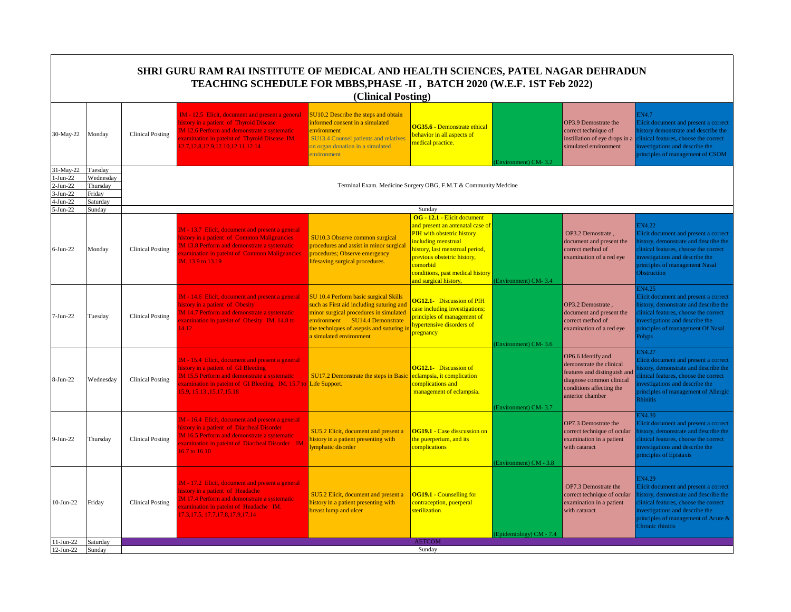|                                                                   | SHRI GURU RAM RAI INSTITUTE OF MEDICAL AND HEALTH SCIENCES, PATEL NAGAR DEHRADUN<br>TEACHING SCHEDULE FOR MBBS, PHASE -II, BATCH 2020 (W.E.F. 1ST Feb 2022)<br>(Clinical Posting) |                         |                                                                                                                                                                                                                                               |                                                                                                                                                                                                                                      |                                                                                                                                                                                                                                                                 |                         |                                                                                                                                                            |                                                                                                                                                                                                                                    |  |  |
|-------------------------------------------------------------------|-----------------------------------------------------------------------------------------------------------------------------------------------------------------------------------|-------------------------|-----------------------------------------------------------------------------------------------------------------------------------------------------------------------------------------------------------------------------------------------|--------------------------------------------------------------------------------------------------------------------------------------------------------------------------------------------------------------------------------------|-----------------------------------------------------------------------------------------------------------------------------------------------------------------------------------------------------------------------------------------------------------------|-------------------------|------------------------------------------------------------------------------------------------------------------------------------------------------------|------------------------------------------------------------------------------------------------------------------------------------------------------------------------------------------------------------------------------------|--|--|
| 30-May-22                                                         | Monday                                                                                                                                                                            | <b>Clinical Posting</b> | IM - 12.5 Elicit, document and present a general<br>history in a patient of Thyroid Disease<br>IM 12.6 Perform and demonstrate a systematic<br>xamination in pateint of Thyroid Disease IM.<br>12.7, 12.8, 12.9, 12.10, 12.11, 12.14          | SU10.2 Describe the steps and obtain<br>informed consent in a simulated<br>environment<br>SU13.4 Counsel patients and relatives<br>on organ donation in a simulated<br>environment                                                   | OG35.6 - Demonstrate ethical<br>behavior in all aspects of<br>medical practice.                                                                                                                                                                                 | (Environment) CM-3.2    | OP3.9 Demostrate the<br>correct technique of<br>instillation of eye drops in a<br>simulated environment                                                    | EN4.7<br>Elicit document and present a correct<br>nistory demonstrate and describe the<br>clinical features, choose the correct<br>nvestigations and describe the<br>principles of management of CSOM                              |  |  |
| 31-May-22<br>$1-Jun-22$<br>$2-Jun-22$<br>$3-Jun-22$<br>$4-Jun-22$ | Tuesday<br>Wednesday<br>Thursday<br>Friday<br>Saturday                                                                                                                            |                         |                                                                                                                                                                                                                                               |                                                                                                                                                                                                                                      | Terminal Exam. Medicine Surgery OBG, F.M.T & Community Medcine                                                                                                                                                                                                  |                         |                                                                                                                                                            |                                                                                                                                                                                                                                    |  |  |
| 5-Jun-22                                                          | Sunday                                                                                                                                                                            |                         |                                                                                                                                                                                                                                               |                                                                                                                                                                                                                                      | Sunday                                                                                                                                                                                                                                                          |                         |                                                                                                                                                            |                                                                                                                                                                                                                                    |  |  |
| $6$ -Jun-22                                                       | Monday                                                                                                                                                                            | <b>Clinical Posting</b> | IM - 13.7 Elicit, document and present a general<br>history in a patient of Common Malignancies<br>IM 13.8 Perform and demonstrate a systematic<br>xamination in pateint of Common Malignancies<br>IM. 13.9 to 13.19                          | SU10.3 Observe common surgical<br>procedures and assist in minor surgical<br>procedures; Observe emergency<br>lifesaving surgical procedures.                                                                                        | OG - 12.1 - Elicit document<br>and present an antenatal case of<br>PIH with obstetric history<br>including menstrual<br>history, last menstrual period,<br>previous obstetric history,<br>comorbid<br>conditions, past medical history<br>and surgical history. | (Environment) CM-3.4    | OP3.2 Demostrate,<br>document and present the<br>correct method of<br>examination of a red eye                                                             | <b>EN4.22</b><br>Elicit document and present a correct<br>istory, demonstrate and describe the<br>clinical features, choose the correct<br>nvestigations and describe the<br>principles of management Nasal<br><b>Obstruction</b>  |  |  |
| $7-Jun-22$                                                        | Tuesday                                                                                                                                                                           | <b>Clinical Posting</b> | IM - 14.6 Elicit, document and present a general<br>history in a patient of Obesity<br>IM 14.7 Perform and demonstrate a systematic<br>xamination in pateint of Obesity IM. 14.8 to<br>14.12                                                  | SU 10.4 Perform basic surgical Skills<br>such as First aid including suturing and<br>minor surgical procedures in simulated<br>environment SU14.4 Demonstrate<br>the techniques of asepsis and suturing i<br>a simulated environment | <b>OG12.1-</b> Discussion of PIH<br>case including investigations;<br>principles of management of<br>hypertensive disorders of<br>pregnancy                                                                                                                     | (Environment) CM-3.6    | OP3.2 Demostrate,<br>document and present the<br>correct method of<br>examination of a red eye                                                             | <b>N4.25</b><br>Elicit document and present a correct<br>nistory, demonstrate and describe the<br>linical features, choose the correct<br>nvestigations and describe the<br>principles of management Of Nasal<br>olyps <sup></sup> |  |  |
| $8-Jun-22$                                                        | Wednesday                                                                                                                                                                         | <b>Clinical Posting</b> | IM - 15.4 Elicit, document and present a general<br>history in a patient of GI Bleeding<br><b>IM 15.5 Perform and demonstrate a systematic</b><br>xamination in pateint of GI Bleeding IM. 15.7 to Life Support.<br>15.9, 15.13, 15.17, 15.18 | SU17.2 Demonstrate the steps in Basic                                                                                                                                                                                                | <b>OG12.1-</b> Discussion of<br>eclampsia, it complication<br>complications and<br>management of eclampsia.                                                                                                                                                     | (Environment) CM-3.7    | OP6.6 Identify and<br>demonstrate the clinical<br>features and distinguish and<br>diagnose common clinical<br>conditions affecting the<br>anterior chamber | <b>IN4.27</b><br>Elicit document and present a correct<br>istory, demonstrate and describe the<br>linical features, choose the correct<br>nvestigations and describe the<br>principles of management of Allergic<br>Rhinitis       |  |  |
| $9-Jun-22$                                                        | Thursday                                                                                                                                                                          | <b>Clinical Posting</b> | IM - 16.4 Elicit, document and present a general<br>history in a patient of Diarrheal Disorder<br><b>IM 16.5 Perform and demonstrate a systematic</b><br>xamination in pateint of Diarrheal Disorder IM<br>16.7 to 16.10                      | SU5.2 Elicit, document and present a<br>history in a patient presenting with<br>lymphatic disorder                                                                                                                                   | <b>OG19.1 - Case disscussion on</b><br>the puerperium, and its<br>complications                                                                                                                                                                                 | (Environment) CM - 3.8  | OP7.3 Demostrate the<br>correct technique of ocular<br>examination in a patient<br>with cataract                                                           | 3N4.30<br>Elicit document and present a correct<br>istory, demonstrate and describe the<br>clinical features, choose the correct<br>nvestigations and describe the<br>principles of Epistaxis                                      |  |  |
| $10-Jun-22$                                                       | Friday                                                                                                                                                                            | <b>Clinical Posting</b> | IM - 17.2 Elicit, document and present a general<br>history in a patient of Headache<br>IM 17.4 Perform and demonstrate a systematic<br>xamination in pateint of Headache IM.<br>17.3, 17.5, 17.7, 17.8, 17.9, 17.14                          | SU5.2 Elicit, document and present a<br>history in a patient presenting with<br>breast lump and ulcer                                                                                                                                | <b>OG19.1 - Counselling for</b><br>contraception, puerperal<br>sterilization                                                                                                                                                                                    | (Epidemiology) CM - 7.4 | OP7.3 Demostrate the<br>correct technique of ocular<br>examination in a patient<br>with cataract                                                           | EN4.29<br>Elicit document and present a correct<br>istory, demonstrate and describe the<br>clinical features, choose the correct<br>nvestigations and describe the<br>principles of management of Acute &<br>Chronic rhinitis      |  |  |
| 11-Jun-22                                                         | Saturday                                                                                                                                                                          |                         |                                                                                                                                                                                                                                               |                                                                                                                                                                                                                                      | <b>AETCOM</b>                                                                                                                                                                                                                                                   |                         |                                                                                                                                                            |                                                                                                                                                                                                                                    |  |  |
| $12-Jun-22$                                                       | Sunday                                                                                                                                                                            |                         |                                                                                                                                                                                                                                               |                                                                                                                                                                                                                                      | Sunday                                                                                                                                                                                                                                                          |                         |                                                                                                                                                            |                                                                                                                                                                                                                                    |  |  |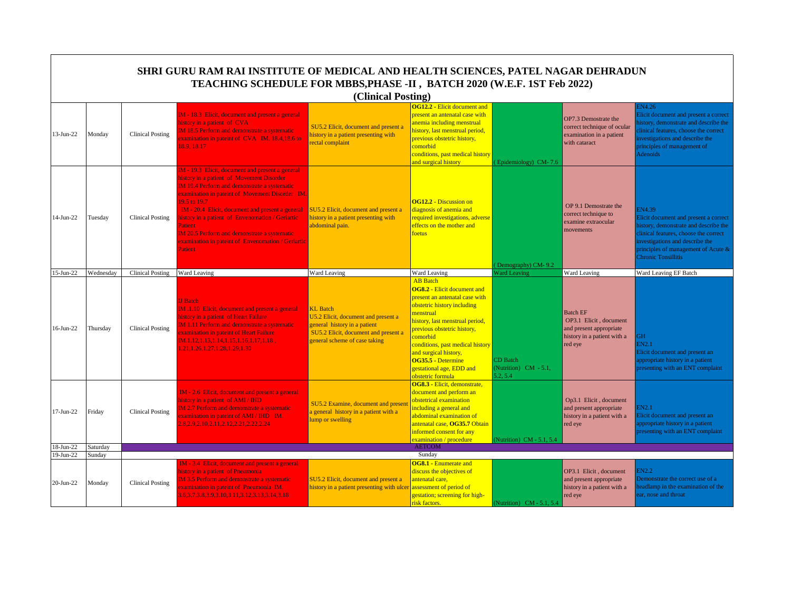|                        |                  |                         | SHRI GURU RAM RAI INSTITUTE OF MEDICAL AND HEALTH SCIENCES, PATEL NAGAR DEHRADUN<br>TEACHING SCHEDULE FOR MBBS, PHASE -II, BATCH 2020 (W.E.F. 1ST Feb 2022)                                                                                                                                                                                                                                                                                                       |                                                                                                                                                                 |                                                                                                                                                                                                                                                                                                                                                       |                                               |                                                                                                                |                                                                                                                                                                                                                                                  |
|------------------------|------------------|-------------------------|-------------------------------------------------------------------------------------------------------------------------------------------------------------------------------------------------------------------------------------------------------------------------------------------------------------------------------------------------------------------------------------------------------------------------------------------------------------------|-----------------------------------------------------------------------------------------------------------------------------------------------------------------|-------------------------------------------------------------------------------------------------------------------------------------------------------------------------------------------------------------------------------------------------------------------------------------------------------------------------------------------------------|-----------------------------------------------|----------------------------------------------------------------------------------------------------------------|--------------------------------------------------------------------------------------------------------------------------------------------------------------------------------------------------------------------------------------------------|
|                        |                  |                         |                                                                                                                                                                                                                                                                                                                                                                                                                                                                   | (Clinical Posting)                                                                                                                                              |                                                                                                                                                                                                                                                                                                                                                       |                                               |                                                                                                                |                                                                                                                                                                                                                                                  |
| 13-Jun-22              | Monday           | <b>Clinical Posting</b> | IM - 18.3 Elicit, document and present a general<br>history in a patient of CVA<br><b>IM 18.5 Perform and demonstrate a systematic</b><br>xamination in pateint of CVA IM. 18.4,18.6 to<br>18.9.18.17                                                                                                                                                                                                                                                             | SU5.2 Elicit, document and present a<br>history in a patient presenting with<br>rectal complaint                                                                | <b>OG12.2 - Elicit document and</b><br>present an antenatal case with<br>anemia including menstrual<br>history, last menstrual period,<br>previous obstetric history,<br>comorbid<br>conditions, past medical history<br>and surgical history                                                                                                         | Epidemiology) CM-7.6                          | OP7.3 Demostrate the<br>correct technique of ocular<br>examination in a patient<br>with cataract               | EN4.26<br>Elicit document and present a correct<br>istory, demonstrate and describe the<br>linical features, choose the correct<br>nvestigations and describe the<br>principles of management of<br><b>Adenoids</b>                              |
| $14-Jun-22$            | Tuesday          | <b>Clinical Posting</b> | IM - 19.3 Elicit, document and present a general<br>nistory in a patient of Movement Disorder<br><b>IM 19.4 Perform and demonstrate a systematic</b><br>examination in pateint of Movement Disorder IM.<br>19.5 to 19.7<br>IM - 20.4 Elicit, document and present a general<br>istory in a patient of Envenomation / Geriartic<br>Patient<br><b>IM 20.5 Perform and demonstrate a systematic</b><br>examination in pateint of Envenomation / Geriartic<br>Patient | SU5.2 Elicit, document and present a<br>history in a patient presenting with<br>abdominal pain.                                                                 | <b>OG12.2 - Discussion on</b><br>diagnosis of anemia and<br>required investigations, adverse<br>effects on the mother and<br>foetus                                                                                                                                                                                                                   | Demography) CM-9.2                            | OP 9.1 Demostrate the<br>correct technique to<br>examine extraocular<br>movements                              | <b>EN4.39</b><br>Elicit document and present a correct<br>history, demonstrate and describe the<br>clinical features, choose the correct<br>investigations and describe the<br>principles of management of Acute &<br><b>Chronic Tonsillitis</b> |
| $15$ -Jun-22           | Wednesday        | <b>Clinical Posting</b> | Ward Leaving                                                                                                                                                                                                                                                                                                                                                                                                                                                      | Ward Leaving                                                                                                                                                    | Ward Leaving                                                                                                                                                                                                                                                                                                                                          | <b>Ward Leaving</b>                           | Ward Leaving                                                                                                   | Ward Leaving EF Batch                                                                                                                                                                                                                            |
| $16$ -Jun-22           | Thursday         | <b>Clinical Posting</b> | <b>IJ</b> Batch<br>IM .1.10 Elicit, document and present a general<br>history in a patient of Heart Failure<br><b>IM 1.11 Perform and demonstrate a systematic</b><br>examination in pateint of Heart Failure<br>$IM.1.12, 1.13, 1.14, 1.15, 1.16, 1.17, 1.18$ ,<br>1.21, 1.26, 1.27, 1.28, 1.29, 1.30                                                                                                                                                            | <b>KL</b> Batch<br>U5.2 Elicit, document and present a<br>general history in a patient<br>SU5.2 Elicit, document and present a<br>general scheme of case taking | <b>AB</b> Batch<br><b>OG8.2 - Elicit document and</b><br>present an antenatal case with<br>obstetric history including<br>menstrual<br>history, last menstrual period,<br>previous obstetric history,<br>comorbid<br>conditions, past medical history<br>and surgical history,<br>OG35.5 - Determine<br>gestational age, EDD and<br>obstetric formula | CD Batch<br>(Nutrition) CM - 5.1,<br>5.2, 5.4 | <b>Batch EF</b><br>OP3.1 Elicit, document<br>and present appropriate<br>history in a patient with a<br>red eye | H<br>EN2.1<br>Elicit document and present an<br>appropriate history in a patient<br>resenting with an ENT complaint                                                                                                                              |
| $17-Jun-22$            | Friday           | <b>Clinical Posting</b> | IM - 2.6 Elicit, document and present a general<br>history in a patient of AMI / IHD<br>M 2.7 Perform and demonstrate a systematic<br>xamination in pateint of AMI / IHD IM.<br>1.8, 2.9, 2.10, 2.11, 2.12, 2.21, 2.22, 2.24                                                                                                                                                                                                                                      | SU5.2 Examine, document and presen<br>a general history in a patient with a<br>ump or swelling                                                                  | OG8.3 - Elicit, demonstrate,<br>document and perform an<br>obstetrical examination<br>including a general and<br>abdominal examination of<br>antenatal case, OG35.7 Obtain<br>informed consent for any<br>examination / procedure                                                                                                                     | (Nutrition) CM - 5.1, 5.4                     | Op3.1 Elicit, document<br>and present appropriate<br>history in a patient with a<br>red eye                    | IN2.1<br>Elicit document and present an<br>appropriate history in a patient<br>presenting with an ENT complaint                                                                                                                                  |
| 18-Jun-22              | Saturday         |                         |                                                                                                                                                                                                                                                                                                                                                                                                                                                                   |                                                                                                                                                                 | <b>AETCOM</b>                                                                                                                                                                                                                                                                                                                                         |                                               |                                                                                                                |                                                                                                                                                                                                                                                  |
| 19-Jun-22<br>20-Jun-22 | Sunday<br>Monday | <b>Clinical Posting</b> | IM - 3.4 Elicit, document and present a general<br>history in a patient of Pneumonia<br>IM 3.5 Perform and demonstrate a systematic<br>xamination in pateint of Pneumonia IM.<br>8.6, 3.7, 3.8, 3.9, 3.10, 3.11, 3.12, 3.13, 3.14, 3.18                                                                                                                                                                                                                           | SU5.2 Elicit, document and present a<br>history in a patient presenting with ulcer                                                                              | Sunday<br><b>OG8.1 - Enumerate and</b><br>discuss the objectives of<br>antenatal care,<br>assessment of period of<br>gestation; screening for high-<br>risk factors.                                                                                                                                                                                  | (Nutrition) CM - 5.1, 5.4                     | OP3.1 Elicit, document<br>and present appropriate<br>history in a patient with a<br>red eye                    | EN2.2<br>Demonstrate the correct use of a<br>eadlamp in the examination of the<br>ear, nose and throat                                                                                                                                           |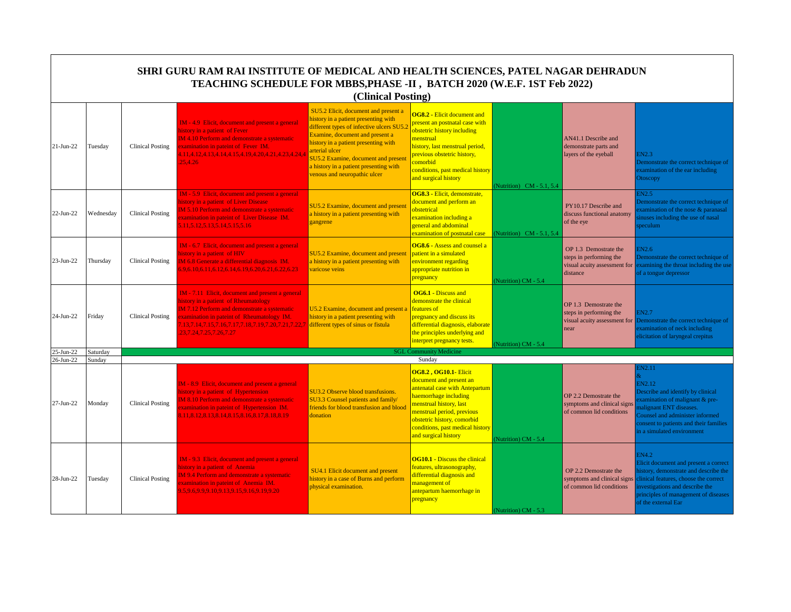|                        |                    |                         | SHRI GURU RAM RAI INSTITUTE OF MEDICAL AND HEALTH SCIENCES, PATEL NAGAR DEHRADUN<br>TEACHING SCHEDULE FOR MBBS, PHASE -II, BATCH 2020 (W.E.F. 1ST Feb 2022)                                                                                                                                   | (Clinical Posting)                                                                                                                                                                                                                                                                                                                      |                                                                                                                                                                                                                                                                        |                          |                                                                                              |                                                                                                                                                                                                                                         |
|------------------------|--------------------|-------------------------|-----------------------------------------------------------------------------------------------------------------------------------------------------------------------------------------------------------------------------------------------------------------------------------------------|-----------------------------------------------------------------------------------------------------------------------------------------------------------------------------------------------------------------------------------------------------------------------------------------------------------------------------------------|------------------------------------------------------------------------------------------------------------------------------------------------------------------------------------------------------------------------------------------------------------------------|--------------------------|----------------------------------------------------------------------------------------------|-----------------------------------------------------------------------------------------------------------------------------------------------------------------------------------------------------------------------------------------|
| 21-Jun-22              | Tuesday            | <b>Clinical Posting</b> | IM - 4.9 Elicit, document and present a general<br>history in a patient of Fever<br>IM 4.10 Perform and demonstrate a systematic<br>examination in pateint of Fever IM.<br>4.11,4.12,4.13,4.14,4.15,4.19,4.20,4.21,4.23,4.24,4<br>25.4.26                                                     | SU5.2 Elicit, document and present a<br>history in a patient presenting with<br>different types of infective ulcers SU5.2<br>Examine, document and present a<br>history in a patient presenting with<br>arterial ulcer<br>SU5.2 Examine, document and present<br>a history in a patient presenting with<br>venous and neuropathic ulcer | <b>OG8.2 - Elicit document and</b><br>present an postnatal case with<br>obstetric history including<br>menstrual<br>history, last menstrual period,<br>previous obstetric history,<br>comorbid<br>conditions, past medical history<br>and surgical history             | Nutrition) CM - 5.1, 5.4 | AN41.1 Describe and<br>demonstrate parts and<br>layers of the eyeball                        | <b>EN2.3</b><br>Demonstrate the correct technique of<br>examination of the ear including<br>Otoscopy                                                                                                                                    |
| 22-Jun-22              | Wednesday          | <b>Clinical Posting</b> | IM - 5.9 Elicit, document and present a general<br>history in a patient of Liver Disease<br><b>IM 5.10 Perform and demonstrate a systematic</b><br>xamination in pateint of Liver Disease IM.<br>5.11, 5.12, 5.13, 5.14, 5.15, 5.16                                                           | SU5.2 Examine, document and present<br>a history in a patient presenting with<br>gangrene                                                                                                                                                                                                                                               | OG8.3 - Elicit, demonstrate,<br>document and perform an<br>obstetrical<br>examination including a<br>general and abdominal<br>$\alpha$ examination of postnatal case $\alpha$ (Nutrition) CM - 5.1, 5.4                                                                |                          | PY10.17 Describe and<br>discuss functional anatomy<br>of the eye                             | EN2.5<br>Demonstrate the correct technique of<br>xamination of the nose & paranasal<br>inuses including the use of nasal<br>peculum                                                                                                     |
| 23-Jun-22              | Thursday           | <b>Clinical Posting</b> | IM - 6.7 Elicit, document and present a general<br>history in a patient of HIV<br>IM 6.8 Generate a differential diagnosis IM.<br>6.9.6.10.6.11.6.12.6.14.6.19.6.20.6.21.6.22.6.23                                                                                                            | SU5.2 Examine, document and present<br>a history in a patient presenting with<br>varicose veins                                                                                                                                                                                                                                         | <b>OG8.6 - Assess and counsel a</b><br>patient in a simulated<br>environment regarding<br>appropriate nutrition in<br>pregnancy                                                                                                                                        | Nutrition) CM - 5.4      | OP 1.3 Demostrate the<br>steps in performing the<br>visual acuity assessment for<br>distance | <b>IN2.6</b><br>Demonstrate the correct technique of<br>examining the throat including the use<br>of a tongue depressor                                                                                                                 |
| 24-Jun-22              | Friday             | <b>Clinical Posting</b> | IM - 7.11 Elicit, document and present a general<br>history in a patient of Rheumatology<br><b>IM 7.12 Perform and demonstrate a systematic</b><br>xamination in pateint of Rheumatology IM.<br>13, 7.14, 7.15, 7.16, 7.17, 7.18, 7.19, 7.20, 7.21, 7.22, 7<br>23, 7. 24, 7. 25, 7. 26, 7. 27 | U5.2 Examine, document and present a<br>history in a patient presenting with<br>different types of sinus or fistula                                                                                                                                                                                                                     | <b>OG6.1 - Discuss and</b><br>demonstrate the clinical<br>features of<br>pregnancy and discuss its<br>differential diagnosis, elaborate<br>the principles underlying and<br>interpret pregnancy tests.                                                                 | Nutrition) CM - 5.4      | OP 1.3 Demostrate the<br>steps in performing the<br>visual acuity assessment for<br>near     | <b>IN2.7</b><br>Demonstrate the correct technique of<br>examination of neck including<br>elicitation of laryngeal crepitus                                                                                                              |
| 25-Jun-22<br>26-Jun-22 | Saturday<br>Sunday |                         |                                                                                                                                                                                                                                                                                               |                                                                                                                                                                                                                                                                                                                                         | <b>SGL Community Medicine</b><br>Sunday                                                                                                                                                                                                                                |                          |                                                                                              |                                                                                                                                                                                                                                         |
| 27-Jun-22              | Monday             | <b>Clinical Posting</b> | IM - 8.9 Elicit, document and present a general<br>history in a patient of Hypertension<br><b>IM 8.10 Perform and demonstrate a systematic</b><br>xamination in pateint of Hypertension IM.<br>8.11, 8.12, 8.13, 8.14, 8.15, 8.16, 8.17, 8.18, 8.19                                           | SU3.2 Observe blood transfusions.<br>SU3.3 Counsel patients and family/<br>friends for blood transfusion and blood<br>donation                                                                                                                                                                                                          | <b>OG8.2, OG10.1- Elicit</b><br>document and present an<br>antenatal case with Antepartum<br>haemorrhage including<br>menstrual history, last<br>menstrual period, previous<br>obstetric history, comorbid<br>conditions, past medical history<br>and surgical history | Nutrition) CM - 5.4      | OP 2.2 Demostrate the<br>symptoms and clinical signs<br>of common lid conditions             | EN2.11<br>EN2.12<br>Describe and identify by clinical<br>xamination of malignant & pre-<br>nalignant ENT diseases.<br>Counsel and administer informed<br>consent to patients and their families<br>in a simulated environment           |
| 28-Jun-22              | Tuesday            | <b>Clinical Posting</b> | IM - 9.3 Elicit, document and present a general<br>history in a patient of Anemia<br>M 9.4 Perform and demonstrate a systematic<br>xamination in pateint of Anemia IM.<br>9.5, 9.6, 9.9, 9.10, 9.13, 9.15, 9.16, 9.19, 9.20                                                                   | SU4.1 Elicit document and present<br>history in a case of Burns and perform<br>physical examination.                                                                                                                                                                                                                                    | <b>OG10.1 - Discuss the clinical</b><br>features, ultrasonography,<br>differential diagnosis and<br>management of<br>antepartum haemorrhage in<br>pregnancy                                                                                                            | (Nutrition) CM - 5.3     | OP 2.2 Demostrate the<br>symptoms and clinical signs<br>of common lid conditions             | <b>EN4.2</b><br>Elicit document and present a correct<br>istory, demonstrate and describe the<br>clinical features, choose the correct<br>nvestigations and describe the<br>principles of management of diseases<br>of the external Ear |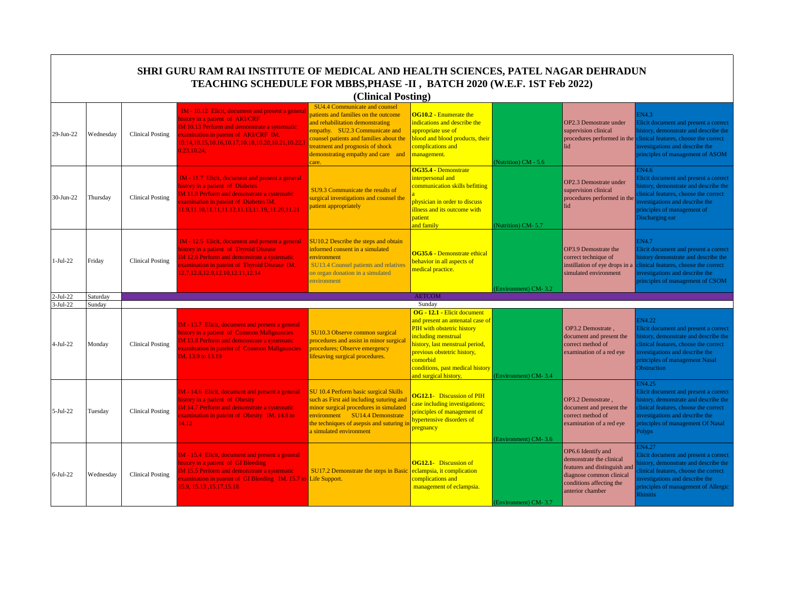|                          | SHRI GURU RAM RAI INSTITUTE OF MEDICAL AND HEALTH SCIENCES, PATEL NAGAR DEHRADUN<br>TEACHING SCHEDULE FOR MBBS, PHASE -II, BATCH 2020 (W.E.F. 1ST Feb 2022)<br>(Clinical Posting) |                         |                                                                                                                                                                                                                                                            |                                                                                                                                                                                                                                                                         |                                                                                                                                                                                                                                                                           |                      |                                                                                                                                                            |                                                                                                                                                                                                                                      |  |  |  |
|--------------------------|-----------------------------------------------------------------------------------------------------------------------------------------------------------------------------------|-------------------------|------------------------------------------------------------------------------------------------------------------------------------------------------------------------------------------------------------------------------------------------------------|-------------------------------------------------------------------------------------------------------------------------------------------------------------------------------------------------------------------------------------------------------------------------|---------------------------------------------------------------------------------------------------------------------------------------------------------------------------------------------------------------------------------------------------------------------------|----------------------|------------------------------------------------------------------------------------------------------------------------------------------------------------|--------------------------------------------------------------------------------------------------------------------------------------------------------------------------------------------------------------------------------------|--|--|--|
| 29-Jun-22                | Wednesday                                                                                                                                                                         | Clinical Posting        | IM - 10.12 Elicit, document and present a genera<br>history in a patient of AKI/CRF<br>IM 10.13 Perform and demonstrate a systematic<br>examination in pateint of AKI/CRF IM.<br>10.14, 10.15, 10.16, 10.17, 10.18, 10.20, 10.21, 10.22, 1<br>0.23, 10.24, | SU4.4 Communicate and counsel<br>patients and families on the outcome<br>and rehabilitation demonstrating<br>empathy. SU2.3 Communicate and<br>counsel patients and families about the<br>reatment and prognosis of shock<br>demonstrating empathy and care and<br>are. | OG10.2 - Enumerate the<br>indications and describe the<br>appropriate use of<br>blood and blood products, their<br>complications and<br>management.                                                                                                                       | Nutrition) CM - 5.6  | OP2.3 Demostrate under<br>supervision clinical<br>procedures performed in the<br>lid                                                                       | EN4.3<br>Elicit document and present a correct<br>nistory, demonstrate and describe the<br>clinical features, choose the correct<br>nvestigations and describe the<br>principles of management of ASOM                               |  |  |  |
| 30-Jun-22                | Thursday                                                                                                                                                                          | <b>Clinical Posting</b> | IM - 11.7 Elicit, document and present a general<br>history in a patient of Diabetes<br><b>IM 11.8 Perform and demonstrate a systematic</b><br>xamination in pateint of Diabetes IM.<br>11.9,11.10,11.11,11.12,11.13,11.19,,11.20,11.21                    | SU9.3 Communicate the results of<br>surgical investigations and counsel the<br>patient appropriately                                                                                                                                                                    | OG35.4 - Demonstrate<br>interpersonal and<br>communication skills befitting<br>physician in order to discuss<br>illness and its outcome with<br>patient<br>and family                                                                                                     | (Nutrition) CM-5.7   | OP2.3 Demostrate under<br>supervision clinical<br>procedures performed in the<br>lid                                                                       | EN4.6<br>Elicit document and present a correct<br>istory, demonstrate and describe the<br>linical features, choose the correct<br>nvestigations and describe the<br>principles of management of<br>Discharging ear                   |  |  |  |
| $1-Jul-22$               | Friday                                                                                                                                                                            | <b>Clinical Posting</b> | IM - 12.5 Elicit, document and present a general<br>history in a patient of Thyroid Disease<br>IM 12.6 Perform and demonstrate a systematic<br>xamination in pateint of Thyroid Disease IM.<br>12.7, 12.8, 12.9, 12.10, 12.11, 12.14                       | SU10.2 Describe the steps and obtain<br>informed consent in a simulated<br>environment<br><b>SU13.4 Counsel patients and relatives</b><br>on organ donation in a simulated<br>environment                                                                               | OG35.6 - Demonstrate ethical<br>behavior in all aspects of<br>medical practice.                                                                                                                                                                                           | Environment) CM-3.2  | OP3.9 Demostrate the<br>correct technique of<br>instillation of eye drops in a<br>simulated environment                                                    | EN4.7<br>Elicit document and present a correct<br>history demonstrate and describe the<br>clinical features, choose the correct<br>investigations and describe the<br>principles of management of CSOM                               |  |  |  |
| 2-Jul-22                 | Saturday                                                                                                                                                                          |                         |                                                                                                                                                                                                                                                            |                                                                                                                                                                                                                                                                         | <b>AETCOM</b>                                                                                                                                                                                                                                                             |                      |                                                                                                                                                            |                                                                                                                                                                                                                                      |  |  |  |
| $3-Jul-22$<br>$4-Jul-22$ | Sunday<br>Monday                                                                                                                                                                  | Clinical Posting        | IM - 13.7 Elicit, document and present a general<br>history in a patient of Common Malignancies<br>IM 13.8 Perform and demonstrate a systematic<br>xamination in pateint of Common Malignancies<br>IM. 13.9 to 13.19                                       | SU10.3 Observe common surgical<br>procedures and assist in minor surgical<br>procedures; Observe emergency<br>lifesaving surgical procedures.                                                                                                                           | Sunday<br>OG - 12.1 - Elicit document<br>and present an antenatal case of<br>PIH with obstetric history<br>including menstrual<br>history, last menstrual period,<br>previous obstetric history,<br>comorbid<br>conditions, past medical history<br>and surgical history, | (Environment) CM-3.4 | OP3.2 Demostrate.<br>document and present the<br>correct method of<br>examination of a red eye                                                             | EN4.22<br>Elicit document and present a correct<br>istory, demonstrate and describe the<br>clinical features, choose the correct<br>nvestigations and describe the<br>principles of management Nasal<br><b>Obstruction</b>           |  |  |  |
| $5-Jul-22$               | Tuesday                                                                                                                                                                           | <b>Clinical Posting</b> | IM - 14.6 Elicit, document and present a general<br>history in a patient of Obesity<br>IM 14.7 Perform and demonstrate a systematic<br>xamination in pateint of Obesity IM. 14.8 to<br>14.12                                                               | SU 10.4 Perform basic surgical Skills<br>such as First aid including suturing and<br>minor surgical procedures in simulated<br>environment SU14.4 Demonstrate<br>the techniques of asepsis and suturing i<br>simulated environment                                      | <b>OG12.1-</b> Discussion of PIH<br>case including investigations;<br>principles of management of<br>hypertensive disorders of<br>pregnancy                                                                                                                               | Environment) CM-3.6  | OP3.2 Demostrate,<br>document and present the<br>correct method of<br>examination of a red eye                                                             | EN4.25<br>Elicit document and present a correct<br>nistory, demonstrate and describe the<br>linical features, choose the correct<br>nvestigations and describe the<br>principles of management Of Nasal<br>Polyps                    |  |  |  |
| $6-Jul-22$               | Wednesday                                                                                                                                                                         | <b>Clinical Posting</b> | IM - 15.4 Elicit, document and present a general<br>history in a patient of GI Bleeding<br>IM 15.5 Perform and demonstrate a systematic<br>xamination in pateint of GI Bleeding IM. 15.7 to Life Support.<br>15.9, 15.13, 15.17, 15.18                     | SU17.2 Demonstrate the steps in Basic                                                                                                                                                                                                                                   | <b>OG12.1-</b> Discussion of<br>eclampsia, it complication<br>complications and<br>management of eclampsia.                                                                                                                                                               | (Environment) CM-3.7 | OP6.6 Identify and<br>demonstrate the clinical<br>features and distinguish and<br>diagnose common clinical<br>conditions affecting the<br>anterior chamber | <b>IN4.27</b><br>Elicit document and present a correct<br>nistory, demonstrate and describe the<br>linical features, choose the correct<br>nvestigations and describe the<br>principles of management of Allergic<br><b>Zhinitis</b> |  |  |  |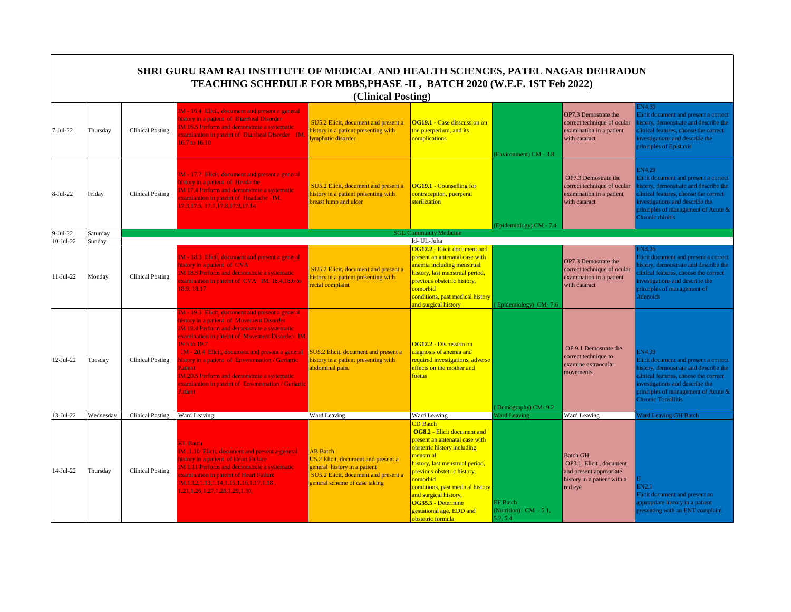|             |           |                         | SHRI GURU RAM RAI INSTITUTE OF MEDICAL AND HEALTH SCIENCES, PATEL NAGAR DEHRADUN<br>TEACHING SCHEDULE FOR MBBS, PHASE -II, BATCH 2020 (W.E.F. 1ST Feb 2022)                                                                                                                                                                                                                                                                                                               | (Clinical Posting)                                                                                                                                              |                                                                                                                                                                                                                                                                                                                                                       |                                                      |                                                                                                                |                                                                                                                                                                                                                                                  |
|-------------|-----------|-------------------------|---------------------------------------------------------------------------------------------------------------------------------------------------------------------------------------------------------------------------------------------------------------------------------------------------------------------------------------------------------------------------------------------------------------------------------------------------------------------------|-----------------------------------------------------------------------------------------------------------------------------------------------------------------|-------------------------------------------------------------------------------------------------------------------------------------------------------------------------------------------------------------------------------------------------------------------------------------------------------------------------------------------------------|------------------------------------------------------|----------------------------------------------------------------------------------------------------------------|--------------------------------------------------------------------------------------------------------------------------------------------------------------------------------------------------------------------------------------------------|
| $7-Jul-22$  | Thursday  | <b>Clinical Posting</b> | IM - 16.4 Elicit, document and present a general<br>history in a patient of Diarrheal Disorder<br><b>IM 16.5 Perform and demonstrate a systematic</b><br>examination in pateint of Diarrheal Disorder IM.<br>16.7 to $16.10$                                                                                                                                                                                                                                              | SU5.2 Elicit, document and present a<br>history in a patient presenting with<br>ymphatic disorder                                                               | <b>OG19.1 - Case disscussion on</b><br>the puerperium, and its<br>complications                                                                                                                                                                                                                                                                       | (Environment) CM - 3.8                               | OP7.3 Demostrate the<br>correct technique of ocular<br>examination in a patient<br>with cataract               | <b>N4.30</b><br>Elicit document and present a correct<br>istory, demonstrate and describe the<br>clinical features, choose the correct<br>nvestigations and describe the<br>principles of Epistaxis                                              |
| 8-Jul-22    | Friday    | <b>Clinical Posting</b> | IM - 17.2 Elicit, document and present a general<br>history in a patient of Headache<br><b>IM 17.4 Perform and demonstrate a systematic</b><br>xamination in pateint of Headache IM.<br>17.3, 17.5, 17.7, 17.8, 17.9, 17.14                                                                                                                                                                                                                                               | SU5.2 Elicit, document and present a<br>history in a patient presenting with<br>breast lump and ulcer                                                           | <b>OG19.1 - Counselling for</b><br>contraception, puerperal<br>sterilization                                                                                                                                                                                                                                                                          | Epidemiology) CM - 7.4                               | OP7.3 Demostrate the<br>correct technique of ocular<br>examination in a patient<br>with cataract               | EN4.29<br>Elicit document and present a correct<br>istory, demonstrate and describe the<br>clinical features, choose the correct<br>nvestigations and describe the<br>principles of management of Acute &<br>Chronic rhinitis                    |
| $9-Jul-22$  | Saturday  |                         |                                                                                                                                                                                                                                                                                                                                                                                                                                                                           |                                                                                                                                                                 | <b>SGL Community Medicine</b>                                                                                                                                                                                                                                                                                                                         |                                                      |                                                                                                                |                                                                                                                                                                                                                                                  |
| $10-Jul-22$ | Sunday    |                         |                                                                                                                                                                                                                                                                                                                                                                                                                                                                           |                                                                                                                                                                 | Id- UL-Juha                                                                                                                                                                                                                                                                                                                                           |                                                      |                                                                                                                |                                                                                                                                                                                                                                                  |
| 11-Jul-22   | Monday    | <b>Clinical Posting</b> | IM - 18.3 Elicit, document and present a general<br>history in a patient of CVA<br><b>IM 18.5 Perform and demonstrate a systematic</b><br>xamination in pateint of CVA IM. 18.4,18.6 to<br>18.9, 18.17                                                                                                                                                                                                                                                                    | SU5.2 Elicit, document and present a<br>history in a patient presenting with<br>rectal complaint                                                                | <b>OG12.2 - Elicit document and</b><br>present an antenatal case with<br>anemia including menstrual<br>history, last menstrual period,<br>previous obstetric history,<br>comorbid<br>conditions, past medical history<br>and surgical history                                                                                                         | (Epidemiology) CM-7.6                                | OP7.3 Demostrate the<br>correct technique of ocular<br>examination in a patient<br>with cataract               | EN4.26<br>Elicit document and present a correct<br>istory, demonstrate and describe the<br>linical features, choose the correct<br>nvestigations and describe the<br>principles of management of<br>Adenoids                                     |
| 12-Jul-22   | Tuesday   | <b>Clinical Posting</b> | IM - 19.3 Elicit, document and present a general<br>history in a patient of Movement Disorder<br><b>IM 19.4 Perform and demonstrate a systematic</b><br>examination in pateint of Movement Disorder IM.<br>19.5 to 19.7<br>IM - 20.4 Elicit, document and present a general<br>nistory in a patient of Envenomation / Geriartic<br>Patient<br><b>IM 20.5 Perform and demonstrate a systematic</b><br>examination in pateint of Envenomation / Geriartic<br><b>Patient</b> | SU5.2 Elicit, document and present a<br>history in a patient presenting with<br>abdominal pain.                                                                 | <b>OG12.2 - Discussion on</b><br>diagnosis of anemia and<br>required investigations, adverse<br>effects on the mother and<br>foetus                                                                                                                                                                                                                   | Demography) CM-9.2                                   | OP 9.1 Demostrate the<br>correct technique to<br>examine extraocular<br>movements                              | <b>EN4.39</b><br>Elicit document and present a correct<br>history, demonstrate and describe the<br>clinical features, choose the correct<br>investigations and describe the<br>principles of management of Acute &<br><b>Chronic Tonsillitis</b> |
| 13-Jul-22   | Wednesday | <b>Clinical Posting</b> | Ward Leaving                                                                                                                                                                                                                                                                                                                                                                                                                                                              | Ward Leaving                                                                                                                                                    | Ward Leaving                                                                                                                                                                                                                                                                                                                                          | <b>Vard Leaving</b>                                  | <b>Ward Leaving</b>                                                                                            | <b>ard Leaving GH Batch</b>                                                                                                                                                                                                                      |
| 14-Jul-22   | Thursday  | <b>Clinical Posting</b> | <b>KL</b> Batch<br>IM .1.10 Elicit, document and present a general<br>history in a patient of Heart Failure<br><b>IM 1.11 Perform and demonstrate a systematic</b><br>examination in pateint of Heart Failure<br>$IM.1.12, 1.13, 1.14, 1.15, 1.16, 1.17, 1.18,$<br>1.21, 1.26, 1.27, 1.28, 1.29, 1.30                                                                                                                                                                     | <b>AB</b> Batch<br>U5.2 Elicit, document and present a<br>general history in a patient<br>SU5.2 Elicit, document and present a<br>general scheme of case taking | <b>CD</b> Batch<br><b>OG8.2 - Elicit document and</b><br>present an antenatal case with<br>obstetric history including<br>menstrual<br>history, last menstrual period,<br>previous obstetric history,<br>comorbid<br>conditions, past medical history<br>and surgical history,<br>OG35.5 - Determine<br>gestational age, EDD and<br>obstetric formula | <b>EF</b> Batch<br>(Nutrition) CM - 5.1,<br>5.2, 5.4 | <b>Batch GH</b><br>OP3.1 Elicit, document<br>and present appropriate<br>history in a patient with a<br>red eye | EN2.1<br>Elicit document and present an<br>ppropriate history in a patient<br>presenting with an ENT complaint                                                                                                                                   |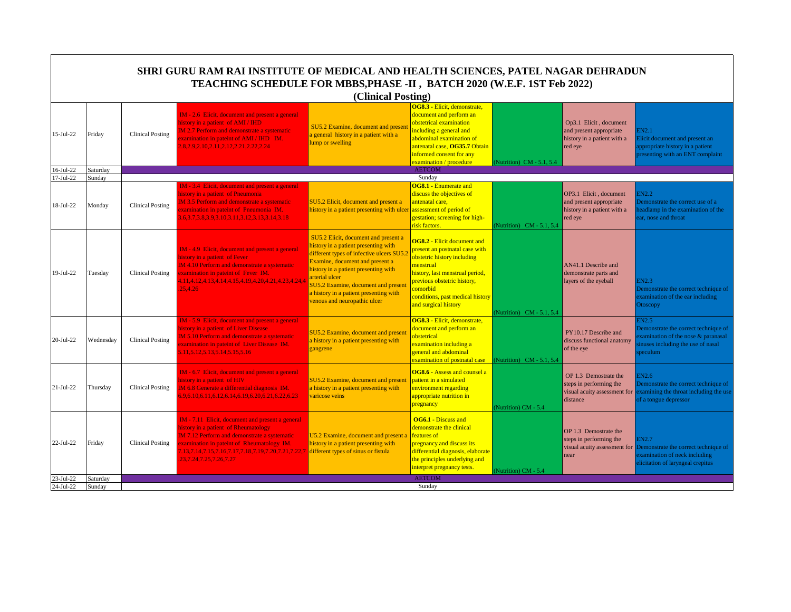|                  | SHRI GURU RAM RAI INSTITUTE OF MEDICAL AND HEALTH SCIENCES, PATEL NAGAR DEHRADUN<br>TEACHING SCHEDULE FOR MBBS, PHASE -II, BATCH 2020 (W.E.F. 1ST Feb 2022)<br>(Clinical Posting) |                         |                                                                                                                                                                                                                                                                                   |                                                                                                                                                                                                                                                                                                                                               |                                                                                                                                                                                                                                                            |                           |                                                                                              |                                                                                                                                     |  |  |
|------------------|-----------------------------------------------------------------------------------------------------------------------------------------------------------------------------------|-------------------------|-----------------------------------------------------------------------------------------------------------------------------------------------------------------------------------------------------------------------------------------------------------------------------------|-----------------------------------------------------------------------------------------------------------------------------------------------------------------------------------------------------------------------------------------------------------------------------------------------------------------------------------------------|------------------------------------------------------------------------------------------------------------------------------------------------------------------------------------------------------------------------------------------------------------|---------------------------|----------------------------------------------------------------------------------------------|-------------------------------------------------------------------------------------------------------------------------------------|--|--|
| 15-Jul-22        | Friday                                                                                                                                                                            | <b>Clinical Posting</b> | <b>IM</b> - 2.6 Elicit, document and present a general<br>history in a patient of AMI / IHD<br>M 2.7 Perform and demonstrate a systematic<br>xamination in pateint of AMI / IHD IM.<br>2.8.2.9.2.10.2.11.2.12.2.21.2.22.2.24                                                      | SU5.2 Examine, document and presen<br>a general history in a patient with a<br>ump or swelling                                                                                                                                                                                                                                                | OG8.3 - Elicit, demonstrate,<br>document and perform an<br>obstetrical examination<br>including a general and<br>abdominal examination of<br>antenatal case, OG35.7 Obtain<br>informed consent for any<br>examination / procedure                          | (Nutrition) CM - 5.1, 5.4 | Op3.1 Elicit, document<br>and present appropriate<br>history in a patient with a<br>red eye  | EN2.1<br>licit document and present an<br>appropriate history in a patient<br>presenting with an ENT complaint                      |  |  |
| $16-Jul-22$      | Saturday                                                                                                                                                                          |                         |                                                                                                                                                                                                                                                                                   |                                                                                                                                                                                                                                                                                                                                               | <b>AETCOM</b>                                                                                                                                                                                                                                              |                           |                                                                                              |                                                                                                                                     |  |  |
| $17 -$ Jul $-22$ | Sundav                                                                                                                                                                            |                         |                                                                                                                                                                                                                                                                                   |                                                                                                                                                                                                                                                                                                                                               | Sunday                                                                                                                                                                                                                                                     |                           |                                                                                              |                                                                                                                                     |  |  |
| 18-Jul-22        | Monday                                                                                                                                                                            | <b>Clinical Posting</b> | IM - 3.4 Elicit, document and present a general<br>history in a patient of Pneumonia<br><b>IM 3.5 Perform and demonstrate a systematic</b><br>examination in pateint of Pneumonia IM.<br>3.6, 3.7, 3.8, 3.9, 3.10, 3.11, 3.12, 3.13, 3.14, 3.18                                   | SU5.2 Elicit, document and present a<br>history in a patient presenting with ulcer                                                                                                                                                                                                                                                            | <b>OG8.1 - Enumerate and</b><br>discuss the objectives of<br>antenatal care,<br>assessment of period of<br>gestation; screening for high-<br>risk factors.                                                                                                 | (Nutrition) CM - 5.1, 5.4 | OP3.1 Elicit, document<br>and present appropriate<br>history in a patient with a<br>red eye  | N2.2<br>Demonstrate the correct use of a<br>eadlamp in the examination of the<br>ear, nose and throat                               |  |  |
| 19-Jul-22        | Tuesday                                                                                                                                                                           | <b>Clinical Posting</b> | <b>IM</b> - 4.9 Elicit, document and present a general<br>history in a patient of Fever<br>IM 4.10 Perform and demonstrate a systematic<br>examination in pateint of Fever IM.<br>1.11,4.12,4.13,4.14,4.15,4.19,4.20,4.21,4.23,4.24,4<br>25,4.26                                  | SU5.2 Elicit, document and present a<br>history in a patient presenting with<br>different types of infective ulcers SU5.<br>Examine, document and present a<br>history in a patient presenting with<br>arterial ulcer<br><b>SU5.2 Examine, document and present</b><br>a history in a patient presenting with<br>venous and neuropathic ulcer | <b>OG8.2 - Elicit document and</b><br>present an postnatal case with<br>obstetric history including<br>menstrual<br>history, last menstrual period,<br>previous obstetric history,<br>comorbid<br>conditions, past medical history<br>and surgical history | Nutrition) CM - 5.1, 5.4  | AN41.1 Describe and<br>demonstrate parts and<br>layers of the eyeball                        | <b>EN2.3</b><br>Demonstrate the correct technique of<br>examination of the ear including<br>Otoscopy                                |  |  |
| 20-Jul-22        | Wednesday                                                                                                                                                                         | <b>Clinical Posting</b> | IM - 5.9 Elicit, document and present a general<br>history in a patient of Liver Disease<br>M 5.10 Perform and demonstrate a systematic<br>xamination in pateint of Liver Disease IM.<br>5.11, 5.12, 5.13, 5.14, 5.15, 5.16                                                       | SU5.2 Examine, document and present<br>a history in a patient presenting with<br>gangrene                                                                                                                                                                                                                                                     | OG8.3 - Elicit, demonstrate,<br>document and perform an<br>obstetrical<br>examination including a<br>general and abdominal<br>examination of postnatal case                                                                                                | (Nutrition) CM - 5.1, 5.4 | PY10.17 Describe and<br>discuss functional anatomy<br>of the eye                             | EN2.5<br>Demonstrate the correct technique of<br>xamination of the nose & paranasal<br>inuses including the use of nasal<br>peculum |  |  |
| 21-Jul-22        | Thursday                                                                                                                                                                          | <b>Clinical Posting</b> | IM - 6.7 Elicit, document and present a general<br>history in a patient of HIV<br>IM 6.8 Generate a differential diagnosis IM.<br>5.9.6.10.6.11.6.12.6.14.6.19.6.20.6.21.6.22.6.23                                                                                                | SU5.2 Examine, document and present<br>a history in a patient presenting with<br>varicose veins                                                                                                                                                                                                                                               | <b>OG8.6 - Assess and counsel a</b><br>patient in a simulated<br>environment regarding<br>appropriate nutrition in<br>pregnancy                                                                                                                            | Nutrition) CM - 5.4       | OP 1.3 Demostrate the<br>steps in performing the<br>visual acuity assessment for<br>distance | 3N2.6<br>Demonstrate the correct technique of<br>examining the throat including the use<br>of a tongue depressor                    |  |  |
| 22-Jul-22        | Friday                                                                                                                                                                            | Clinical Posting        | IM - 7.11 Elicit, document and present a general<br>history in a patient of Rheumatology<br><b>IM 7.12 Perform and demonstrate a systematic</b><br>xamination in pateint of Rheumatology IM.<br>1,13,7.14,7.15,7.16,7.17,7.18,7.19,7.20,7.21,7.22,7<br>23, 7.24, 7.25, 7.26, 7.27 | U5.2 Examine, document and present a<br>history in a patient presenting with<br>different types of sinus or fistula                                                                                                                                                                                                                           | <b>OG6.1 - Discuss and</b><br>demonstrate the clinical<br>features of<br>pregnancy and discuss its<br>differential diagnosis, elaborate<br>the principles underlying and<br>interpret pregnancy tests.                                                     | (Nutrition) CM - 5.4      | OP 1.3 Demostrate the<br>steps in performing the<br>visual acuity assessment for<br>near     | EN2.7<br>Demonstrate the correct technique of<br>examination of neck including<br>elicitation of laryngeal crepitus                 |  |  |
| 23-Jul-22        | Saturday                                                                                                                                                                          |                         |                                                                                                                                                                                                                                                                                   |                                                                                                                                                                                                                                                                                                                                               | <b>AETCOM</b>                                                                                                                                                                                                                                              |                           |                                                                                              |                                                                                                                                     |  |  |
| 24-Jul-22        | Sunday                                                                                                                                                                            |                         |                                                                                                                                                                                                                                                                                   |                                                                                                                                                                                                                                                                                                                                               | Sunday                                                                                                                                                                                                                                                     |                           |                                                                                              |                                                                                                                                     |  |  |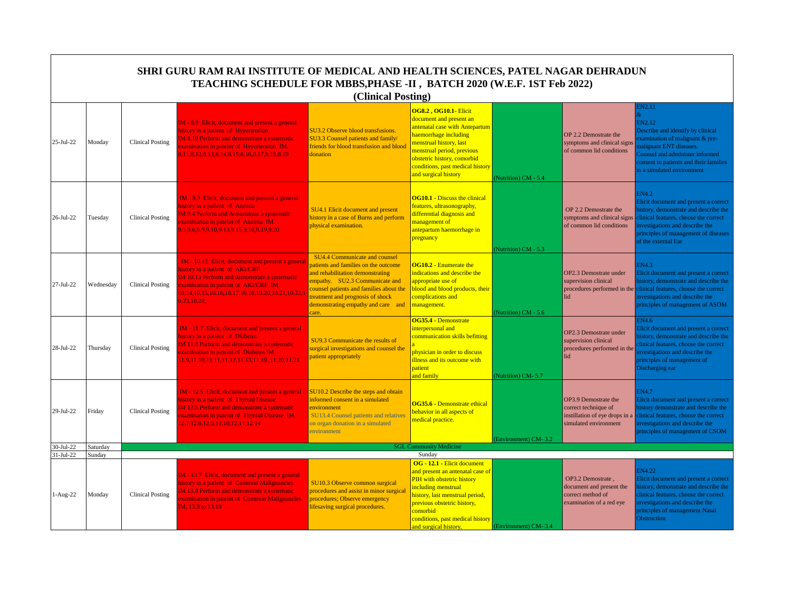|            |           |                         | SHRI GURU RAM RAI INSTITUTE OF MEDICAL AND HEALTH SCIENCES, PATEL NAGAR DEHRADUN<br>TEACHING SCHEDULE FOR MBBS, PHASE -II, BATCH 2020 (W.E.F. 1ST Feb 2022)                                                                                                | (Clinical Posting)                                                                                                                                                                                                                                                       |                                                                                                                                                                                                                                                                        |                      |                                                                                                |                                                                                                                                                                                                                                              |
|------------|-----------|-------------------------|------------------------------------------------------------------------------------------------------------------------------------------------------------------------------------------------------------------------------------------------------------|--------------------------------------------------------------------------------------------------------------------------------------------------------------------------------------------------------------------------------------------------------------------------|------------------------------------------------------------------------------------------------------------------------------------------------------------------------------------------------------------------------------------------------------------------------|----------------------|------------------------------------------------------------------------------------------------|----------------------------------------------------------------------------------------------------------------------------------------------------------------------------------------------------------------------------------------------|
|            |           |                         |                                                                                                                                                                                                                                                            |                                                                                                                                                                                                                                                                          |                                                                                                                                                                                                                                                                        |                      |                                                                                                | <b>EN2.11</b>                                                                                                                                                                                                                                |
| 25-Jul-22  | Monday    | <b>Clinical Posting</b> | IM - 8.9 Elicit, document and present a general<br>history in a patient of Hypertension<br><b>IM 8.10 Perform and demonstrate a systematic</b><br>xamination in pateint of Hypertension IM.<br>8.11, 8.12, 8.13, 8.14, 8.15, 8.16, 8.17, 8.18, 8.19        | SU3.2 Observe blood transfusions.<br>SU3.3 Counsel patients and family/<br>friends for blood transfusion and blood<br>donation                                                                                                                                           | <b>OG8.2, OG10.1- Elicit</b><br>document and present an<br>antenatal case with Antepartum<br>haemorrhage including<br>menstrual history, last<br>menstrual period, previous<br>obstetric history, comorbid<br>conditions, past medical history<br>and surgical history | Nutrition) CM - 5.4  | OP 2.2 Demostrate the<br>symptoms and clinical signs<br>of common lid conditions               | EN2.12<br>Describe and identify by clinical<br>examination of malignant & pre-<br>nalignant ENT diseases.<br>Counsel and administer informed<br>consent to patients and their families<br>in a simulated environment                         |
| 26-Jul-22  | Tuesday   | <b>Clinical Posting</b> | IM - 9.3 Elicit, document and present a general<br>history in a patient of Anemia<br><b>IM 9.4 Perform and demonstrate a systematic</b><br>xamination in pateint of Anemia IM.<br>9.5.9.6.9.9.9.10.9.13.9.15.9.16.9.19.9.20                                | <b>SU4.1 Elicit document and present</b><br>history in a case of Burns and perform<br>ohysical examination.                                                                                                                                                              | <b>OG10.1 - Discuss the clinical</b><br>features, ultrasonography,<br>differential diagnosis and<br>management of<br>antepartum haemorrhage in<br>pregnancy                                                                                                            | Nutrition) CM - 5.3  | OP 2.2 Demostrate the<br>symptoms and clinical signs<br>of common lid conditions               | <b>EN4.2</b><br>Elicit document and present a correct<br>history, demonstrate and describe the<br>clinical features, choose the correct<br>nvestigations and describe the<br>principles of management of diseases<br>of the external Ear     |
| 27-Jul-22  | Wednesday | <b>Clinical Posting</b> | IM - 10.12 Elicit, document and present a general<br>nistory in a patient of AKI/CRF<br>IM 10.13 Perform and demonstrate a systematic<br>xamination in pateint of AKI/CRF IM.<br>10.14, 10.15, 10.16, 10.17, 10.18, 10.20, 10.21, 10.22, 1<br>0.23, 10.24, | SU4.4 Communicate and counsel<br>patients and families on the outcome<br>and rehabilitation demonstrating<br>empathy. SU2.3 Communicate and<br>counsel patients and families about the<br>reatment and prognosis of shock<br>demonstrating empathy and care and<br>care. | <b>OG10.2 - Enumerate the</b><br>indications and describe the<br>appropriate use of<br>blood and blood products, their<br>complications and<br>management.                                                                                                             | Nutrition) CM - 5.6  | OP2.3 Demostrate under<br>supervision clinical<br>lid                                          | EN4.3<br>Elicit document and present a correct<br>history, demonstrate and describe the<br>procedures performed in the clinical features, choose the correct<br>investigations and describe the<br>principles of management of ASOM          |
| 28-Jul-22  | Thursday  | <b>Clinical Posting</b> | IM - 11.7 Elicit, document and present a general<br>history in a patient of Diabetes<br>M 11.8 Perform and demonstrate a systematic<br>xamination in pateint of Diabetes IM.<br>11.9,11.10,11.11,11.12,11.13,11.19,,11.20,11.21                            | SU9.3 Communicate the results of<br>surgical investigations and counsel the<br>patient appropriately                                                                                                                                                                     | OG35.4 - Demonstrate<br>interpersonal and<br>communication skills befitting<br>physician in order to discuss<br>illness and its outcome with<br>patient<br>and family                                                                                                  | Nutrition) CM-5.7    | OP2.3 Demostrate under<br>supervision clinical<br>procedures performed in the<br>lid           | N4.6<br>Elicit document and present a correct<br>istory, demonstrate and describe the<br>linical features, choose the correct<br>avestigations and describe the<br>principles of management of<br>Discharging ear                            |
| 29-Jul-22  | Fridav    | <b>Clinical Posting</b> | IM - 12.5 Elicit, document and present a general<br>history in a patient of Thyroid Disease<br>IM 12.6 Perform and demonstrate a systematic<br>xamination in pateint of Thyroid Disease IM.<br>12.7, 12.8, 12.9, 12.10, 12.11, 12.14                       | SU10.2 Describe the steps and obtain<br>informed consent in a simulated<br>environment<br><b>SU13.4 Counsel patients and relatives</b><br>on organ donation in a simulated<br>environment                                                                                | OG35.6 - Demonstrate ethical<br>behavior in all aspects of<br>medical practice.                                                                                                                                                                                        | (Environment) CM-3.2 | OP3.9 Demostrate the<br>correct technique of<br>simulated environment                          | <b>EN4.7</b><br>Elicit document and present a correct<br>history demonstrate and describe the<br>instillation of eye drops in a clinical features, choose the correct<br>investigations and describe the<br>principles of management of CSOM |
| 30-Jul-22  | Saturday  |                         |                                                                                                                                                                                                                                                            |                                                                                                                                                                                                                                                                          | <b>SGL Community Medicine</b><br>Sundav                                                                                                                                                                                                                                |                      |                                                                                                |                                                                                                                                                                                                                                              |
| 31-Jul-22  | Sunday    |                         |                                                                                                                                                                                                                                                            |                                                                                                                                                                                                                                                                          | OG - 12.1 - Elicit document                                                                                                                                                                                                                                            |                      |                                                                                                |                                                                                                                                                                                                                                              |
| $1-Aug-22$ | Monday    | <b>Clinical Posting</b> | IM - 13.7 Elicit, document and present a general<br>history in a patient of Common Malignancies<br>IM 13.8 Perform and demonstrate a systematic<br>xamination in pateint of Common Malignancies<br>IM. 13.9 to 13.19                                       | SU10.3 Observe common surgical<br>procedures and assist in minor surgical<br>procedures; Observe emergency<br>ifesaving surgical procedures.                                                                                                                             | and present an antenatal case of<br>PIH with obstetric history<br>including menstrual<br>history, last menstrual period,<br>previous obstetric history,<br>comorbid<br>conditions, past medical history<br>and surgical history,                                       | (Environment) CM-3.4 | OP3.2 Demostrate.<br>document and present the<br>correct method of<br>examination of a red eye | EN4.22<br>Elicit document and present a correct<br>istory, demonstrate and describe the<br>linical features, choose the correct<br>nvestigations and describe the<br>principles of management Nasal<br>Obstruction                           |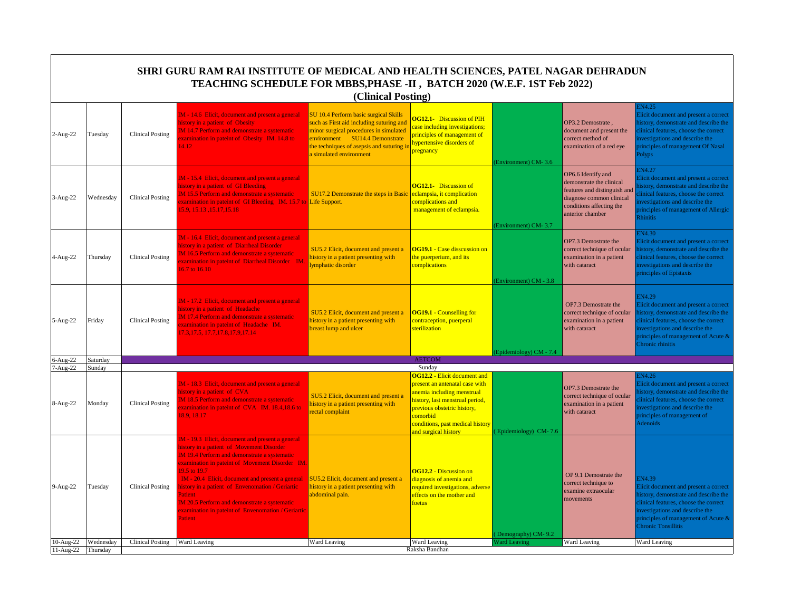|             |           |                               | SHRI GURU RAM RAI INSTITUTE OF MEDICAL AND HEALTH SCIENCES, PATEL NAGAR DEHRADUN<br>TEACHING SCHEDULE FOR MBBS, PHASE -II, BATCH 2020 (W.E.F. 1ST Feb 2022)                                                                                                                                                                                                                                                                                                      | (Clinical Posting)                                                                                                                                                                                                                |                                                                                                                                                                                                                                               |                        |                                                                                                                                                            |                                                                                                                                                                                                                                           |
|-------------|-----------|-------------------------------|------------------------------------------------------------------------------------------------------------------------------------------------------------------------------------------------------------------------------------------------------------------------------------------------------------------------------------------------------------------------------------------------------------------------------------------------------------------|-----------------------------------------------------------------------------------------------------------------------------------------------------------------------------------------------------------------------------------|-----------------------------------------------------------------------------------------------------------------------------------------------------------------------------------------------------------------------------------------------|------------------------|------------------------------------------------------------------------------------------------------------------------------------------------------------|-------------------------------------------------------------------------------------------------------------------------------------------------------------------------------------------------------------------------------------------|
| 2-Aug-22    | Tuesday   | <b>Clinical Posting</b>       | IM - 14.6 Elicit, document and present a general<br>history in a patient of Obesity<br><b>IM 14.7 Perform and demonstrate a systematic</b><br>xamination in pateint of Obesity IM. 14.8 to<br>4.12                                                                                                                                                                                                                                                               | SU 10.4 Perform basic surgical Skills<br>such as First aid including suturing and<br>minor surgical procedures in simulated<br>environment SU14.4 Demonstrate<br>he techniques of asepsis and suturing i<br>simulated environment | <b>OG12.1-</b> Discussion of PIH<br>case including investigations;<br>principles of management of<br>hypertensive disorders of<br>pregnancy                                                                                                   | Environment) CM-3.6    | OP3.2 Demostrate,<br>document and present the<br>correct method of<br>examination of a red eye                                                             | N4.25<br>Elicit document and present a correct<br>nistory, demonstrate and describe the<br>linical features, choose the correct<br>nvestigations and describe the<br>principles of management Of Nasal<br>Polyps                          |
| 3-Aug-22    | Wednesday | <b>Clinical Posting</b>       | IM - 15.4 Elicit, document and present a general<br>history in a patient of GI Bleeding<br>M 15.5 Perform and demonstrate a systematic<br>xamination in pateint of GI Bleeding IM. 15.7 to Life Support.<br>15.9, 15.13, 15.17, 15.18                                                                                                                                                                                                                            | <b>SU17.2 Demonstrate the steps in Basic</b>                                                                                                                                                                                      | <b>OG12.1-</b> Discussion of<br>eclampsia, it complication<br>complications and<br>management of eclampsia.                                                                                                                                   | Environment) CM-3.7    | OP6.6 Identify and<br>demonstrate the clinical<br>features and distinguish and<br>diagnose common clinical<br>conditions affecting the<br>anterior chamber | N4.27<br>licit document and present a correct<br>istory, demonstrate and describe the<br>linical features, choose the correct<br>avestigations and describe the<br>principles of management of Allergic<br>Rhinitis                       |
| 4-Aug-22    | Thursday  | <b>Clinical Posting</b>       | M - 16.4 Elicit, document and present a general<br>history in a patient of Diarrheal Disorder<br>M 16.5 Perform and demonstrate a systematic<br>xamination in pateint of Diarrheal Disorder IM.<br>16.7 to 16.10                                                                                                                                                                                                                                                 | SU5.2 Elicit, document and present a<br>history in a patient presenting with<br>ymphatic disorder                                                                                                                                 | <b>OG19.1 - Case disscussion on</b><br>the puerperium, and its<br>complications                                                                                                                                                               | Environment) CM - 3.8  | OP7.3 Demostrate the<br>correct technique of ocular<br>examination in a patient<br>with cataract                                                           | <b>N4.30</b><br>licit document and present a correct<br>istory, demonstrate and describe the<br>clinical features, choose the correct<br>nvestigations and describe the<br>principles of Epistaxis                                        |
| 5-Aug-22    | Friday    | <b>Clinical Posting</b>       | IM - 17.2 Elicit, document and present a general<br>history in a patient of Headache<br><b>IM 17.4 Perform and demonstrate a systematic</b><br>xamination in pateint of Headache IM.<br>7.3, 17.5, 17.7, 17.8, 17.9, 17.14                                                                                                                                                                                                                                       | SU5.2 Elicit, document and present a<br>nistory in a patient presenting with<br>preast lump and ulcer                                                                                                                             | <b>OG19.1 - Counselling for</b><br>contraception, puerperal<br>sterilization                                                                                                                                                                  |                        | OP7.3 Demostrate the<br>correct technique of ocular<br>examination in a patient<br>with cataract                                                           | EN4.29<br>Elicit document and present a correct<br>istory, demonstrate and describe the<br>linical features, choose the correct<br>investigations and describe the<br>principles of management of Acute &<br>Chronic rhinitis             |
| 6-Aug-22    | Saturday  |                               |                                                                                                                                                                                                                                                                                                                                                                                                                                                                  |                                                                                                                                                                                                                                   | <b>AETCOM</b>                                                                                                                                                                                                                                 | Epidemiology) CM - 7.4 |                                                                                                                                                            |                                                                                                                                                                                                                                           |
| 7-Aug-22    | Sunday    |                               |                                                                                                                                                                                                                                                                                                                                                                                                                                                                  |                                                                                                                                                                                                                                   | Sundav                                                                                                                                                                                                                                        |                        |                                                                                                                                                            |                                                                                                                                                                                                                                           |
| 8-Aug-22    | Monday    | <b>Clinical Posting</b>       | IM - 18.3 Elicit, document and present a general<br>history in a patient of CVA<br>M 18.5 Perform and demonstrate a systematic<br>xamination in pateint of CVA IM. 18.4,18.6 to<br>18.9.18.17                                                                                                                                                                                                                                                                    | SU5.2 Elicit, document and present a<br>nistory in a patient presenting with<br>rectal complaint                                                                                                                                  | <b>OG12.2 - Elicit document and</b><br>present an antenatal case with<br>anemia including menstrual<br>history, last menstrual period,<br>previous obstetric history,<br>comorbid<br>conditions, past medical history<br>and surgical history | Epidemiology) CM-7.6   | OP7.3 Demostrate the<br>correct technique of ocular<br>examination in a patient<br>with cataract                                                           | N4.26<br>licit document and present a correct<br>istory, demonstrate and describe the<br>linical features, choose the correct<br>nvestigations and describe the<br>principles of management of<br><b>Adenoids</b>                         |
| 9-Aug-22    | Tuesday   | Clinical Posting              | M - 19.3 Elicit, document and present a general<br>history in a patient of Movement Disorder<br><b>IM 19.4 Perform and demonstrate a systematic</b><br>examination in pateint of Movement Disorder IM.<br>19.5 to 19.7<br>IM - 20.4 Elicit, document and present a general<br>nistory in a patient of Envenomation / Geriartic<br>Patient<br><b>IM 20.5 Perform and demonstrate a systematic</b><br>xamination in pateint of Envenomation / Geriartic<br>Patient | SU5.2 Elicit, document and present a<br>history in a patient presenting with<br>abdominal pain.                                                                                                                                   | <b>OG12.2 - Discussion on</b><br>diagnosis of anemia and<br>required investigations, adverse<br>effects on the mother and<br>foetus                                                                                                           | Demography) CM-9.2     | OP 9.1 Demostrate the<br>correct technique to<br>examine extraocular<br>movements                                                                          | IN4.39<br>Elicit document and present a correct<br>nistory, demonstrate and describe the<br>clinical features, choose the correct<br>investigations and describe the<br>principles of management of Acute &<br><b>Chronic Tonsillitis</b> |
| 10-Aug-22   | Wednesday | Clinical Posting Ward Leaving |                                                                                                                                                                                                                                                                                                                                                                                                                                                                  | Ward Leaving                                                                                                                                                                                                                      | Ward Leaving                                                                                                                                                                                                                                  | <b>Ward Leaving</b>    | Ward Leaving                                                                                                                                               | Ward Leaving                                                                                                                                                                                                                              |
| $11-Aug-22$ | Thursday  |                               |                                                                                                                                                                                                                                                                                                                                                                                                                                                                  |                                                                                                                                                                                                                                   | Raksha Bandhan                                                                                                                                                                                                                                |                        |                                                                                                                                                            |                                                                                                                                                                                                                                           |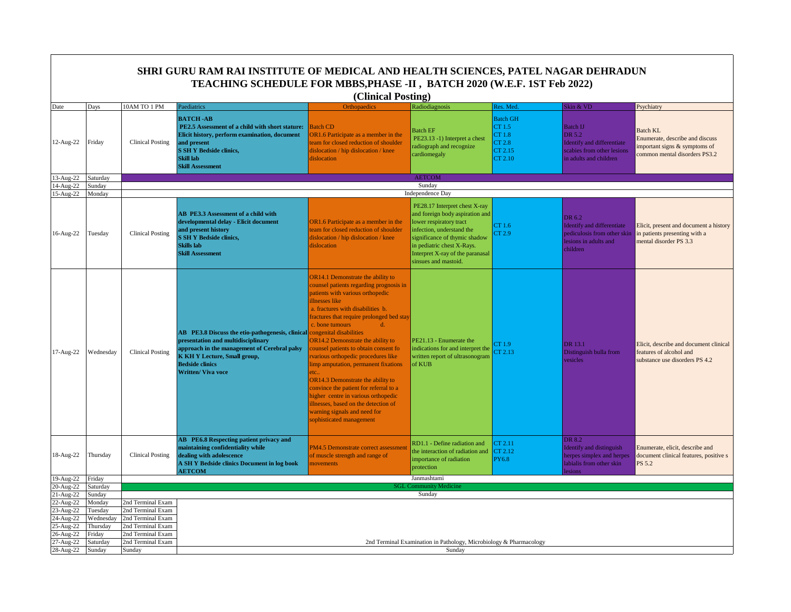|                                                                       |                                                     |                                                                                                       | SHRI GURU RAM RAI INSTITUTE OF MEDICAL AND HEALTH SCIENCES, PATEL NAGAR DEHRADUN<br>TEACHING SCHEDULE FOR MBBS, PHASE -II, BATCH 2020 (W.E.F. 1ST Feb 2022)                                                                                                  |                                                                                                                                                                                                                                                                                                                                                                                                                                                                                                                                                                                                                                                   |                                                                                                                                                                                                                                                     |                                                                     |                                                                                                                 |                                                                                                                     |
|-----------------------------------------------------------------------|-----------------------------------------------------|-------------------------------------------------------------------------------------------------------|--------------------------------------------------------------------------------------------------------------------------------------------------------------------------------------------------------------------------------------------------------------|---------------------------------------------------------------------------------------------------------------------------------------------------------------------------------------------------------------------------------------------------------------------------------------------------------------------------------------------------------------------------------------------------------------------------------------------------------------------------------------------------------------------------------------------------------------------------------------------------------------------------------------------------|-----------------------------------------------------------------------------------------------------------------------------------------------------------------------------------------------------------------------------------------------------|---------------------------------------------------------------------|-----------------------------------------------------------------------------------------------------------------|---------------------------------------------------------------------------------------------------------------------|
|                                                                       |                                                     |                                                                                                       |                                                                                                                                                                                                                                                              | (Clinical Posting)                                                                                                                                                                                                                                                                                                                                                                                                                                                                                                                                                                                                                                |                                                                                                                                                                                                                                                     |                                                                     |                                                                                                                 |                                                                                                                     |
| Date                                                                  | Days                                                | 10AM TO 1 PM                                                                                          | Paediatrics                                                                                                                                                                                                                                                  | Orthopaedics                                                                                                                                                                                                                                                                                                                                                                                                                                                                                                                                                                                                                                      | Radiodiagnosis                                                                                                                                                                                                                                      | <b>Res. Med</b>                                                     | Skin & VD                                                                                                       | Psychiatry                                                                                                          |
| 12-Aug-22                                                             | Friday                                              | <b>Clinical Posting</b>                                                                               | <b>BATCH-AB</b><br>PE2.5 Assessment of a child with short stature:<br>Elicit history, perform examination, document<br>and present<br><b>S SH Y Bedside clinics,</b><br>Skill lab<br><b>Skill Assessment</b>                                                 | <b>Batch CD</b><br>OR1.6 Participate as a member in the<br>eam for closed reduction of shoulder<br>dislocation / hip dislocation / knee<br>dislocation                                                                                                                                                                                                                                                                                                                                                                                                                                                                                            | <b>Batch EF</b><br>PE23.13 -1) Interpret a chest<br>radiograph and recognize<br>cardiomegaly                                                                                                                                                        | <b>Batch GH</b><br>CT 1.5<br>CT 1.8<br>CT 2.8<br>CT 2.15<br>CT 2.10 | <b>Batch IJ</b><br>DR 5.2<br>Identify and differentiate<br>scabies from other lesions<br>in adults and children | <b>Batch KL</b><br>Enumerate, describe and discuss<br>mportant signs & symptoms of<br>common mental disorders PS3.2 |
| 13-Aug-22                                                             | Saturday                                            |                                                                                                       |                                                                                                                                                                                                                                                              |                                                                                                                                                                                                                                                                                                                                                                                                                                                                                                                                                                                                                                                   | <b>AETCOM</b>                                                                                                                                                                                                                                       |                                                                     |                                                                                                                 |                                                                                                                     |
| 14-Aug-22<br>15-Aug-22                                                | Sunday<br>Monday                                    |                                                                                                       |                                                                                                                                                                                                                                                              |                                                                                                                                                                                                                                                                                                                                                                                                                                                                                                                                                                                                                                                   | Sunday<br>Independence Day                                                                                                                                                                                                                          |                                                                     |                                                                                                                 |                                                                                                                     |
| 16-Aug-22                                                             | Tuesday                                             | <b>Clinical Posting</b>                                                                               | AB PE3.3 Assessment of a child with<br>developmental delay - Elicit document<br>and present history<br><b>S SH Y Bedside clinics,</b><br>Skills lab<br><b>Skill Assessment</b>                                                                               | OR1.6 Participate as a member in the<br>team for closed reduction of shoulder<br>dislocation / hip dislocation / knee<br>dislocation                                                                                                                                                                                                                                                                                                                                                                                                                                                                                                              | PE28.17 Interpret chest X-ray<br>and foreign body aspiration and<br>lower respiratory tract<br>infection, understand the<br>significance of thymic shadow<br>in pediatric chest X-Rays.<br>Interpret X-ray of the paranasal<br>sinsues and mastoid. | CT 1.6<br>CT 2.9                                                    | DR 6.2<br>Identify and differentiate<br>pediculosis from other skin<br>lesions in adults and<br>children        | Elicit, present and document a history<br>in patients presenting with a<br>mental disorder PS 3.3                   |
| 17-Aug-22                                                             | Wednesday                                           | <b>Clinical Posting</b>                                                                               | AB PE3.8 Discuss the etio-pathogenesis, clinical congenital disabilities<br>presentation and multidisciplinary<br>approach in the management of Cerebral palsy<br><b>K KH Y Lecture, Small group,</b><br><b>Bedside clinics</b><br><b>Written/ Viva voce</b> | <b>OR14.1 Demonstrate the ability to</b><br>counsel patients regarding prognosis in<br>patients with various orthopedic<br>illnesses like<br>a. fractures with disabilities b.<br>fractures that require prolonged bed stay<br>c. bone tumours<br>d.<br>OR14.2 Demonstrate the ability to<br>counsel patients to obtain consent for<br>various orthopedic procedures like<br>imp amputation, permanent fixations<br>etc.<br>OR14.3 Demonstrate the ability to<br>convince the patient for referral to a<br>higher centre in various orthopedic<br>llnesses, based on the detection of<br>warning signals and need for<br>sophisticated management | PE21.13 - Enumerate the<br>indications for and interpret the<br>written report of ultrasonogram<br>of KUB                                                                                                                                           | CT 1.9<br>CT 2.13                                                   | DR 13.1<br>Distinguish bulla from<br>vesicles                                                                   | Elicit, describe and document clinical<br>features of alcohol and<br>substance use disorders PS 4.2                 |
| 18-Aug-22                                                             | Thursday                                            | <b>Clinical Posting</b>                                                                               | AB PE6.8 Respecting patient privacy and<br>maintaining confidentiality while<br>dealing with adolescence<br>A SH Y Bedside clinics Document in log book<br><b>AETCOM</b>                                                                                     | PM4.5 Demonstrate correct assessment<br>of muscle strength and range of<br>novements                                                                                                                                                                                                                                                                                                                                                                                                                                                                                                                                                              | RD1.1 - Define radiation and<br>the interaction of radiation and<br>importance of radiation<br>protection                                                                                                                                           | CT 2.11<br>CT 2.12<br><b>PY6.8</b>                                  | DR 8.2<br><b>Identify and distinguish</b><br>herpes simplex and herpes<br>labialis from other skin<br>esions    | Enumerate, elicit, describe and<br>document clinical features, positive s<br>PS 5.2                                 |
| 19-Aug-22<br>20-Aug-22                                                | Friday<br>Saturday                                  |                                                                                                       |                                                                                                                                                                                                                                                              |                                                                                                                                                                                                                                                                                                                                                                                                                                                                                                                                                                                                                                                   | Janmashtami<br><b>SGL Community Medicine</b>                                                                                                                                                                                                        |                                                                     |                                                                                                                 |                                                                                                                     |
| $21-Aug-22$                                                           | Sunday                                              |                                                                                                       |                                                                                                                                                                                                                                                              |                                                                                                                                                                                                                                                                                                                                                                                                                                                                                                                                                                                                                                                   | Sunday                                                                                                                                                                                                                                              |                                                                     |                                                                                                                 |                                                                                                                     |
| 22-Aug-22<br>$23$ -Aug- $22$<br>24-Aug-22<br>$25-Aug-22$<br>26-Aug-22 | Monday<br>Tuesday<br>Wednesda<br>Thursday<br>Friday | 2nd Terminal Exam<br>2nd Terminal Exam<br>2nd Terminal Exam<br>2nd Terminal Exam<br>2nd Terminal Exam |                                                                                                                                                                                                                                                              |                                                                                                                                                                                                                                                                                                                                                                                                                                                                                                                                                                                                                                                   |                                                                                                                                                                                                                                                     |                                                                     |                                                                                                                 |                                                                                                                     |
| 27-Aug-22                                                             | Saturday                                            | 2nd Terminal Exam                                                                                     |                                                                                                                                                                                                                                                              |                                                                                                                                                                                                                                                                                                                                                                                                                                                                                                                                                                                                                                                   | 2nd Terminal Examination in Pathology, Microbiology & Pharmacology                                                                                                                                                                                  |                                                                     |                                                                                                                 |                                                                                                                     |
| 28-Aug-22                                                             | Sunday                                              | Sunday                                                                                                |                                                                                                                                                                                                                                                              |                                                                                                                                                                                                                                                                                                                                                                                                                                                                                                                                                                                                                                                   | Sunday                                                                                                                                                                                                                                              |                                                                     |                                                                                                                 |                                                                                                                     |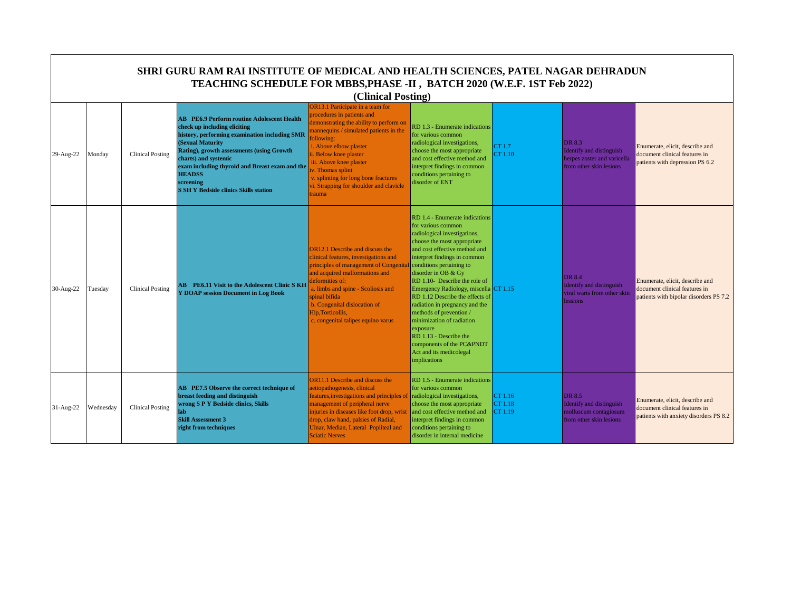|             | <b>SHRI GURU RAM RAI INSTITUTE OF MEDICAL AND HEALTH SCIENCES, PATEL NAGAR DEHRADUN</b><br>TEACHING SCHEDULE FOR MBBS, PHASE -II, BATCH 2020 (W.E.F. 1ST Feb 2022)<br>(Clinical Posting) |                         |                                                                                                                                                                                                                                                                                                                                                             |                                                                                                                                                                                                                                                                                                                                                                        |                                                                                                                                                                                                                                                                                                                                                                                                                                                                                                                                                             |                               |                                                                                                     |                                                                                                            |  |  |
|-------------|------------------------------------------------------------------------------------------------------------------------------------------------------------------------------------------|-------------------------|-------------------------------------------------------------------------------------------------------------------------------------------------------------------------------------------------------------------------------------------------------------------------------------------------------------------------------------------------------------|------------------------------------------------------------------------------------------------------------------------------------------------------------------------------------------------------------------------------------------------------------------------------------------------------------------------------------------------------------------------|-------------------------------------------------------------------------------------------------------------------------------------------------------------------------------------------------------------------------------------------------------------------------------------------------------------------------------------------------------------------------------------------------------------------------------------------------------------------------------------------------------------------------------------------------------------|-------------------------------|-----------------------------------------------------------------------------------------------------|------------------------------------------------------------------------------------------------------------|--|--|
| 29-Aug-22   | Monday                                                                                                                                                                                   | <b>Clinical Posting</b> | <b>AB</b> PE6.9 Perform routine Adolescent Health<br>check up including eliciting<br>history, performing examination including SMR<br>(Sexual Maturity<br>Rating), growth assessments (using Growth<br>charts) and systemic<br>exam including thyroid and Breast exam and the<br><b>HEADSS</b><br>screening<br><b>S SH Y Bedside clinics Skills station</b> | <b>DR13.1 Participate in a team for</b><br>procedures in patients and<br>demonstrating the ability to perform on<br>mannequins / simulated patients in the<br>ollowing:<br>i. Above elbow plaster<br>ii. Below knee plaster<br>iii. Above knee plaster<br>v. Thomas splint<br>v. splinting for long bone fractures<br>vi. Strapping for shoulder and clavicle<br>rauma | RD 1.3 - Enumerate indications<br>for various common<br>radiological investigations,<br>choose the most appropriate<br>and cost effective method and<br>interpret findings in common<br>conditions pertaining to<br>disorder of ENT                                                                                                                                                                                                                                                                                                                         | CT 1.7<br>CT 1.10             | DR 8.3<br><b>Identify and distinguish</b><br>herpes zoster and varicella<br>from other skin lesions | Enumerate, elicit, describe and<br>document clinical features in<br>patients with depression PS 6.2        |  |  |
| 30-Aug-22   | Tuesday                                                                                                                                                                                  | <b>Clinical Posting</b> | <b>AB</b> PE6.11 Visit to the Adolescent Clinic SKH<br><b>Y DOAP session Document in Log Book</b>                                                                                                                                                                                                                                                           | <b>OR12.1 Describe and discuss the</b><br>clinical features, investigations and<br>principles of management of Congenita<br>and acquired malformations and<br>leformities of:<br>a. limbs and spine - Scoliosis and<br>spinal bifida<br>b. Congenital dislocation of<br>Hip, Torticollis,<br>c. congenital talipes equino varus                                        | RD 1.4 - Enumerate indications<br>for various common<br>radiological investigations,<br>choose the most appropriate<br>and cost effective method and<br>interpret findings in common<br>conditions pertaining to<br>disorder in OB & Gy<br>RD 1.10- Describe the role of<br>Emergency Radiology, miscella CT 1.15<br>RD 1.12 Describe the effects of<br>radiation in pregnancy and the<br>methods of prevention/<br>minimization of radiation<br>exposure<br>RD 1.13 - Describe the<br>components of the PC&PNDT<br>Act and its medicolegal<br>implications |                               | DR 8.4<br><b>Identify and distinguish</b><br>viral warts from other skin<br><b>lessions</b>         | Enumerate, elicit, describe and<br>document clinical features in<br>patients with bipolar disorders PS 7.2 |  |  |
| $31-Aug-22$ | Wednesday                                                                                                                                                                                | <b>Clinical Posting</b> | AB PE7.5 Observe the correct technique of<br>breast feeding and distinguish<br>wrong S P Y Bedside clinics, Skills<br>lab<br><b>Skill Assessment 3</b><br>right from techniques                                                                                                                                                                             | <b>OR11.1 Describe and discuss the</b><br>aetiopathogenesis, clinical<br>features, investigations and principles of<br>management of peripheral nerve<br>injuries in diseases like foot drop, wrist<br>drop, claw hand, palsies of Radial,<br>Ulnar, Median, Lateral Popliteal and<br><b>Sciatic Nerves</b>                                                            | RD 1.5 - Enumerate indications<br>for various common<br>radiological investigations,<br>choose the most appropriate<br>and cost effective method and<br>interpret findings in common<br>conditions pertaining to<br>disorder in internal medicine                                                                                                                                                                                                                                                                                                           | CT 1.16<br>CT 1.18<br>CT 1.19 | DR 8.5<br>Identify and distinguish<br>molluscum contagiosum<br>from other skin lesions              | Enumerate, elicit, describe and<br>document clinical features in<br>patients with anxiety disorders PS 8.2 |  |  |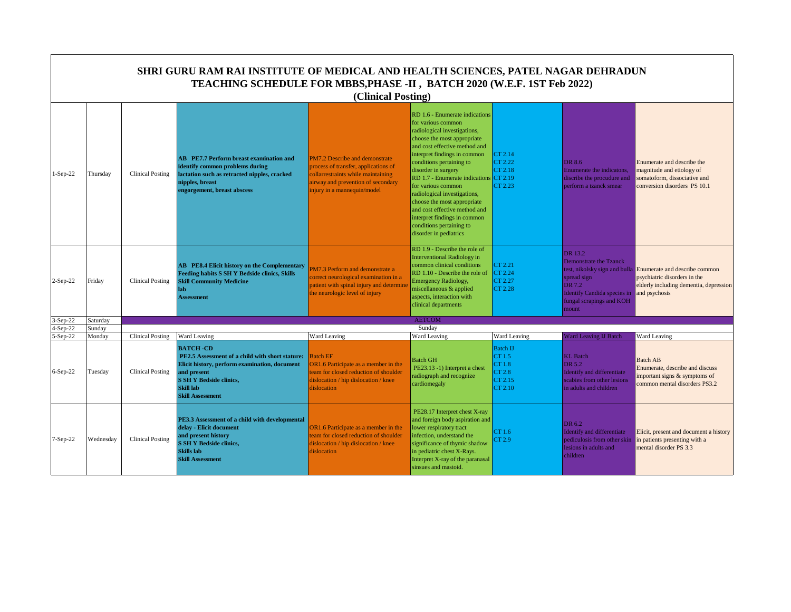|               |           |                         | SHRI GURU RAM RAI INSTITUTE OF MEDICAL AND HEALTH SCIENCES, PATEL NAGAR DEHRADUN<br>TEACHING SCHEDULE FOR MBBS, PHASE -II, BATCH 2020 (W.E.F. 1ST Feb 2022)                                                         | (Clinical Posting)                                                                                                                                                                |                                                                                                                                                                                                                                                                                                                                                                                                                                                                                               |                                                                                  |                                                                                                                                              |                                                                                                                                                        |
|---------------|-----------|-------------------------|---------------------------------------------------------------------------------------------------------------------------------------------------------------------------------------------------------------------|-----------------------------------------------------------------------------------------------------------------------------------------------------------------------------------|-----------------------------------------------------------------------------------------------------------------------------------------------------------------------------------------------------------------------------------------------------------------------------------------------------------------------------------------------------------------------------------------------------------------------------------------------------------------------------------------------|----------------------------------------------------------------------------------|----------------------------------------------------------------------------------------------------------------------------------------------|--------------------------------------------------------------------------------------------------------------------------------------------------------|
| $l-Sep-22$    | Thursday  | Clinical Posting        | <b>AB</b> PE7.7 Perform breast examination and<br>identify common problems during<br>lactation such as retracted nipples, cracked<br>nipples, breast<br>engorgement, breast abscess                                 | PM7.2 Describe and demonstrate<br>process of transfer, applications of<br>collarrestraints while maintaining<br>airway and prevention of secondary<br>injury in a mannequin/model | RD 1.6 - Enumerate indications<br>for various common<br>radiological investigations,<br>choose the most appropriate<br>and cost effective method and<br>interpret findings in common<br>conditions pertaining to<br>disorder in surgery<br>RD 1.7 - Enumerate indications CT 2.19<br>for various common<br>radiological investigations,<br>choose the most appropriate<br>and cost effective method and<br>interpret findings in common<br>conditions pertaining to<br>disorder in pediatrics | CT 2.14<br>CT 2.22<br>CT 2.18<br>CT 2.23                                         | <b>DR 8.6</b><br>Enumerate the indicatons.<br>discribe the procudure and<br>perform a tzanck smear                                           | Enumerate and describe the<br>magnitude and etiology of<br>somatoform, dissociative and<br>conversion disorders PS 10.1                                |
| $2-Sep-22$    | Friday    | <b>Clinical Posting</b> | <b>AB</b> PE8.4 Elicit history on the Complementary<br>Feeding habits S SH Y Bedside clinics, Skills<br><b>Skill Community Medicine</b><br>lab<br><b>Assessment</b>                                                 | M7.3 Perform and demonstrate a<br>correct neurological examination in a<br>patient with spinal injury and determine<br>the neurologic level of injury                             | RD 1.9 - Describe the role of<br><b>Interventional Radiology in</b><br>common clinical conditions<br>RD 1.10 - Describe the role of<br><b>Emergency Radiology,</b><br>miscellaneous & applied<br>aspects, interaction with<br>clinical departments                                                                                                                                                                                                                                            | CT 2.21<br>CT 2.24<br>CT 2.27<br>CT 2.28                                         | DR 13.2<br><b>Demonstrate the Tzanck</b><br>spread sign<br>DR 7.2<br><b>Identify Candida species in</b><br>fungal scrapings and KOH<br>mount | test, nikolsky sign and bulla Enumerate and describe common<br>psychiatric disorders in the<br>elderly including dementia, depression<br>and psychosis |
| 3-Sep-22      | Saturday  |                         |                                                                                                                                                                                                                     |                                                                                                                                                                                   | <b>AETCOM</b>                                                                                                                                                                                                                                                                                                                                                                                                                                                                                 |                                                                                  |                                                                                                                                              |                                                                                                                                                        |
| $4-Sep-22$    | Sunday    |                         |                                                                                                                                                                                                                     |                                                                                                                                                                                   | Sunday                                                                                                                                                                                                                                                                                                                                                                                                                                                                                        |                                                                                  |                                                                                                                                              |                                                                                                                                                        |
| $-$ Sep $-22$ | Monday    | <b>Clinical Posting</b> | Ward Leaving                                                                                                                                                                                                        | Ward Leaving                                                                                                                                                                      | Ward Leaving                                                                                                                                                                                                                                                                                                                                                                                                                                                                                  | Ward Leaving                                                                     | <b>Ward Leaving IJ Batch</b>                                                                                                                 | Ward Leaving                                                                                                                                           |
| $6-Sep-22$    | Tuesday   | <b>Clinical Posting</b> | <b>BATCH-CD</b><br>PE2.5 Assessment of a child with short stature:<br>Elicit history, perform examination, document<br>and present<br><b>S SH Y Bedside clinics,</b><br><b>Skill lab</b><br><b>Skill Assessment</b> | <b>Batch EF</b><br>OR1.6 Participate as a member in the<br>team for closed reduction of shoulder<br>dislocation / hip dislocation / knee<br>dislocation                           | <b>Batch GH</b><br>PE23.13 -1) Interpret a chest<br>radiograph and recognize<br>cardiomegaly                                                                                                                                                                                                                                                                                                                                                                                                  | <b>Batch IJ</b><br>CT 1.5<br><b>CT1.8</b><br><b>CT 2.8</b><br>CT 2.15<br>CT 2.10 | <b>KL</b> Batch<br>DR 5.2<br>Identify and differentiate<br>scabies from other lesions<br>in adults and children                              | <b>Batch AB</b><br>Enumerate, describe and discuss<br>important signs & symptoms of<br>common mental disorders PS3.2                                   |
| 7-Sep-22      | Wednesday | Clinical Posting        | PE3.3 Assessment of a child with developmental<br>delay - Elicit document<br>and present history<br><b>S SH Y Bedside clinics,</b><br><b>Skills</b> lab<br><b>Skill Assessment</b>                                  | OR1.6 Participate as a member in the<br>team for closed reduction of shoulder<br>dislocation / hip dislocation / knee<br>dislocation                                              | PE28.17 Interpret chest X-ray<br>and foreign body aspiration and<br>lower respiratory tract<br>infection, understand the<br>significance of thymic shadow<br>in pediatric chest X-Rays.<br>Interpret X-ray of the paranasal<br>sinsues and mastoid.                                                                                                                                                                                                                                           | CT 1.6<br>CT 2.9                                                                 | DR 6.2<br><b>Identify and differentiate</b><br>pediculosis from other skin<br>lesions in adults and<br>children                              | Elicit, present and document a history<br>in patients presenting with a<br>mental disorder PS 3.3                                                      |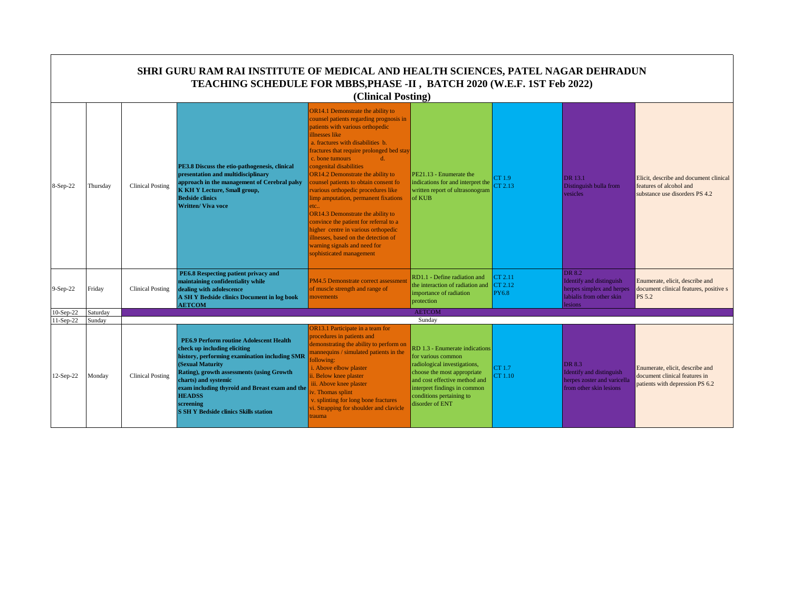|                          |                    |                         | SHRI GURU RAM RAI INSTITUTE OF MEDICAL AND HEALTH SCIENCES, PATEL NAGAR DEHRADUN<br>TEACHING SCHEDULE FOR MBBS, PHASE -II, BATCH 2020 (W.E.F. 1ST Feb 2022)                                                                                                                                                                                              | (Clinical Posting)                                                                                                                                                                                                                                                                                                                                                                                                                                                                                                                                                                                                                                                              |                                                                                                                                                                                                                                     |                                    |                                                                                                               |                                                                                                     |
|--------------------------|--------------------|-------------------------|----------------------------------------------------------------------------------------------------------------------------------------------------------------------------------------------------------------------------------------------------------------------------------------------------------------------------------------------------------|---------------------------------------------------------------------------------------------------------------------------------------------------------------------------------------------------------------------------------------------------------------------------------------------------------------------------------------------------------------------------------------------------------------------------------------------------------------------------------------------------------------------------------------------------------------------------------------------------------------------------------------------------------------------------------|-------------------------------------------------------------------------------------------------------------------------------------------------------------------------------------------------------------------------------------|------------------------------------|---------------------------------------------------------------------------------------------------------------|-----------------------------------------------------------------------------------------------------|
| 8-Sep-22                 | Thursday           | <b>Clinical Posting</b> | PE3.8 Discuss the etio-pathogenesis, clinical<br>presentation and multidisciplinary<br>approach in the management of Cerebral palsy<br><b>K KH Y Lecture, Small group,</b><br><b>Bedside clinics</b><br><b>Written/ Viva voce</b>                                                                                                                        | OR14.1 Demonstrate the ability to<br>counsel patients regarding prognosis in<br>patients with various orthopedic<br>illnesses like<br>a. fractures with disabilities b.<br>fractures that require prolonged bed stay<br>c. bone tumours<br>$d_{\cdot}$<br>congenital disabilities<br>OR14.2 Demonstrate the ability to<br>counsel patients to obtain consent fo<br>rvarious orthopedic procedures like<br>limp amputation, permanent fixations<br>etc<br>OR14.3 Demonstrate the ability to<br>convince the patient for referral to a<br>higher centre in various orthopedic<br>illnesses, based on the detection of<br>warning signals and need for<br>sophisticated management | PE21.13 - Enumerate the<br>indications for and interpret the<br>written report of ultrasonogram<br>of KUB                                                                                                                           | CT1.9<br>CT2.13                    | DR 13.1<br>Distinguish bulla from<br>vesicles                                                                 | Elicit, describe and document clinical<br>features of alcohol and<br>substance use disorders PS 4.2 |
| $9-Sep-22$               | Friday             | <b>Clinical Posting</b> | PE6.8 Respecting patient privacy and<br>maintaining confidentiality while<br>dealing with adolescence<br>A SH Y Bedside clinics Document in log book<br><b>AETCOM</b>                                                                                                                                                                                    | PM4.5 Demonstrate correct assessment<br>of muscle strength and range of<br>movements                                                                                                                                                                                                                                                                                                                                                                                                                                                                                                                                                                                            | RD1.1 - Define radiation and<br>the interaction of radiation and<br>importance of radiation<br>protection                                                                                                                           | CT 2.11<br>CT 2.12<br><b>PY6.8</b> | <b>DR 8.2</b><br>Identify and distinguish<br>herpes simplex and herpes<br>labialis from other skin<br>lesions | Enumerate, elicit, describe and<br>document clinical features, positive s<br>PS 5.2                 |
| $10-Sep-22$<br>11-Sep-22 | Saturday<br>Sunday |                         |                                                                                                                                                                                                                                                                                                                                                          |                                                                                                                                                                                                                                                                                                                                                                                                                                                                                                                                                                                                                                                                                 | <b>AETCOM</b><br>Sunday                                                                                                                                                                                                             |                                    |                                                                                                               |                                                                                                     |
| 12-Sep-22                | Monday             | <b>Clinical Posting</b> | <b>PE6.9 Perform routine Adolescent Health</b><br>check up including eliciting<br>history, performing examination including SMR<br>(Sexual Maturity<br>Rating), growth assessments (using Growth<br>charts) and systemic<br>exam including thyroid and Breast exam and the<br><b>HEADSS</b><br>screening<br><b>S SH Y Bedside clinics Skills station</b> | OR13.1 Participate in a team for<br>procedures in patients and<br>demonstrating the ability to perform on<br>mannequins / simulated patients in the<br>following:<br>i. Above elbow plaster<br>ii. Below knee plaster<br>iii. Above knee plaster<br>v. Thomas splint<br>v. splinting for long bone fractures<br>vi. Strapping for shoulder and clavicle<br>trauma                                                                                                                                                                                                                                                                                                               | RD 1.3 - Enumerate indications<br>for various common<br>radiological investigations,<br>choose the most appropriate<br>and cost effective method and<br>interpret findings in common<br>conditions pertaining to<br>disorder of ENT | CT1.7<br>CT 1.10                   | DR 8.3<br>Identify and distinguish<br>herpes zoster and varicella<br>from other skin lesions                  | Enumerate, elicit, describe and<br>document clinical features in<br>patients with depression PS 6.2 |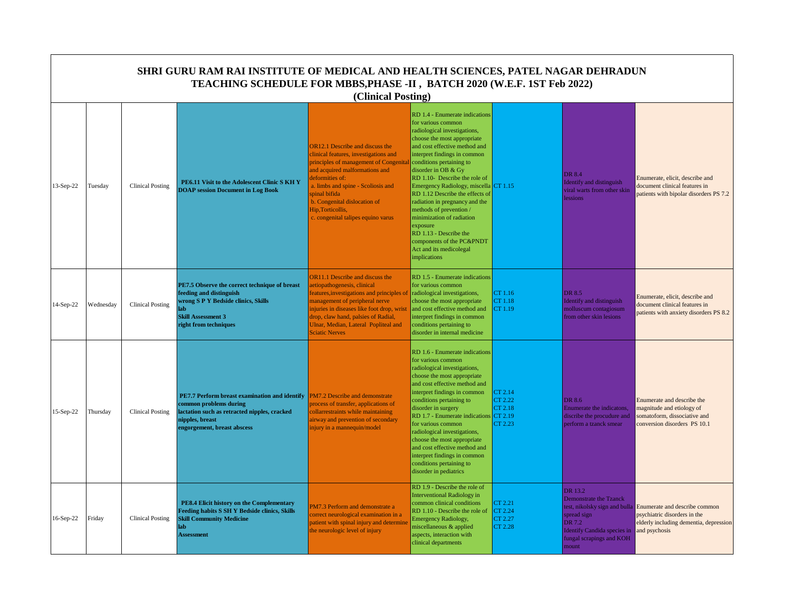|           | SHRI GURU RAM RAI INSTITUTE OF MEDICAL AND HEALTH SCIENCES, PATEL NAGAR DEHRADUN<br>TEACHING SCHEDULE FOR MBBS, PHASE -II, BATCH 2020 (W.E.F. 1ST Feb 2022)<br>(Clinical Posting) |                         |                                                                                                                                                                              |                                                                                                                                                                                                                                                                                                                                |                                                                                                                                                                                                                                                                                                                                                                                                                                                                                                                                                                    |                                                 |                                                                                                                                                                        |                                                                                                                          |  |  |  |
|-----------|-----------------------------------------------------------------------------------------------------------------------------------------------------------------------------------|-------------------------|------------------------------------------------------------------------------------------------------------------------------------------------------------------------------|--------------------------------------------------------------------------------------------------------------------------------------------------------------------------------------------------------------------------------------------------------------------------------------------------------------------------------|--------------------------------------------------------------------------------------------------------------------------------------------------------------------------------------------------------------------------------------------------------------------------------------------------------------------------------------------------------------------------------------------------------------------------------------------------------------------------------------------------------------------------------------------------------------------|-------------------------------------------------|------------------------------------------------------------------------------------------------------------------------------------------------------------------------|--------------------------------------------------------------------------------------------------------------------------|--|--|--|
| 13-Sep-22 | Tuesday                                                                                                                                                                           | <b>Clinical Posting</b> | PE6.11 Visit to the Adolescent Clinic S KH Y<br><b>DOAP session Document in Log Book</b>                                                                                     | <b>OR12.1</b> Describe and discuss the<br>linical features, investigations and<br>principles of management of Congenita<br>and acquired malformations and<br>deformities of:<br>a. limbs and spine - Scoliosis and<br>spinal bifida<br>b. Congenital dislocation of<br>Hip, Torticollis,<br>c. congenital talipes equino varus | RD 1.4 - Enumerate indications<br>for various common<br>radiological investigations,<br>choose the most appropriate<br>and cost effective method and<br>interpret findings in common<br>conditions pertaining to<br>disorder in OB & Gy<br>RD 1.10- Describe the role of<br>Emergency Radiology, miscella CT 1.15<br>RD 1.12 Describe the effects of<br>radiation in pregnancy and the<br>methods of prevention/<br>minimization of radiation<br>exposure<br>RD 1.13 - Describe the<br>components of the PC&PNDT<br>Act and its medicolegal<br><i>implications</i> |                                                 | DR 8.4<br><b>Identify and distinguish</b><br>viral warts from other skin<br>essions                                                                                    | Enumerate, elicit, describe and<br>document clinical features in<br>patients with bipolar disorders PS 7.2               |  |  |  |
| 14-Sep-22 | Wednesday                                                                                                                                                                         | <b>Clinical Posting</b> | PE7.5 Observe the correct technique of breast<br>feeding and distinguish<br>wrong S P Y Bedside clinics, Skills<br>lab<br><b>Skill Assessment 3</b><br>right from techniques | <b>DR11.1</b> Describe and discuss the<br>aetiopathogenesis, clinical<br>eatures, investigations and principles of<br>nanagement of peripheral nerve<br>njuries in diseases like foot drop, wrist<br>drop, claw hand, palsies of Radial,<br>Ulnar, Median, Lateral Popliteal and<br><b>Sciatic Nerves</b>                      | RD 1.5 - Enumerate indications<br>for various common<br>radiological investigations,<br>choose the most appropriate<br>and cost effective method and<br>interpret findings in common<br>conditions pertaining to<br>disorder in internal medicine                                                                                                                                                                                                                                                                                                                  | CT 1.16<br>CT 1.18<br>CT 1.19                   | DR 8.5<br><b>Identify and distinguish</b><br>molluscum contagiosum<br>from other skin lesions                                                                          | Enumerate, elicit, describe and<br>document clinical features in<br>patients with anxiety disorders PS 8.2               |  |  |  |
| 15-Sep-22 | Thursday                                                                                                                                                                          | <b>Clinical Posting</b> | PE7.7 Perform breast examination and identify<br>common problems during<br>lactation such as retracted nipples, cracked<br>nipples, breast<br>engorgement, breast abscess    | <b>PM7.2 Describe and demonstrate</b><br>process of transfer, applications of<br>collarrestraints while maintaining<br>uirway and prevention of secondary<br>njury in a mannequin/model                                                                                                                                        | RD 1.6 - Enumerate indications<br>for various common<br>radiological investigations,<br>choose the most appropriate<br>and cost effective method and<br>interpret findings in common<br>conditions pertaining to<br>disorder in surgery<br>RD 1.7 - Enumerate indications CT 2.19<br>for various common<br>radiological investigations,<br>choose the most appropriate<br>and cost effective method and<br>interpret findings in common<br>conditions pertaining to<br>disorder in pediatrics                                                                      | CT 2.14<br>CT 2.22<br>CT 2.18<br>CT 2.23        | DR 8.6<br>Enumerate the indicatons,<br>discribe the procudure and<br>perform a tzanck smear                                                                            | Enumerate and describe the<br>magnitude and etiology of<br>somatoform, dissociative and<br>conversion disorders PS 10.1  |  |  |  |
| 16-Sep-22 | Friday                                                                                                                                                                            | <b>Clinical Posting</b> | <b>PE8.4 Elicit history on the Complementary</b><br>Feeding habits S SH Y Bedside clinics, Skills<br><b>Skill Community Medicine</b><br>lab<br><b>Assessment</b>             | <b>PM7.3 Perform and demonstrate a</b><br>correct neurological examination in a<br>patient with spinal injury and determine<br>the neurologic level of injury                                                                                                                                                                  | RD 1.9 - Describe the role of<br><b>Interventional Radiology in</b><br>common clinical conditions<br>RD 1.10 - Describe the role of<br><b>Emergency Radiology,</b><br>miscellaneous & applied<br>aspects, interaction with<br>clinical departments                                                                                                                                                                                                                                                                                                                 | CT 2.21<br>CT 2.24<br>CT 2.27<br><b>CT 2.28</b> | DR 13.2<br><b>Demonstrate the Tzanck</b><br>test, nikolsky sign and bulla<br>spread sign<br>DR 7.2<br>Identify Candida species in<br>fungal scrapings and KOH<br>nount | Enumerate and describe common<br>psychiatric disorders in the<br>elderly including dementia, depression<br>and psychosis |  |  |  |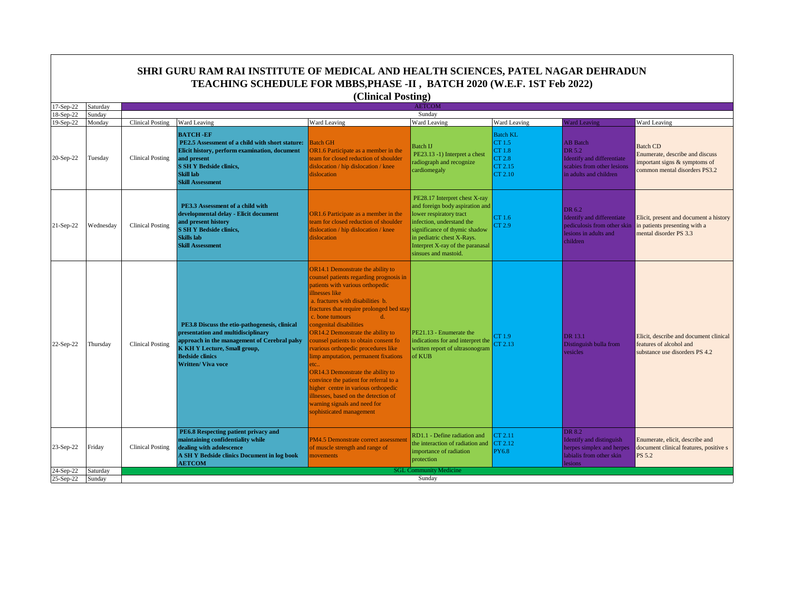|                        |                    |                         | SHRI GURU RAM RAI INSTITUTE OF MEDICAL AND HEALTH SCIENCES, PATEL NAGAR DEHRADUN                                                                                                                                                 |                                                                                                                                                                                                                                                                                                                                                                                                                                                                                                                                                                                                                                                                                          |                                                                                                                                                                                                                                                     |                                                                     |                                                                                                                        |                                                                                                                     |  |
|------------------------|--------------------|-------------------------|----------------------------------------------------------------------------------------------------------------------------------------------------------------------------------------------------------------------------------|------------------------------------------------------------------------------------------------------------------------------------------------------------------------------------------------------------------------------------------------------------------------------------------------------------------------------------------------------------------------------------------------------------------------------------------------------------------------------------------------------------------------------------------------------------------------------------------------------------------------------------------------------------------------------------------|-----------------------------------------------------------------------------------------------------------------------------------------------------------------------------------------------------------------------------------------------------|---------------------------------------------------------------------|------------------------------------------------------------------------------------------------------------------------|---------------------------------------------------------------------------------------------------------------------|--|
|                        |                    |                         | TEACHING SCHEDULE FOR MBBS, PHASE -II, BATCH 2020 (W.E.F. 1ST Feb 2022)                                                                                                                                                          |                                                                                                                                                                                                                                                                                                                                                                                                                                                                                                                                                                                                                                                                                          |                                                                                                                                                                                                                                                     |                                                                     |                                                                                                                        |                                                                                                                     |  |
|                        |                    |                         |                                                                                                                                                                                                                                  | (Clinical Posting)                                                                                                                                                                                                                                                                                                                                                                                                                                                                                                                                                                                                                                                                       |                                                                                                                                                                                                                                                     |                                                                     |                                                                                                                        |                                                                                                                     |  |
| 17-Sep-22<br>18-Sep-22 | Saturday<br>Sunday |                         |                                                                                                                                                                                                                                  |                                                                                                                                                                                                                                                                                                                                                                                                                                                                                                                                                                                                                                                                                          | <b>AETCOM</b><br>Sunday                                                                                                                                                                                                                             |                                                                     |                                                                                                                        |                                                                                                                     |  |
| 19-Sep-22              | Monday             | <b>Clinical Posting</b> | Ward Leaving                                                                                                                                                                                                                     | Ward Leaving                                                                                                                                                                                                                                                                                                                                                                                                                                                                                                                                                                                                                                                                             | Ward Leaving                                                                                                                                                                                                                                        | Ward Leaving                                                        | <b>Ward Leaving</b>                                                                                                    | <b>Ward Leaving</b>                                                                                                 |  |
| 20-Sep-22              | Tuesday            | <b>Clinical Posting</b> | <b>BATCH-EF</b><br>PE2.5 Assessment of a child with short stature:<br>Elicit history, perform examination, document<br>and present<br><b>S SH Y Bedside clinics,</b><br>Skill lab<br><b>Skill Assessment</b>                     | <b>Batch GH</b><br>OR1.6 Participate as a member in the<br>eam for closed reduction of shoulder<br>dislocation / hip dislocation / knee<br>dislocation                                                                                                                                                                                                                                                                                                                                                                                                                                                                                                                                   | <b>Batch IJ</b><br>PE23.13 -1) Interpret a chest<br>radiograph and recognize<br>cardiomegaly                                                                                                                                                        | <b>Batch KL</b><br>CT 1.5<br>CT 1.8<br>CT 2.8<br>CT 2.15<br>CT 2.10 | <b>AB</b> Batch<br>DR 5.2<br><b>Identify</b> and differentiate<br>scabies from other lesions<br>in adults and children | <b>Batch CD</b><br>Enumerate, describe and discuss<br>mportant signs & symptoms of<br>common mental disorders PS3.2 |  |
| $21-Sep-22$            | Wednesday          | <b>Clinical Posting</b> | PE3.3 Assessment of a child with<br>developmental delay - Elicit document<br>and present history<br><b>S SH Y Bedside clinics,</b><br><b>Skills</b> lab<br><b>Skill Assessment</b>                                               | OR1.6 Participate as a member in the<br>eam for closed reduction of shoulder<br>dislocation / hip dislocation / knee<br>dislocation                                                                                                                                                                                                                                                                                                                                                                                                                                                                                                                                                      | PE28.17 Interpret chest X-ray<br>and foreign body aspiration and<br>lower respiratory tract<br>infection, understand the<br>significance of thymic shadow<br>in pediatric chest X-Rays.<br>Interpret X-ray of the paranasal<br>sinsues and mastoid. | CT1.6<br>CT 2.9                                                     | DR 6.2<br>Identify and differentiate<br>pediculosis from other skin<br>lesions in adults and<br>children               | Elicit, present and document a history<br>n patients presenting with a<br>mental disorder PS 3.3                    |  |
| 22-Sep-22              | Thursday           | <b>Clinical Posting</b> | PE3.8 Discuss the etio-pathogenesis, clinical<br>presentation and multidisciplinary<br>pproach in the management of Cerebral palsy<br><b>K KH Y Lecture, Small group,</b><br><b>Bedside clinics</b><br><b>Written/ Viva voce</b> | <b>DR14.1 Demonstrate the ability to</b><br>counsel patients regarding prognosis in<br>patients with various orthopedic<br><b>Ilnesses</b> like<br>a. fractures with disabilities b.<br>ractures that require prolonged bed stay<br>c. bone tumours<br>d.<br>congenital disabilities<br>OR14.2 Demonstrate the ability to<br>counsel patients to obtain consent for<br>various orthopedic procedures like<br>imp amputation, permanent fixations<br>tc.<br><b>DR14.3 Demonstrate the ability to</b><br>convince the patient for referral to a<br>nigher centre in various orthopedic<br>illnesses, based on the detection of<br>varning signals and need for<br>sophisticated management | PE21.13 - Enumerate the<br>indications for and interpret the<br>written report of ultrasonogram<br>of KUB                                                                                                                                           | CT1.9<br>CT 2.13                                                    | DR 13.1<br>Distinguish bulla from<br>vesicles                                                                          | Elicit, describe and document clinical<br>features of alcohol and<br>substance use disorders PS 4.2                 |  |
| 23-Sep-22              | Friday             | <b>Clinical Posting</b> | PE6.8 Respecting patient privacy and<br>maintaining confidentiality while<br>dealing with adolescence<br>A SH Y Bedside clinics Document in log book<br><b>AETCOM</b>                                                            | PM4.5 Demonstrate correct assessment<br>of muscle strength and range of<br>novements                                                                                                                                                                                                                                                                                                                                                                                                                                                                                                                                                                                                     | RD1.1 - Define radiation and<br>the interaction of radiation and<br>importance of radiation<br>protection                                                                                                                                           | CT 2.11<br>CT 2.12<br>PY6.8                                         | DR 8.2<br><b>Identify</b> and distinguish<br>herpes simplex and herpes<br>labialis from other skin<br>lesions          | Enumerate, elicit, describe and<br>document clinical features, positive s<br>PS 5.2                                 |  |
| 24-Sep-22              | Saturday           |                         |                                                                                                                                                                                                                                  |                                                                                                                                                                                                                                                                                                                                                                                                                                                                                                                                                                                                                                                                                          | <b>SGL Community Medicine</b>                                                                                                                                                                                                                       |                                                                     |                                                                                                                        |                                                                                                                     |  |
| 25-Sep-22              | Sunday             | Sunday                  |                                                                                                                                                                                                                                  |                                                                                                                                                                                                                                                                                                                                                                                                                                                                                                                                                                                                                                                                                          |                                                                                                                                                                                                                                                     |                                                                     |                                                                                                                        |                                                                                                                     |  |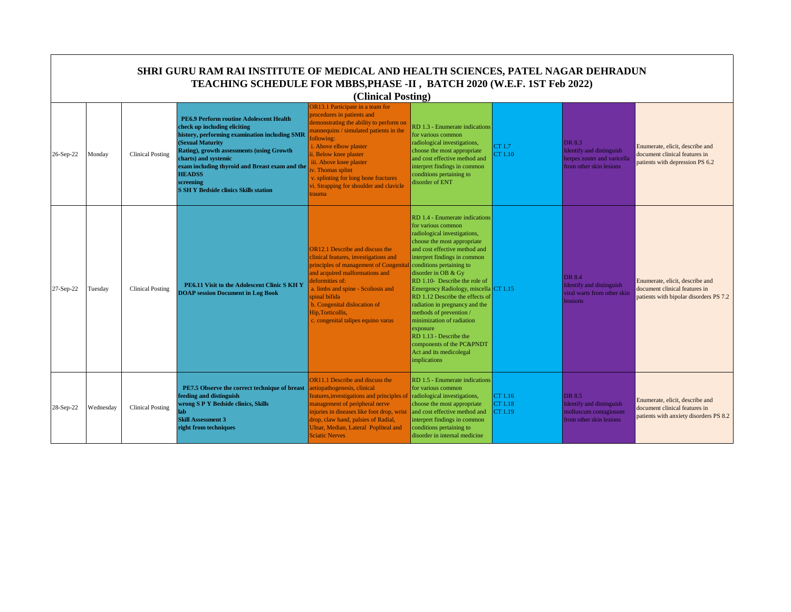|           | SHRI GURU RAM RAI INSTITUTE OF MEDICAL AND HEALTH SCIENCES, PATEL NAGAR DEHRADUN<br>TEACHING SCHEDULE FOR MBBS, PHASE -II, BATCH 2020 (W.E.F. 1ST Feb 2022)<br>(Clinical Posting) |                         |                                                                                                                                                                                                                                                                                                                                                   |                                                                                                                                                                                                                                                                                                                                                                  |                                                                                                                                                                                                                                                                                                                                                                                                                                                                                                                                                            |                               |                                                                                              |                                                                                                            |  |  |
|-----------|-----------------------------------------------------------------------------------------------------------------------------------------------------------------------------------|-------------------------|---------------------------------------------------------------------------------------------------------------------------------------------------------------------------------------------------------------------------------------------------------------------------------------------------------------------------------------------------|------------------------------------------------------------------------------------------------------------------------------------------------------------------------------------------------------------------------------------------------------------------------------------------------------------------------------------------------------------------|------------------------------------------------------------------------------------------------------------------------------------------------------------------------------------------------------------------------------------------------------------------------------------------------------------------------------------------------------------------------------------------------------------------------------------------------------------------------------------------------------------------------------------------------------------|-------------------------------|----------------------------------------------------------------------------------------------|------------------------------------------------------------------------------------------------------------|--|--|
| 26-Sep-22 | Monday                                                                                                                                                                            | <b>Clinical Posting</b> | PE6.9 Perform routine Adolescent Health<br>check up including eliciting<br>history, performing examination including SMR<br>(Sexual Maturity<br>Rating), growth assessments (using Growth<br>charts) and systemic<br>exam including thyroid and Breast exam and the<br><b>HEADSS</b><br>screening<br><b>S SH Y Bedside clinics Skills station</b> | OR13.1 Participate in a team for<br>procedures in patients and<br>demonstrating the ability to perform on<br>mannequins / simulated patients in the<br>following:<br>i. Above elbow plaster<br>ii. Below knee plaster<br>iii. Above knee plaster<br>v. Thomas splint<br>v. splinting for long bone fractures<br>vi. Strapping for shoulder and clavicle<br>rauma | RD 1.3 - Enumerate indications<br>for various common<br>radiological investigations,<br>choose the most appropriate<br>and cost effective method and<br>interpret findings in common<br>conditions pertaining to<br>disorder of ENT                                                                                                                                                                                                                                                                                                                        | CT 1.7<br>CT 1.10             | DR 8.3<br>Identify and distinguish<br>herpes zoster and varicella<br>from other skin lesions | Enumerate, elicit, describe and<br>document clinical features in<br>patients with depression PS 6.2        |  |  |
| 27-Sep-22 | Tuesday                                                                                                                                                                           | <b>Clinical Posting</b> | PE6.11 Visit to the Adolescent Clinic S KH Y<br><b>DOAP</b> session Document in Log Book                                                                                                                                                                                                                                                          | OR12.1 Describe and discuss the<br>clinical features, investigations and<br>principles of management of Congenita<br>and acquired malformations and<br>leformities of:<br>a. limbs and spine - Scoliosis and<br>spinal bifida<br>b. Congenital dislocation of<br>Hip, Torticollis,<br>c. congenital talipes equino varus                                         | RD 1.4 - Enumerate indications<br>for various common<br>radiological investigations,<br>choose the most appropriate<br>and cost effective method and<br>interpret findings in common<br>conditions pertaining to<br>disorder in OB & Gy<br>RD 1.10- Describe the role of<br>Emergency Radiology, miscella CT 1.15<br>RD 1.12 Describe the effects of<br>radiation in pregnancy and the<br>methods of prevention<br>minimization of radiation<br>exposure<br>RD 1.13 - Describe the<br>components of the PC&PNDT<br>Act and its medicolegal<br>implications |                               | DR 8.4<br>Identify and distinguish<br>viral warts from other skin<br><b>lessions</b>         | Enumerate, elicit, describe and<br>document clinical features in<br>patients with bipolar disorders PS 7.2 |  |  |
| 28-Sep-22 | Wednesday                                                                                                                                                                         | <b>Clinical Posting</b> | PE7.5 Observe the correct technique of breast<br>feeding and distinguish<br>wrong S P Y Bedside clinics, Skills<br>lab<br><b>Skill Assessment 3</b><br>right from techniques                                                                                                                                                                      | OR11.1 Describe and discuss the<br>aetiopathogenesis, clinical<br>features, investigations and principles of<br>management of peripheral nerve<br>injuries in diseases like foot drop, wrist<br>drop, claw hand, palsies of Radial,<br>Ulnar, Median, Lateral Popliteal and<br><b>Sciatic Nerves</b>                                                             | RD 1.5 - Enumerate indications<br>for various common<br>radiological investigations,<br>choose the most appropriate<br>and cost effective method and<br>interpret findings in common<br>conditions pertaining to<br>disorder in internal medicine                                                                                                                                                                                                                                                                                                          | CT 1.16<br>CT 1.18<br>CT 1.19 | DR 8.5<br>Identify and distinguish<br>molluscum contagiosum<br>from other skin lesions       | Enumerate, elicit, describe and<br>document clinical features in<br>patients with anxiety disorders PS 8.2 |  |  |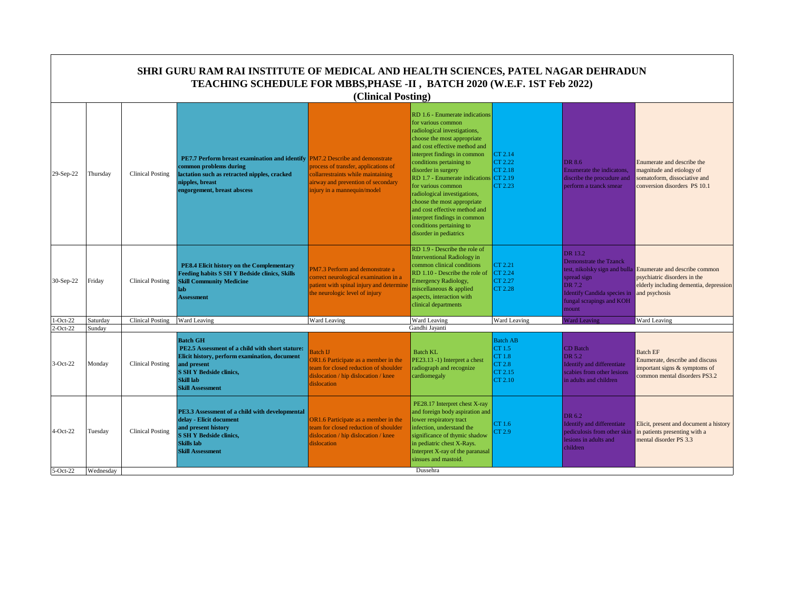|             |           |                         | SHRI GURU RAM RAI INSTITUTE OF MEDICAL AND HEALTH SCIENCES, PATEL NAGAR DEHRADUN<br>TEACHING SCHEDULE FOR MBBS, PHASE -II, BATCH 2020 (W.E.F. 1ST Feb 2022)                                                         | (Clinical Posting)                                                                                                                                                                |                                                                                                                                                                                                                                                                                                                                                                                                                                                                                                   |                                                                            |                                                                                                                                              |                                                                                                                                                        |
|-------------|-----------|-------------------------|---------------------------------------------------------------------------------------------------------------------------------------------------------------------------------------------------------------------|-----------------------------------------------------------------------------------------------------------------------------------------------------------------------------------|---------------------------------------------------------------------------------------------------------------------------------------------------------------------------------------------------------------------------------------------------------------------------------------------------------------------------------------------------------------------------------------------------------------------------------------------------------------------------------------------------|----------------------------------------------------------------------------|----------------------------------------------------------------------------------------------------------------------------------------------|--------------------------------------------------------------------------------------------------------------------------------------------------------|
| 29-Sep-22   | Thursday  | Clinical Posting        | <b>PE7.7 Perform breast examination and identify</b><br>common problems during<br>lactation such as retracted nipples, cracked<br>nipples, breast<br>engorgement, breast abscess                                    | PM7.2 Describe and demonstrate<br>process of transfer, applications of<br>collarrestraints while maintaining<br>airway and prevention of secondary<br>injury in a mannequin/model | RD 1.6 - Enumerate indications<br>for various common<br>radiological investigations,<br>choose the most appropriate<br>and cost effective method and<br>interpret findings in common<br>conditions pertaining to<br>disorder in surgery<br>$RD$ 1.7 - Enumerate indications $CT$ 2.19<br>for various common<br>radiological investigations,<br>choose the most appropriate<br>and cost effective method and<br>interpret findings in common<br>conditions pertaining to<br>disorder in pediatrics | CT 2.14<br>CT 2.22<br>CT 2.18<br>CT 2.23                                   | DR 8.6<br>Enumerate the indicatons,<br>discribe the procudure and<br>perform a tzanck smear                                                  | Enumerate and describe the<br>magnitude and etiology of<br>somatoform, dissociative and<br>conversion disorders PS 10.1                                |
| 30-Sep-22   | Friday    | Clinical Posting        | PE8.4 Elicit history on the Complementary<br>Feeding habits S SH Y Bedside clinics, Skills<br><b>Skill Community Medicine</b><br>lab<br><b>Assessment</b>                                                           | PM7.3 Perform and demonstrate a<br>correct neurological examination in a<br>patient with spinal injury and determine<br>the neurologic level of injury                            | RD 1.9 - Describe the role of<br><b>Interventional Radiology in</b><br>common clinical conditions<br>RD 1.10 - Describe the role of<br><b>Emergency Radiology,</b><br>miscellaneous & applied<br>aspects, interaction with<br>clinical departments                                                                                                                                                                                                                                                | CT 2.21<br>CT 2.24<br>CT 2.27<br>CT 2.28                                   | DR 13.2<br><b>Demonstrate the Tzanck</b><br>spread sign<br>DR 7.2<br><b>Identify Candida species in</b><br>fungal scrapings and KOH<br>mount | test, nikolsky sign and bulla Enumerate and describe common<br>psychiatric disorders in the<br>elderly including dementia, depression<br>and psychosis |
| $-Oct-22$   | Saturday  | <b>Clinical Posting</b> | Ward Leaving                                                                                                                                                                                                        | Ward Leaving                                                                                                                                                                      | Ward Leaving                                                                                                                                                                                                                                                                                                                                                                                                                                                                                      | Ward Leaving                                                               | <b>Ward Leaving</b>                                                                                                                          | Ward Leaving                                                                                                                                           |
| $2$ -Oct-22 | Sundav    |                         |                                                                                                                                                                                                                     |                                                                                                                                                                                   | Gandhi Javanti                                                                                                                                                                                                                                                                                                                                                                                                                                                                                    |                                                                            |                                                                                                                                              |                                                                                                                                                        |
| $3-Oct-22$  | Monday    | <b>Clinical Posting</b> | <b>Batch GH</b><br>PE2.5 Assessment of a child with short stature:<br>Elicit history, perform examination, document<br>and present<br><b>S SH Y Bedside clinics.</b><br><b>Skill lab</b><br><b>Skill Assessment</b> | Batch IJ<br>OR1.6 Participate as a member in the<br>eam for closed reduction of shoulder<br>dislocation / hip dislocation / knee<br>dislocation                                   | <b>Batch KL</b><br>PE23.13 -1) Interpret a chest<br>radiograph and recognize<br>cardiomegaly                                                                                                                                                                                                                                                                                                                                                                                                      | <b>Batch AB</b><br>CT 1.5<br>CT 1.8<br><b>CT 2.8</b><br>CT 2.15<br>CT 2.10 | CD Batch<br>DR 5.2<br><b>Identify and differentiate</b><br>scabies from other lesions<br>in adults and children                              | <b>Batch EF</b><br>Enumerate, describe and discuss<br>important signs & symptoms of<br>common mental disorders PS3.2                                   |
| $4-Oct-22$  | Tuesday   | <b>Clinical Posting</b> | PE3.3 Assessment of a child with developmental<br>delay - Elicit document<br>and present history<br><b>S SH Y Bedside clinics,</b><br><b>Skills</b> lab<br><b>Skill Assessment</b>                                  | OR1.6 Participate as a member in the<br>team for closed reduction of shoulder<br>dislocation / hip dislocation / knee<br>dislocation                                              | PE28.17 Interpret chest X-ray<br>and foreign body aspiration and<br>lower respiratory tract<br>infection, understand the<br>significance of thymic shadow<br>in pediatric chest X-Rays.<br>Interpret X-ray of the paranasal<br>sinsues and mastoid.<br>Dussehra                                                                                                                                                                                                                                   | CT 1.6<br>CT 2.9                                                           | DR 6.2<br>Identify and differentiate<br>pediculosis from other skin<br>lesions in adults and<br>children                                     | Elicit, present and document a history<br>in patients presenting with a<br>mental disorder PS 3.3                                                      |
| $5-Oct-22$  | Wednesday |                         |                                                                                                                                                                                                                     |                                                                                                                                                                                   |                                                                                                                                                                                                                                                                                                                                                                                                                                                                                                   |                                                                            |                                                                                                                                              |                                                                                                                                                        |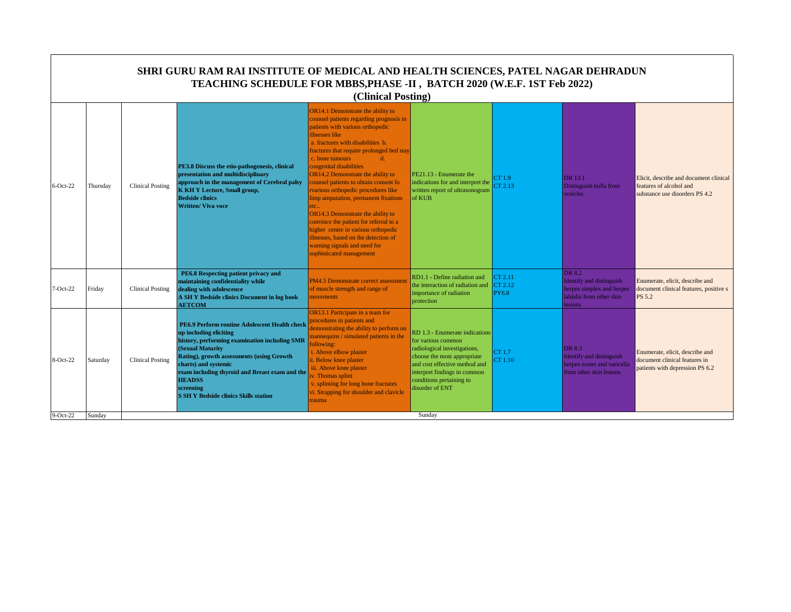|             |          |                         | SHRI GURU RAM RAI INSTITUTE OF MEDICAL AND HEALTH SCIENCES, PATEL NAGAR DEHRADUN<br>TEACHING SCHEDULE FOR MBBS, PHASE -II, BATCH 2020 (W.E.F. 1ST Feb 2022)                                                                                                                                                                                       | (Clinical Posting)                                                                                                                                                                                                                                                                                                                                                                                                                                                                                                                                                                                                                                                             |                                                                                                                                                                                                                                     |                                    |                                                                                                               |                                                                                                     |
|-------------|----------|-------------------------|---------------------------------------------------------------------------------------------------------------------------------------------------------------------------------------------------------------------------------------------------------------------------------------------------------------------------------------------------|--------------------------------------------------------------------------------------------------------------------------------------------------------------------------------------------------------------------------------------------------------------------------------------------------------------------------------------------------------------------------------------------------------------------------------------------------------------------------------------------------------------------------------------------------------------------------------------------------------------------------------------------------------------------------------|-------------------------------------------------------------------------------------------------------------------------------------------------------------------------------------------------------------------------------------|------------------------------------|---------------------------------------------------------------------------------------------------------------|-----------------------------------------------------------------------------------------------------|
| $6$ -Oct-22 | Thursday | <b>Clinical Posting</b> | PE3.8 Discuss the etio-pathogenesis, clinical<br>presentation and multidisciplinary<br>approach in the management of Cerebral palsy<br><b>K KH Y Lecture, Small group,</b><br><b>Bedside clinics</b><br><b>Written/ Viva voce</b>                                                                                                                 | OR14.1 Demonstrate the ability to<br>counsel patients regarding prognosis in<br>patients with various orthopedic<br>illnesses like<br>a. fractures with disabilities b.<br>ractures that require prolonged bed stay<br>c. bone tumours<br>$d_{\cdot}$<br>congenital disabilities<br>OR14.2 Demonstrate the ability to<br>counsel patients to obtain consent fo<br>rvarious orthopedic procedures like<br>limp amputation, permanent fixations<br>etc.<br>OR14.3 Demonstrate the ability to<br>convince the patient for referral to a<br>higher centre in various orthopedic<br>llnesses, based on the detection of<br>warning signals and need for<br>sophisticated management | PE21.13 - Enumerate the<br>indications for and interpret the<br>written report of ultrasonogram<br>of KUB                                                                                                                           | CT 1.9<br>CT 2.13                  | DR 13.1<br>Distinguish bulla from<br>vesicles                                                                 | Elicit, describe and document clinical<br>features of alcohol and<br>substance use disorders PS 4.2 |
| $7-Oct-22$  | Friday   | <b>Clinical Posting</b> | PE6.8 Respecting patient privacy and<br>maintaining confidentiality while<br>dealing with adolescence<br>A SH Y Bedside clinics Document in log book<br><b>AETCOM</b>                                                                                                                                                                             | PM4.5 Demonstrate correct assessment<br>of muscle strength and range of<br>movements                                                                                                                                                                                                                                                                                                                                                                                                                                                                                                                                                                                           | RD1.1 - Define radiation and<br>the interaction of radiation and<br>importance of radiation<br>protection                                                                                                                           | CT 2.11<br>CT 2.12<br><b>PY6.8</b> | DR 8.2<br><b>Identify and distinguish</b><br>herpes simplex and herpes<br>labialis from other skin<br>lesions | Enumerate, elicit, describe and<br>document clinical features, positive s<br>PS 5.2                 |
| 8-Oct-22    | Saturday | <b>Clinical Posting</b> | PE6.9 Perform routine Adolescent Health check<br>up including eliciting<br>history, performing examination including SMR<br>(Sexual Maturity<br>Rating), growth assessments (using Growth<br>charts) and systemic<br>exam including thyroid and Breast exam and the<br><b>HEADSS</b><br>screening<br><b>S SH Y Bedside clinics Skills station</b> | OR13.1 Participate in a team for<br>procedures in patients and<br>demonstrating the ability to perform on<br>mannequins / simulated patients in the<br>ollowing:<br>i. Above elbow plaster<br>ii. Below knee plaster<br>iii. Above knee plaster<br>v. Thomas splint<br>v. splinting for long bone fractures<br><i>vi.</i> Strapping for shoulder and clavicle<br>rauma                                                                                                                                                                                                                                                                                                         | RD 1.3 - Enumerate indications<br>for various common<br>radiological investigations,<br>choose the most appropriate<br>and cost effective method and<br>interpret findings in common<br>conditions pertaining to<br>disorder of ENT | CT 1.7<br>CT 1.10                  | DR 8.3<br>Identify and distinguish<br>herpes zoster and varicella<br>from other skin lesions                  | Enumerate, elicit, describe and<br>document clinical features in<br>patients with depression PS 6.2 |
| $9-Oct-22$  | Sunday   |                         |                                                                                                                                                                                                                                                                                                                                                   |                                                                                                                                                                                                                                                                                                                                                                                                                                                                                                                                                                                                                                                                                | Sunday                                                                                                                                                                                                                              |                                    |                                                                                                               |                                                                                                     |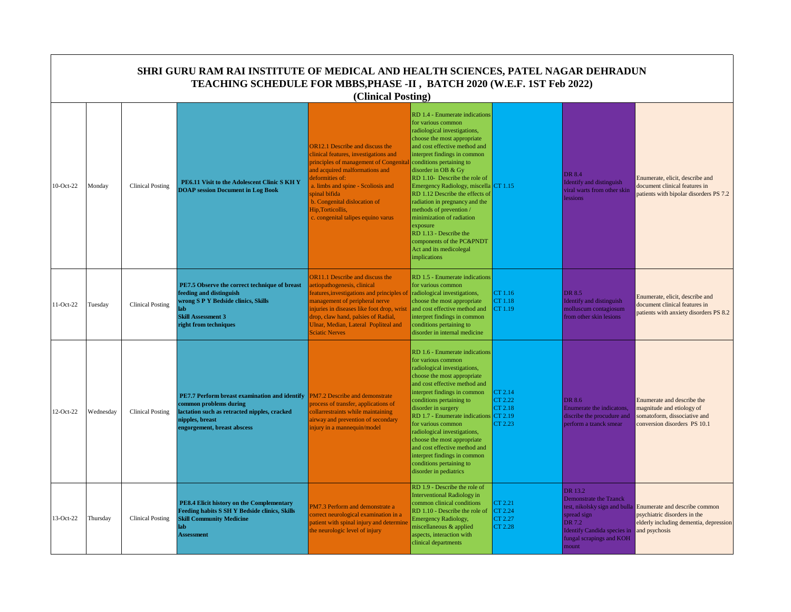|           | SHRI GURU RAM RAI INSTITUTE OF MEDICAL AND HEALTH SCIENCES, PATEL NAGAR DEHRADUN<br>TEACHING SCHEDULE FOR MBBS, PHASE -II, BATCH 2020 (W.E.F. 1ST Feb 2022)<br>(Clinical Posting) |                         |                                                                                                                                                                              |                                                                                                                                                                                                                                                                                                                                |                                                                                                                                                                                                                                                                                                                                                                                                                                                                                                                                                             |                                                                      |                                                                                                                                                                 |                                                                                                                          |  |  |  |
|-----------|-----------------------------------------------------------------------------------------------------------------------------------------------------------------------------------|-------------------------|------------------------------------------------------------------------------------------------------------------------------------------------------------------------------|--------------------------------------------------------------------------------------------------------------------------------------------------------------------------------------------------------------------------------------------------------------------------------------------------------------------------------|-------------------------------------------------------------------------------------------------------------------------------------------------------------------------------------------------------------------------------------------------------------------------------------------------------------------------------------------------------------------------------------------------------------------------------------------------------------------------------------------------------------------------------------------------------------|----------------------------------------------------------------------|-----------------------------------------------------------------------------------------------------------------------------------------------------------------|--------------------------------------------------------------------------------------------------------------------------|--|--|--|
| 10-Oct-22 | Monday                                                                                                                                                                            | <b>Clinical Posting</b> | PE6.11 Visit to the Adolescent Clinic S KH Y<br><b>DOAP</b> session Document in Log Book                                                                                     | <b>OR12.1</b> Describe and discuss the<br>linical features, investigations and<br>principles of management of Congenita<br>and acquired malformations and<br>deformities of:<br>a. limbs and spine - Scoliosis and<br>spinal bifida<br>b. Congenital dislocation of<br>Hip, Torticollis,<br>c. congenital talipes equino varus | RD 1.4 - Enumerate indications<br>for various common<br>radiological investigations,<br>choose the most appropriate<br>and cost effective method and<br>interpret findings in common<br>conditions pertaining to<br>disorder in OB & Gy<br>RD 1.10- Describe the role of<br>Emergency Radiology, miscella CT 1.15<br>RD 1.12 Describe the effects of<br>radiation in pregnancy and the<br>methods of prevention/<br>minimization of radiation<br>exposure<br>RD 1.13 - Describe the<br>components of the PC&PNDT<br>Act and its medicolegal<br>implications |                                                                      | DR 8.4<br>Identify and distinguish<br>viral warts from other skin<br>essions                                                                                    | Enumerate, elicit, describe and<br>document clinical features in<br>patients with bipolar disorders PS 7.2               |  |  |  |
| 11-Oct-22 | Tuesday                                                                                                                                                                           | <b>Clinical Posting</b> | PE7.5 Observe the correct technique of breast<br>feeding and distinguish<br>wrong S P Y Bedside clinics, Skills<br>lab<br><b>Skill Assessment 3</b><br>right from techniques | <b>DR11.1</b> Describe and discuss the<br>etiopathogenesis, clinical<br>eatures, investigations and principles of<br>nanagement of peripheral nerve<br>njuries in diseases like foot drop, wrist<br>drop, claw hand, palsies of Radial,<br>Ulnar, Median, Lateral Popliteal and<br><b>Sciatic Nerves</b>                       | RD 1.5 - Enumerate indications<br>for various common<br>radiological investigations,<br>choose the most appropriate<br>and cost effective method and<br>interpret findings in common<br>conditions pertaining to<br>disorder in internal medicine                                                                                                                                                                                                                                                                                                           | CT 1.16<br>CT 1.18<br>CT 1.19                                        | DR 8.5<br><b>Identify and distinguish</b><br>molluscum contagiosum<br>from other skin lesions                                                                   | Enumerate, elicit, describe and<br>document clinical features in<br>patients with anxiety disorders PS 8.2               |  |  |  |
| 12-Oct-22 | Wednesday                                                                                                                                                                         | <b>Clinical Posting</b> | PE7.7 Perform breast examination and identify<br>common problems during<br>lactation such as retracted nipples, cracked<br>nipples, breast<br>engorgement, breast abscess    | <b>PM7.2 Describe and demonstrate</b><br>process of transfer, applications of<br>collarrestraints while maintaining<br>uirway and prevention of secondary<br>njury in a mannequin/model                                                                                                                                        | RD 1.6 - Enumerate indications<br>for various common<br>radiological investigations,<br>choose the most appropriate<br>and cost effective method and<br>interpret findings in common<br>conditions pertaining to<br>disorder in surgery<br>RD 1.7 - Enumerate indications<br>for various common<br>radiological investigations,<br>choose the most appropriate<br>and cost effective method and<br>interpret findings in common<br>conditions pertaining to<br>disorder in pediatrics                                                                       | CT 2.14<br>CT 2.22<br>CT 2.18<br>$\sqrt{\text{CT } 2.19}$<br>CT 2.23 | DR 8.6<br>Enumerate the indicatons,<br>discribe the procudure and<br>perform a tzanck smear                                                                     | Enumerate and describe the<br>magnitude and etiology of<br>somatoform, dissociative and<br>conversion disorders PS 10.1  |  |  |  |
| 13-Oct-22 | Thursday                                                                                                                                                                          | <b>Clinical Posting</b> | PE8.4 Elicit history on the Complementary<br><b>Feeding habits S SH Y Bedside clinics, Skills</b><br><b>Skill Community Medicine</b><br>lab<br><b>Assessment</b>             | PM7.3 Perform and demonstrate a<br>correct neurological examination in a<br>patient with spinal injury and determine<br>the neurologic level of injury                                                                                                                                                                         | RD 1.9 - Describe the role of<br><b>Interventional Radiology in</b><br>common clinical conditions<br>RD 1.10 - Describe the role of<br><b>Emergency Radiology,</b><br>miscellaneous & applied<br>aspects, interaction with<br>clinical departments                                                                                                                                                                                                                                                                                                          | CT 2.21<br>CT 2.24<br>CT 2.27<br>CT 2.28                             | DR 13.2<br>Demonstrate the Tzanck<br>test, nikolsky sign and bulla<br>spread sign<br>DR 7.2<br>Identify Candida species in<br>fungal scrapings and KOH<br>nount | Enumerate and describe common<br>psychiatric disorders in the<br>elderly including dementia, depression<br>and psychosis |  |  |  |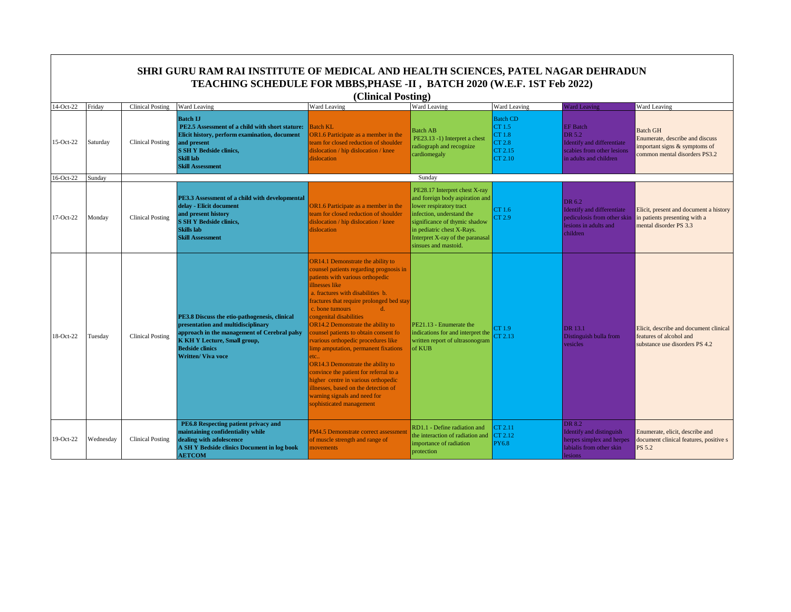|             |           |                         | SHRI GURU RAM RAI INSTITUTE OF MEDICAL AND HEALTH SCIENCES, PATEL NAGAR DEHRADUN<br>TEACHING SCHEDULE FOR MBBS, PHASE -II, BATCH 2020 (W.E.F. 1ST Feb 2022)                                                                |                                                                                                                                                                                                                                                                                                                                                                                                                                                                                                                                                                                                                                                                            |                                                                                                                                                                                                                                                     |                                                                     |                                                                                                                 |                                                                                                                      |
|-------------|-----------|-------------------------|----------------------------------------------------------------------------------------------------------------------------------------------------------------------------------------------------------------------------|----------------------------------------------------------------------------------------------------------------------------------------------------------------------------------------------------------------------------------------------------------------------------------------------------------------------------------------------------------------------------------------------------------------------------------------------------------------------------------------------------------------------------------------------------------------------------------------------------------------------------------------------------------------------------|-----------------------------------------------------------------------------------------------------------------------------------------------------------------------------------------------------------------------------------------------------|---------------------------------------------------------------------|-----------------------------------------------------------------------------------------------------------------|----------------------------------------------------------------------------------------------------------------------|
|             |           |                         |                                                                                                                                                                                                                            | (Clinical Posting)                                                                                                                                                                                                                                                                                                                                                                                                                                                                                                                                                                                                                                                         |                                                                                                                                                                                                                                                     |                                                                     |                                                                                                                 |                                                                                                                      |
| 14-Oct-22   | Friday    | <b>Clinical Posting</b> | Ward Leaving                                                                                                                                                                                                               | Ward Leaving                                                                                                                                                                                                                                                                                                                                                                                                                                                                                                                                                                                                                                                               | Ward Leaving                                                                                                                                                                                                                                        | Ward Leaving                                                        | <b>Ward Leaving</b>                                                                                             | Ward Leaving                                                                                                         |
| $15-Oct-22$ | Saturday  | <b>Clinical Posting</b> | <b>Batch IJ</b><br>PE2.5 Assessment of a child with short stature:<br>Elicit history, perform examination, document<br>and present<br><b>S SH Y Bedside clinics,</b><br><b>Skill lab</b><br><b>Skill Assessment</b>        | <b>Batch KL</b><br>OR1.6 Participate as a member in the<br>team for closed reduction of shoulder<br>dislocation / hip dislocation / knee<br>dislocation                                                                                                                                                                                                                                                                                                                                                                                                                                                                                                                    | <b>Batch AB</b><br>PE23.13 -1) Interpret a chest<br>radiograph and recognize<br>cardiomegaly                                                                                                                                                        | <b>Batch CD</b><br>CT 1.5<br>CT 1.8<br>CT 2.8<br>CT 2.15<br>CT 2.10 | <b>EF</b> Batch<br>DR 5.2<br>Identify and differentiate<br>scabies from other lesions<br>in adults and children | <b>Batch GH</b><br>Enumerate, describe and discuss<br>important signs & symptoms of<br>common mental disorders PS3.2 |
| 16-Oct-22   | Sundav    |                         |                                                                                                                                                                                                                            |                                                                                                                                                                                                                                                                                                                                                                                                                                                                                                                                                                                                                                                                            | Sunday                                                                                                                                                                                                                                              |                                                                     |                                                                                                                 |                                                                                                                      |
| 17-Oct-22   | Monday    | <b>Clinical Posting</b> | PE3.3 Assessment of a child with developmental<br>delay - Elicit document<br>and present history<br><b>S SH Y Bedside clinics,</b><br><b>Skills</b> lab<br><b>Skill Assessment</b>                                         | OR1.6 Participate as a member in the<br>team for closed reduction of shoulder<br>dislocation / hip dislocation / knee<br>dislocation                                                                                                                                                                                                                                                                                                                                                                                                                                                                                                                                       | PE28.17 Interpret chest X-ray<br>and foreign body aspiration and<br>lower respiratory tract<br>infection, understand the<br>significance of thymic shadow<br>in pediatric chest X-Rays.<br>Interpret X-ray of the paranasal<br>sinsues and mastoid. | CT 1.6<br>CT 2.9                                                    | DR 6.2<br>Identify and differentiate<br>pediculosis from other skin<br>lesions in adults and<br>children        | Elicit, present and document a history<br>in patients presenting with a<br>mental disorder PS 3.3                    |
| 18-Oct-22   | Tuesday   | <b>Clinical Posting</b> | PE3.8 Discuss the etio-pathogenesis, clinical<br>presentation and multidisciplinary<br>approach in the management of Cerebral palsy<br>K KH Y Lecture, Small group,<br><b>Bedside clinics</b><br><b>Written/ Viva voce</b> | OR14.1 Demonstrate the ability to<br>counsel patients regarding prognosis in<br>patients with various orthopedic<br>illnesses like<br>a. fractures with disabilities b.<br>fractures that require prolonged bed stay<br>c. bone tumours<br>$d$ .<br>congenital disabilities<br>OR14.2 Demonstrate the ability to<br>counsel patients to obtain consent fo<br>rvarious orthopedic procedures like<br>limp amputation, permanent fixations<br>etc.<br>OR14.3 Demonstrate the ability to<br>convince the patient for referral to a<br>higher centre in various orthopedic<br>illnesses, based on the detection of<br>warning signals and need for<br>sophisticated management | PE21.13 - Enumerate the<br>indications for and interpret the<br>written report of ultrasonogram<br>of KUB                                                                                                                                           | CT 1.9<br>CT 2.13                                                   | DR 13.1<br>Distinguish bulla from<br>vesicles                                                                   | Elicit, describe and document clinical<br>features of alcohol and<br>substance use disorders PS 4.2                  |
| 19-Oct-22   | Wednesday | <b>Clinical Posting</b> | PE6.8 Respecting patient privacy and<br>maintaining confidentiality while<br>dealing with adolescence<br>A SH Y Bedside clinics Document in log book<br><b>AETCOM</b>                                                      | PM4.5 Demonstrate correct assessmen<br>of muscle strength and range of<br>movements                                                                                                                                                                                                                                                                                                                                                                                                                                                                                                                                                                                        | RD1.1 - Define radiation and<br>the interaction of radiation and<br>importance of radiation<br>protection                                                                                                                                           | CT 2.11<br>CT 2.12<br><b>PY6.8</b>                                  | DR 8.2<br>Identify and distinguish<br>herpes simplex and herpes<br>labialis from other skin<br>lesions          | Enumerate, elicit, describe and<br>document clinical features, positive s<br><b>PS 5.2</b>                           |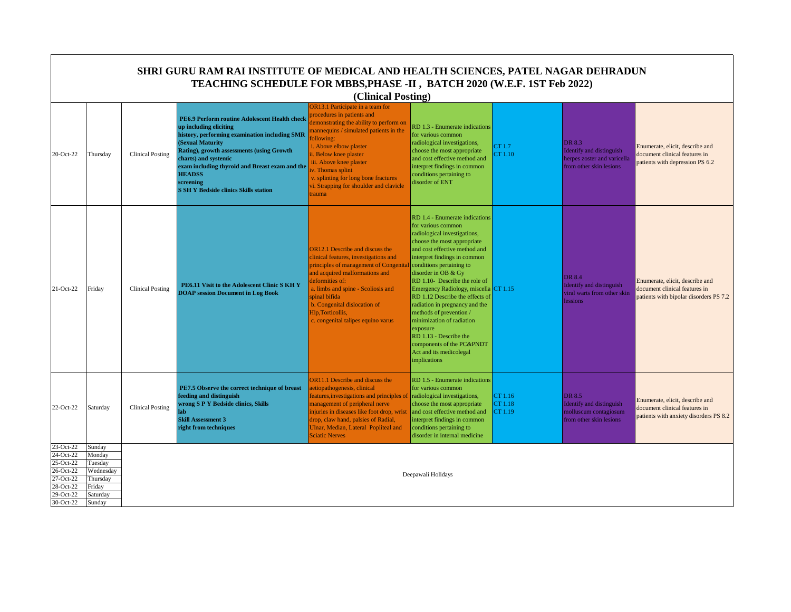|                                                                                                      | SHRI GURU RAM RAI INSTITUTE OF MEDICAL AND HEALTH SCIENCES, PATEL NAGAR DEHRADUN<br>TEACHING SCHEDULE FOR MBBS, PHASE -II, BATCH 2020 (W.E.F. 1ST Feb 2022)<br>(Clinical Posting) |                         |                                                                                                                                                                                                                                                                                                                                                          |                                                                                                                                                                                                                                                                                                                                                                      |                                                                                                                                                                                                                                                                                                                                                                                                                                                                                                                                                              |                               |                                                                                              |                                                                                                            |  |  |
|------------------------------------------------------------------------------------------------------|-----------------------------------------------------------------------------------------------------------------------------------------------------------------------------------|-------------------------|----------------------------------------------------------------------------------------------------------------------------------------------------------------------------------------------------------------------------------------------------------------------------------------------------------------------------------------------------------|----------------------------------------------------------------------------------------------------------------------------------------------------------------------------------------------------------------------------------------------------------------------------------------------------------------------------------------------------------------------|--------------------------------------------------------------------------------------------------------------------------------------------------------------------------------------------------------------------------------------------------------------------------------------------------------------------------------------------------------------------------------------------------------------------------------------------------------------------------------------------------------------------------------------------------------------|-------------------------------|----------------------------------------------------------------------------------------------|------------------------------------------------------------------------------------------------------------|--|--|
| 20-Oct-22                                                                                            | Thursday                                                                                                                                                                          | <b>Clinical Posting</b> | PE6.9 Perform routine Adolescent Health check<br>up including eliciting<br>history, performing examination including SMR<br>(Sexual Maturity<br><b>Rating), growth assessments (using Growth</b><br>charts) and systemic<br>exam including thyroid and Breast exam and the<br><b>HEADSS</b><br>screening<br><b>S SH Y Bedside clinics Skills station</b> | OR13.1 Participate in a team for<br>rocedures in patients and<br>lemonstrating the ability to perform on<br>mannequins / simulated patients in the<br>ollowing:<br>i. Above elbow plaster<br>i. Below knee plaster<br>iii. Above knee plaster<br>v. Thomas splint<br>v. splinting for long bone fractures<br><i>vi.</i> Strapping for shoulder and clavicle<br>rauma | RD 1.3 - Enumerate indications<br>for various common<br>radiological investigations,<br>choose the most appropriate<br>and cost effective method and<br>interpret findings in common<br>conditions pertaining to<br>disorder of ENT                                                                                                                                                                                                                                                                                                                          | CT1.7<br>CT1.10               | DR 8.3<br>Identify and distinguish<br>herpes zoster and varicella<br>from other skin lesions | Enumerate, elicit, describe and<br>document clinical features in<br>patients with depression PS 6.2        |  |  |
| 21-Oct-22                                                                                            | Friday                                                                                                                                                                            | <b>Clinical Posting</b> | PE6.11 Visit to the Adolescent Clinic S KH Y<br><b>DOAP</b> session Document in Log Book                                                                                                                                                                                                                                                                 | <b>OR12.1 Describe and discuss the</b><br>linical features, investigations and<br>principles of management of Congenita<br>and acquired malformations and<br>deformities of:<br>a. limbs and spine - Scoliosis and<br>spinal bifida<br>b. Congenital dislocation of<br>Hip, Torticollis,<br>c. congenital talipes equino varus                                       | RD 1.4 - Enumerate indications<br>for various common<br>radiological investigations,<br>choose the most appropriate<br>and cost effective method and<br>interpret findings in common<br>conditions pertaining to<br>disorder in OB & Gy<br>RD 1.10- Describe the role of<br>Emergency Radiology, miscella CT 1.15<br>RD 1.12 Describe the effects of<br>radiation in pregnancy and the<br>methods of prevention /<br>minimization of radiation<br>exposure<br>RD 1.13 - Describe the<br>components of the PC&PNDT<br>Act and its medicolegal<br>implications |                               | <b>DR</b> 8.4<br>Identify and distinguish<br>viral warts from other skin<br>lessions         | Enumerate, elicit, describe and<br>document clinical features in<br>patients with bipolar disorders PS 7.2 |  |  |
| 22-Oct-22                                                                                            | Saturday                                                                                                                                                                          | <b>Clinical Posting</b> | PE7.5 Observe the correct technique of breast<br>feeding and distinguish<br>wrong S P Y Bedside clinics, Skills<br>$_{lab}$<br><b>Skill Assessment 3</b><br>right from techniques                                                                                                                                                                        | <b>OR11.1</b> Describe and discuss the<br>etiopathogenesis, clinical<br>eatures, investigations and principles of<br>nanagement of peripheral nerve<br>injuries in diseases like foot drop, wrist<br>drop, claw hand, palsies of Radial,<br>Jlnar, Median, Lateral Popliteal and<br>Sciatic Nerves                                                                   | RD 1.5 - Enumerate indications<br>for various common<br>radiological investigations,<br>choose the most appropriate<br>and cost effective method and<br>interpret findings in common<br>conditions pertaining to<br>disorder in internal medicine                                                                                                                                                                                                                                                                                                            | CT 1.16<br>CT 1.18<br>CT 1.19 | DR 8.5<br>Identify and distinguish<br>molluscum contagiosum<br>from other skin lesions       | Enumerate, elicit, describe and<br>document clinical features in<br>patients with anxiety disorders PS 8.2 |  |  |
| 23-Oct-22<br>24-Oct-22<br>25-Oct-22<br>26-Oct-22<br>27-Oct-22<br>28-Oct-22<br>29-Oct-22<br>30-Oct-22 | Sunday<br>Monday<br>Tuesday<br>Wednesday<br>Thursday<br>Friday<br>Saturday<br>Sunday                                                                                              |                         |                                                                                                                                                                                                                                                                                                                                                          |                                                                                                                                                                                                                                                                                                                                                                      | Deepawali Holidays                                                                                                                                                                                                                                                                                                                                                                                                                                                                                                                                           |                               |                                                                                              |                                                                                                            |  |  |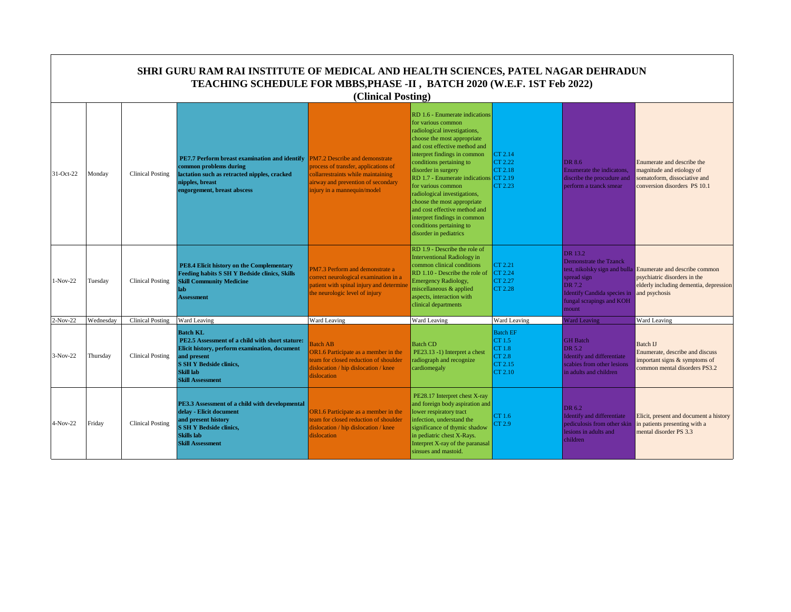|            | SHRI GURU RAM RAI INSTITUTE OF MEDICAL AND HEALTH SCIENCES, PATEL NAGAR DEHRADUN<br>TEACHING SCHEDULE FOR MBBS, PHASE -II, BATCH 2020 (W.E.F. 1ST Feb 2022)<br>(Clinical Posting) |                         |                                                                                                                                                                                                              |                                                                                                                                                                                          |                                                                                                                                                                                                                                                                                                                                                                                                                                                                                               |                                                                     |                                                                                                                                       |                                                                                                                                                        |  |  |  |
|------------|-----------------------------------------------------------------------------------------------------------------------------------------------------------------------------------|-------------------------|--------------------------------------------------------------------------------------------------------------------------------------------------------------------------------------------------------------|------------------------------------------------------------------------------------------------------------------------------------------------------------------------------------------|-----------------------------------------------------------------------------------------------------------------------------------------------------------------------------------------------------------------------------------------------------------------------------------------------------------------------------------------------------------------------------------------------------------------------------------------------------------------------------------------------|---------------------------------------------------------------------|---------------------------------------------------------------------------------------------------------------------------------------|--------------------------------------------------------------------------------------------------------------------------------------------------------|--|--|--|
| 31-Oct-22  | Monday                                                                                                                                                                            | Clinical Posting        | <b>PE7.7 Perform breast examination and identify</b><br>common problems during<br>lactation such as retracted nipples, cracked<br>nipples, breast<br>engorgement, breast abscess                             | <b>PM7.2 Describe and demonstrate</b><br>process of transfer, applications of<br>collarrestraints while maintaining<br>airway and prevention of secondary<br>injury in a mannequin/model | RD 1.6 - Enumerate indications<br>for various common<br>radiological investigations,<br>choose the most appropriate<br>and cost effective method and<br>interpret findings in common<br>conditions pertaining to<br>disorder in surgery<br>RD 1.7 - Enumerate indications CT 2.19<br>for various common<br>radiological investigations,<br>choose the most appropriate<br>and cost effective method and<br>interpret findings in common<br>conditions pertaining to<br>disorder in pediatrics | CT 2.14<br>CT 2.22<br>CT 2.18<br>CT 2.23                            | DR 8.6<br>Enumerate the indicatons.<br>discribe the procudure and<br>perform a tzanck smear                                           | Enumerate and describe the<br>magnitude and etiology of<br>somatoform, dissociative and<br>conversion disorders PS 10.1                                |  |  |  |
| $1-Nov-22$ | Tuesday                                                                                                                                                                           | Clinical Posting        | PE8.4 Elicit history on the Complementary<br><b>Feeding habits S SH Y Bedside clinics, Skills</b><br><b>Skill Community Medicine</b><br>lab<br><b>Assessment</b>                                             | PM7.3 Perform and demonstrate a<br>correct neurological examination in a<br>patient with spinal injury and determine<br>the neurologic level of injury                                   | RD 1.9 - Describe the role of<br><b>Interventional Radiology in</b><br>common clinical conditions<br>RD 1.10 - Describe the role of<br><b>Emergency Radiology,</b><br>miscellaneous & applied<br>aspects, interaction with<br>clinical departments                                                                                                                                                                                                                                            | CT 2.21<br>CT 2.24<br>CT 2.27<br>CT 2.28                            | DR 13.2<br>Demonstrate the Tzanck<br>spread sign<br>DR 7.2<br><b>Identify Candida species in</b><br>fungal scrapings and KOH<br>mount | test, nikolsky sign and bulla Enumerate and describe common<br>psychiatric disorders in the<br>elderly including dementia, depression<br>and psychosis |  |  |  |
| $2-Nov-22$ | Wednesdav                                                                                                                                                                         | <b>Clinical Posting</b> | Ward Leaving                                                                                                                                                                                                 | Ward Leaving                                                                                                                                                                             | Ward Leaving                                                                                                                                                                                                                                                                                                                                                                                                                                                                                  | Ward Leaving                                                        | <b>Ward Leaving</b>                                                                                                                   | <b>Ward Leaving</b>                                                                                                                                    |  |  |  |
| 3-Nov-22   | Thursday                                                                                                                                                                          | <b>Clinical Posting</b> | <b>Batch KL</b><br>PE2.5 Assessment of a child with short stature:<br>Elicit history, perform examination, document<br>and present<br><b>S SH Y Bedside clinics,</b><br>Skill lab<br><b>Skill Assessment</b> | <b>Batch AB</b><br>OR1.6 Participate as a member in the<br>team for closed reduction of shoulder<br>dislocation / hip dislocation / knee<br>dislocation                                  | <b>Batch CD</b><br>PE23.13 -1) Interpret a chest<br>radiograph and recognize<br>cardiomegaly                                                                                                                                                                                                                                                                                                                                                                                                  | <b>Batch EF</b><br>CT 1.5<br>CT 1.8<br>CT 2.8<br>CT 2.15<br>CT 2.10 | <b>GH</b> Batch<br>DR 5.2<br><b>Identify and differentiate</b><br>scabies from other lesions<br>in adults and children                | Batch IJ<br>Enumerate, describe and discuss<br>important signs & symptoms of<br>common mental disorders PS3.2                                          |  |  |  |
| 4-Nov-22   | Friday                                                                                                                                                                            | Clinical Posting        | PE3.3 Assessment of a child with developmental<br>delay - Elicit document<br>and present history<br><b>S SH Y Bedside clinics,</b><br><b>Skills lab</b><br><b>Skill Assessment</b>                           | OR1.6 Participate as a member in the<br>team for closed reduction of shoulder<br>dislocation / hip dislocation / knee<br>dislocation                                                     | PE28.17 Interpret chest X-ray<br>and foreign body aspiration and<br>lower respiratory tract<br>infection, understand the<br>significance of thymic shadow<br>in pediatric chest X-Rays.<br>Interpret X-ray of the paranasal<br>sinsues and mastoid.                                                                                                                                                                                                                                           | CT 1.6<br>CT 2.9                                                    | DR 6.2<br><b>Identify and differentiate</b><br>pediculosis from other skin<br>lesions in adults and<br>children                       | Elicit, present and document a history<br>in patients presenting with a<br>mental disorder PS 3.3                                                      |  |  |  |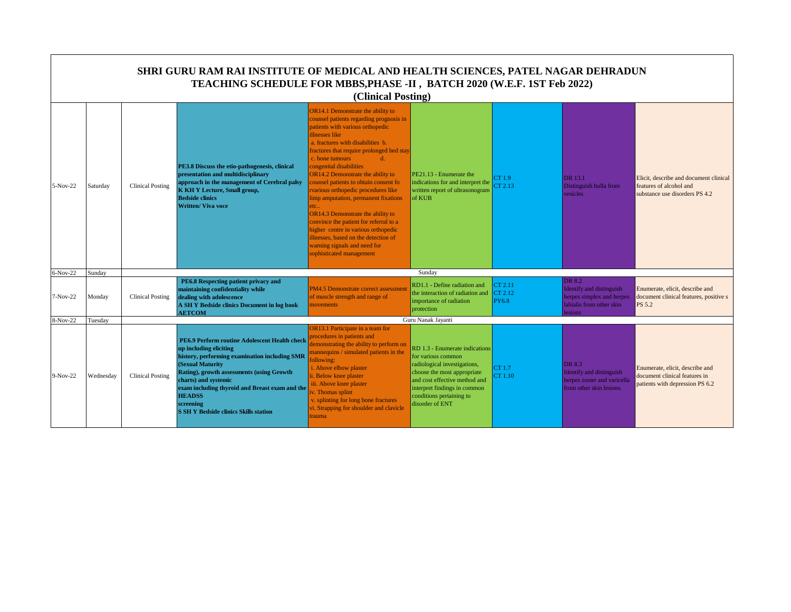|          |           |                         | SHRI GURU RAM RAI INSTITUTE OF MEDICAL AND HEALTH SCIENCES, PATEL NAGAR DEHRADUN<br>TEACHING SCHEDULE FOR MBBS, PHASE -II, BATCH 2020 (W.E.F. 1ST Feb 2022)                                                                                                                                                                                       | (Clinical Posting)                                                                                                                                                                                                                                                                                                                                                                                                                                                                                                                                                                                                                                                         |                                                                                                                                                                                                                                     |                                    |                                                                                                               |                                                                                                     |
|----------|-----------|-------------------------|---------------------------------------------------------------------------------------------------------------------------------------------------------------------------------------------------------------------------------------------------------------------------------------------------------------------------------------------------|----------------------------------------------------------------------------------------------------------------------------------------------------------------------------------------------------------------------------------------------------------------------------------------------------------------------------------------------------------------------------------------------------------------------------------------------------------------------------------------------------------------------------------------------------------------------------------------------------------------------------------------------------------------------------|-------------------------------------------------------------------------------------------------------------------------------------------------------------------------------------------------------------------------------------|------------------------------------|---------------------------------------------------------------------------------------------------------------|-----------------------------------------------------------------------------------------------------|
| 5-Nov-22 | Saturday  | <b>Clinical Posting</b> | PE3.8 Discuss the etio-pathogenesis, clinical<br>presentation and multidisciplinary<br>approach in the management of Cerebral palsy<br><b>K KH Y Lecture, Small group,</b><br><b>Bedside clinics</b><br><b>Written/ Viva voce</b>                                                                                                                 | OR14.1 Demonstrate the ability to<br>counsel patients regarding prognosis in<br>patients with various orthopedic<br>illnesses like<br>a. fractures with disabilities b.<br>fractures that require prolonged bed stay<br>c. bone tumours<br>$d$ .<br>congenital disabilities<br>OR14.2 Demonstrate the ability to<br>counsel patients to obtain consent fo<br>rvarious orthopedic procedures like<br>limp amputation, permanent fixations<br>etc.<br>OR14.3 Demonstrate the ability to<br>convince the patient for referral to a<br>higher centre in various orthopedic<br>illnesses, based on the detection of<br>warning signals and need for<br>sophisticated management | PE21.13 - Enumerate the<br>indications for and interpret the<br>written report of ultrasonogram<br>of KUB                                                                                                                           | CT 1.9<br>CT 2.13                  | DR 13.1<br>Distinguish bulla from<br>vesicles                                                                 | Elicit, describe and document clinical<br>features of alcohol and<br>substance use disorders PS 4.2 |
| 6-Nov-22 | Sunday    |                         |                                                                                                                                                                                                                                                                                                                                                   |                                                                                                                                                                                                                                                                                                                                                                                                                                                                                                                                                                                                                                                                            | Sunday                                                                                                                                                                                                                              |                                    |                                                                                                               |                                                                                                     |
| 7-Nov-22 | Monday    | <b>Clinical Posting</b> | PE6.8 Respecting patient privacy and<br>maintaining confidentiality while<br>dealing with adolescence<br>A SH Y Bedside clinics Document in log book<br><b>AETCOM</b>                                                                                                                                                                             | PM4.5 Demonstrate correct assessment<br>of muscle strength and range of<br>novements                                                                                                                                                                                                                                                                                                                                                                                                                                                                                                                                                                                       | RD1.1 - Define radiation and<br>the interaction of radiation and<br>importance of radiation<br>protection                                                                                                                           | CT 2.11<br>CT 2.12<br><b>PY6.8</b> | DR 8.2<br>Identify and distinguish<br>herpes simplex and herpes<br>labialis from other skin<br><b>lesions</b> | Enumerate, elicit, describe and<br>document clinical features, positive s<br><b>PS 5.2</b>          |
| 8-Nov-22 | Tuesday   |                         |                                                                                                                                                                                                                                                                                                                                                   |                                                                                                                                                                                                                                                                                                                                                                                                                                                                                                                                                                                                                                                                            | Guru Nanak Javanti                                                                                                                                                                                                                  |                                    |                                                                                                               |                                                                                                     |
| 9-Nov-22 | Wednesday | <b>Clinical Posting</b> | PE6.9 Perform routine Adolescent Health check<br>up including eliciting<br>history, performing examination including SMR<br>(Sexual Maturity<br>Rating), growth assessments (using Growth<br>charts) and systemic<br>exam including thyroid and Breast exam and the<br><b>HEADSS</b><br>screening<br><b>S SH Y Bedside clinics Skills station</b> | <b>OR13.1 Participate in a team for</b><br>procedures in patients and<br>demonstrating the ability to perform on<br>mannequins / simulated patients in the<br>following:<br>i. Above elbow plaster<br>i. Below knee plaster<br>iii. Above knee plaster<br>v. Thomas splint<br>v. splinting for long bone fractures<br>vi. Strapping for shoulder and clavicle<br>rauma                                                                                                                                                                                                                                                                                                     | RD 1.3 - Enumerate indications<br>for various common<br>radiological investigations,<br>choose the most appropriate<br>and cost effective method and<br>interpret findings in common<br>conditions pertaining to<br>disorder of ENT | CT 1.7<br>CT 1.10                  | DR 8.3<br>Identify and distinguish<br>herpes zoster and varicella<br>from other skin lesions                  | Enumerate, elicit, describe and<br>document clinical features in<br>patients with depression PS 6.2 |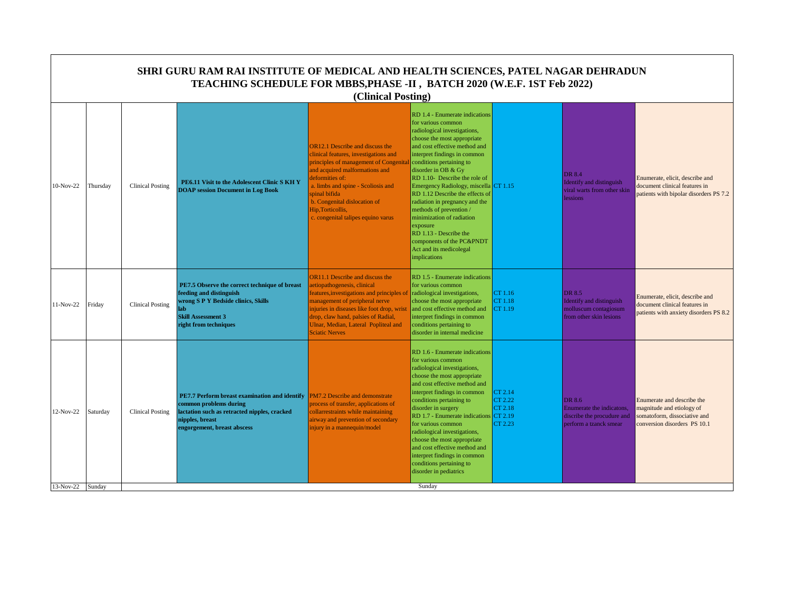|                  | <b>SHRI GURU RAM RAI INSTITUTE OF MEDICAL AND HEALTH SCIENCES, PATEL NAGAR DEHRADUN</b><br>TEACHING SCHEDULE FOR MBBS, PHASE -II, BATCH 2020 (W.E.F. 1ST Feb 2022)<br>(Clinical Posting) |                         |                                                                                                                                                                              |                                                                                                                                                                                                                                                                                                                                 |                                                                                                                                                                                                                                                                                                                                                                                                                                                                                                                                                             |                                                     |                                                                                             |                                                                                                                         |  |  |
|------------------|------------------------------------------------------------------------------------------------------------------------------------------------------------------------------------------|-------------------------|------------------------------------------------------------------------------------------------------------------------------------------------------------------------------|---------------------------------------------------------------------------------------------------------------------------------------------------------------------------------------------------------------------------------------------------------------------------------------------------------------------------------|-------------------------------------------------------------------------------------------------------------------------------------------------------------------------------------------------------------------------------------------------------------------------------------------------------------------------------------------------------------------------------------------------------------------------------------------------------------------------------------------------------------------------------------------------------------|-----------------------------------------------------|---------------------------------------------------------------------------------------------|-------------------------------------------------------------------------------------------------------------------------|--|--|
| 10-Nov-22        | Thursday                                                                                                                                                                                 | <b>Clinical Posting</b> | PE6.11 Visit to the Adolescent Clinic S KH Y<br><b>DOAP</b> session Document in Log Book                                                                                     | <b>OR12.1</b> Describe and discuss the<br>clinical features, investigations and<br>principles of management of Congenita<br>and acquired malformations and<br>deformities of:<br>a. limbs and spine - Scoliosis and<br>spinal bifida<br>b. Congenital dislocation of<br>Hip, Torticollis,<br>c. congenital talipes equino varus | RD 1.4 - Enumerate indications<br>for various common<br>radiological investigations,<br>choose the most appropriate<br>and cost effective method and<br>interpret findings in common<br>conditions pertaining to<br>disorder in OB & Gy<br>RD 1.10- Describe the role of<br>Emergency Radiology, miscella CT 1.15<br>RD 1.12 Describe the effects of<br>radiation in pregnancy and the<br>methods of prevention/<br>minimization of radiation<br>exposure<br>RD 1.13 - Describe the<br>components of the PC&PNDT<br>Act and its medicolegal<br>implications |                                                     | DR 8.4<br><b>Identify and distinguish</b><br>viral warts from other skin<br>lessions        | Enumerate, elicit, describe and<br>document clinical features in<br>patients with bipolar disorders PS 7.2              |  |  |
| 11-Nov-22        | Friday                                                                                                                                                                                   | <b>Clinical Posting</b> | PE7.5 Observe the correct technique of breast<br>feeding and distinguish<br>wrong S P Y Bedside clinics, Skills<br>lah<br><b>Skill Assessment 3</b><br>right from techniques | <b>DR11.1 Describe and discuss the</b><br>aetiopathogenesis, clinical<br>eatures, investigations and principles of<br>management of peripheral nerve<br>injuries in diseases like foot drop, wrist<br>drop, claw hand, palsies of Radial,<br>Ulnar, Median, Lateral Popliteal and<br><b>Sciatic Nerves</b>                      | RD 1.5 - Enumerate indications<br>for various common<br>radiological investigations,<br>choose the most appropriate<br>and cost effective method and<br>interpret findings in common<br>conditions pertaining to<br>disorder in internal medicine                                                                                                                                                                                                                                                                                                           | CT 1.16<br>CT 1.18<br>CT 1.19                       | DR 8.5<br>Identify and distinguish<br>molluscum contagiosum<br>from other skin lesions      | Enumerate, elicit, describe and<br>document clinical features in<br>patients with anxiety disorders PS 8.2              |  |  |
| 12-Nov-22        | Saturday                                                                                                                                                                                 | <b>Clinical Posting</b> | PE7.7 Perform breast examination and identify<br>common problems during<br>lactation such as retracted nipples, cracked<br>nipples, breast<br>engorgement, breast abscess    | PM7.2 Describe and demonstrate<br>process of transfer, applications of<br>collarrestraints while maintaining<br>airway and prevention of secondary<br>injury in a mannequin/model                                                                                                                                               | RD 1.6 - Enumerate indications<br>for various common<br>radiological investigations,<br>choose the most appropriate<br>and cost effective method and<br>interpret findings in common<br>conditions pertaining to<br>disorder in surgery<br>RD 1.7 - Enumerate indications<br>for various common<br>radiological investigations,<br>choose the most appropriate<br>and cost effective method and<br>interpret findings in common<br>conditions pertaining to<br>disorder in pediatrics                                                                       | CT 2.14<br>CT 2.22<br>CT 2.18<br>CT 2.19<br>CT 2.23 | DR 8.6<br>Enumerate the indicatons,<br>discribe the procudure and<br>perform a tzanck smear | Enumerate and describe the<br>magnitude and etiology of<br>somatoform, dissociative and<br>conversion disorders PS 10.1 |  |  |
| 13-Nov-22 Sunday |                                                                                                                                                                                          |                         |                                                                                                                                                                              |                                                                                                                                                                                                                                                                                                                                 | Sunday                                                                                                                                                                                                                                                                                                                                                                                                                                                                                                                                                      |                                                     |                                                                                             |                                                                                                                         |  |  |